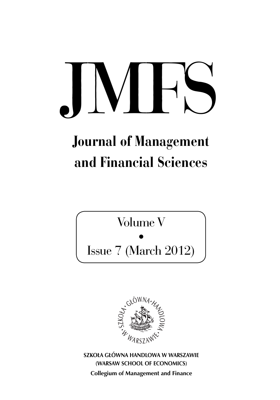# $\vert\mathbf{V}\vert$

## Journal of Management and Financial Sciences

Volume V

• Issue 7 (March 2012)



**SZKOŁA GŁÓWNA HANDLOWA W WARSZAWIE (WARSAW SCHOOL OF ECONOMICS) Collegium of Management and Finance**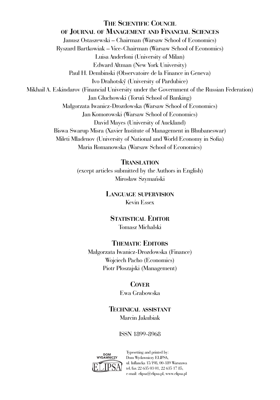#### **THE SCIENTIFIC COUNCIL OF JOURNAL OF MANAGEMENT AND FINANCIAL SCIENCES**

Janusz Ostaszewski – Chairman (Warsaw School of Economics) Ryszard Bartkowiak – Vice-Chairman (Warsaw School of Economics) Luisa Anderloni (University of Milan) Edward Altman (New York University) Paul H. Dembinski (Observatoire de la Finance in Geneva) Ivo Drahotský (University of Pardubice) Mikhail A. Eskindarov (Financial University under the Government of the Russian Federation) Jan Głuchowski (Toruń School of Banking) Małgorzata Iwanicz-Drozdowska (Warsaw School of Economics) Jan Komorowski (Warsaw School of Economics) David Mayes (University of Auckland) Biswa Swarup Misra (Xavier Institute of Management in Bhubaneswar) Mileti Mladenov (University of National and World Economy in Sofia) Maria Romanowska (Warsaw School of Economics)

#### **TRANSLATION**

(except articles submitted by the Authors in English) Mirosław Szymański

#### **LANGUAGE SUPERVISION** Kevin Essex

**STATISTICAL EDITOR** Tomasz Michalski

#### **THEMATIC EDITORS**

Małgorzata Iwanicz-Drozdowska (Finance) Wojciech Pacho (Economics) Piotr Płoszajski (Management)

#### **COVER**

Ewa Grabowska

#### **TECHNICAL ASSISTANT** Marcin Jakubiak

#### ISSN 1899-8968



Typesetting and printed by: Dom Wydawniczy ELIPSA, ul. Inflancka 15/198, 00-189 Warszawa tel./fax 22 635 03 01, 22 635 17 85, e-mail: elipsa@elipsa.pl, www.elipsa.pl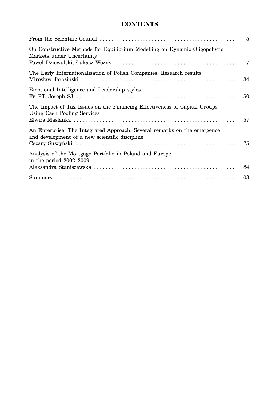#### **CONTENTS**

|                                                                                                                            | $\overline{5}$ |
|----------------------------------------------------------------------------------------------------------------------------|----------------|
| On Constructive Methods for Equilibrium Modelling on Dynamic Oligopolistic<br>Markets under Uncertainty                    | 7              |
| The Early Internationalisation of Polish Companies. Research results                                                       | 34             |
| Emotional Intelligence and Leadership styles                                                                               | 50             |
| The Impact of Tax Issues on the Financing Effectiveness of Capital Groups<br>Using Cash Pooling Services                   | 57             |
| An Enterprise: The Integrated Approach. Several remarks on the emergence<br>and development of a new scientific discipline | 75             |
| Analysis of the Mortgage Portfolio in Poland and Europe<br>in the period $2002-2009$                                       | 84             |
|                                                                                                                            |                |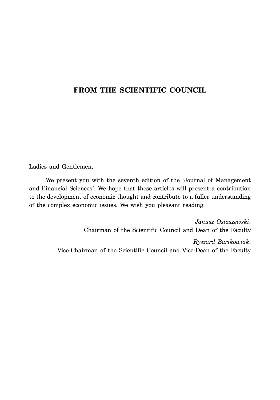#### **FROM THE SCIENTIFIC COUNCIL**

Ladies and Gentlemen,

We present you with the seventh edition of the 'Journal of Management and Financial Sciences'. We hope that these articles will present a contribution to the development of economic thought and contribute to a fuller understanding of the complex economic issues. We wish you pleasant reading.

> *Janusz Ostaszewski*, Chairman of the Scientific Council and Dean of the Faculty *Ryszard Bartkowiak*, Vice-Chairman of the Scientific Council and Vice-Dean of the Faculty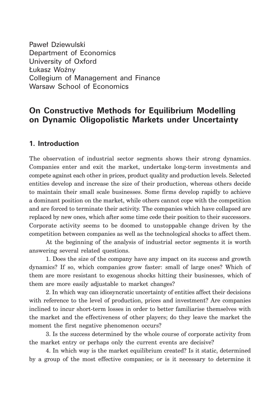Paweł Dziewulski Department of Economics University of Oxford Łukasz Woźny Collegium of Management and Finance Warsaw School of Economics

### **On Constructive Methods for Equilibrium Modelling on Dynamic Oligopolistic Markets under Uncertainty**

#### **1. Introduction**

The observation of industrial sector segments shows their strong dynamics. Companies enter and exit the market, undertake long-term investments and compete against each other in prices, product quality and production levels. Selected entities develop and increase the size of their production, whereas others decide to maintain their small scale businesses. Some firms develop rapidly to achieve a dominant position on the market, while others cannot cope with the competition and are forced to terminate their activity. The companies which have collapsed are replaced by new ones, which after some time cede their position to their successors. Corporate activity seems to be doomed to unstoppable change driven by the competition between companies as well as the technological shocks to affect them.

At the beginning of the analysis of industrial sector segments it is worth answering several related questions.

1. Does the size of the company have any impact on its success and growth dynamics? If so, which companies grow faster: small of large ones? Which of them are more resistant to exogenous shocks hitting their businesses, which of them are more easily adjustable to market changes?

2. In which way can idiosyncratic uncertainty of entities affect their decisions with reference to the level of production, prices and investment? Are companies inclined to incur short-term losses in order to better familiarise themselves with the market and the effectiveness of other players; do they leave the market the moment the first negative phenomenon occurs?

3. Is the success determined by the whole course of corporate activity from the market entry or perhaps only the current events are decisive?

4. In which way is the market equilibrium created? Is it static, determined by a group of the most effective companies; or is it necessary to determine it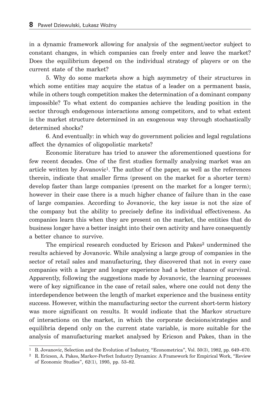in a dynamic framework allowing for analysis of the segment/sector subject to constant changes, in which companies can freely enter and leave the market? Does the equilibrium depend on the individual strategy of players or on the current state of the market?

5. Why do some markets show a high asymmetry of their structures in which some entities may acquire the status of a leader on a permanent basis, while in others tough competition makes the determination of a dominant company impossible? To what extent do companies achieve the leading position in the sector through endogenous interactions among competitors, and to what extent is the market structure determined in an exogenous way through stochastically determined shocks?

6. And eventually: in which way do government policies and legal regulations affect the dynamics of oligopolistic markets?

Economic literature has tried to answer the aforementioned questions for few recent decades. One of the first studies formally analysing market was an article written by Jovanovic<sup>1</sup>. The author of the paper, as well as the references therein, indicate that smaller firms (present on the market for a shorter term) develop faster than large companies (present on the market for a longer term); however in their case there is a much higher chance of failure than in the case of large companies. According to Jovanovic, the key issue is not the size of the company but the ability to precisely define its individual effectiveness. As companies learn this when they are present on the market, the entities that do business longer have a better insight into their own activity and have consequently a better chance to survive.

The empirical research conducted by Ericson and Pakes<sup>2</sup> undermined the results achieved by Jovanovic. While analysing a large group of companies in the sector of retail sales and manufacturing, they discovered that not in every case companies with a larger and longer experience had a better chance of survival. Apparently, following the suggestions made by Jovanovic, the learning processes were of key significance in the case of retail sales, where one could not deny the interdependence between the length of market experience and the business entity success. However, within the manufacturing sector the current short-term history was more significant on results. It would indicate that the Markov structure of interactions on the market, in which the corporate decisions/strategies and equilibria depend only on the current state variable, is more suitable for the analysis of manufacturing market analysed by Ericson and Pakes, than in the

<sup>&</sup>lt;sup>1</sup> B. Jovanovic, Selection and the Evolution of Industry, "Econometrica", Vol. 50(3), 1982, pp. 649–670.

<sup>2</sup> R. Ericson, A. Pakes, Markov-Perfect Industry Dynamics: A Framework for Empirical Work, "Review of Economic Studies", 62(1), 1995, pp. 53–82.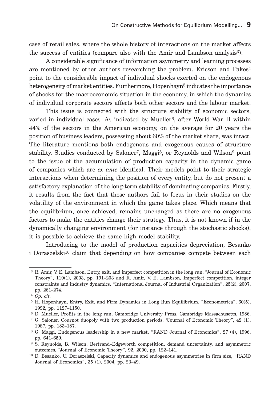case of retail sales, where the whole history of interactions on the market affects the success of entities (compare also with the Amir and Lambson analysis3).

A considerable significance of information asymmetry and learning processes are mentioned by other authors researching the problem. Ericson and  $Pakes<sup>4</sup>$ point to the considerable impact of individual shocks exerted on the endogenous heterogeneity of market entities. Furthermore, Hopenhayn<sup>5</sup> indicates the importance of shocks for the macroeconomic situation in the economy, in which the dynamics of individual corporate sectors affects both other sectors and the labour market.

This issue is connected with the structure stability of economic sectors, varied in individual cases. As indicated by Mueller<sup>6</sup>, after World War II within 44% of the sectors in the American economy, on the average for 20 years the position of business leaders, possessing about 60% of the market share, was intact. The literature mentions both endogenous and exogenous causes of structure stability. Studies conducted by Saloner<sup>7</sup>, Maggi<sup>8</sup>, or Reynolds and Wilson<sup>9</sup> point to the issue of the accumulation of production capacity in the dynamic game of companies which are *ex ante* identical. Their models point to their strategic interactions when determining the position of every entity, but do not present a satisfactory explanation of the long-term stability of dominating companies. Firstly, it results from the fact that these authors fail to focus in their studies on the volatility of the environment in which the game takes place. Which means that the equilibrium, once achieved, remains unchanged as there are no exogenous factors to make the entities change their strategy. Thus, it is not known if in the dynamically changing environment (for instance through the stochastic shocks), it is possible to achieve the same high model stability.

Introducing to the model of production capacities depreciation, Besanko i Doraszelski<sup>10</sup> claim that depending on how companies compete between each

 <sup>3</sup> R. Amir, V. E. Lambson, Entry, exit, and imperfect competition in the long run, "Journal of Economic Theory", 110(1), 2003, pp. 191–203 and R. Amir, V. E. Lambson, Imperfect competition, integer constraints and industry dynamics, "International Journal of Industrial Organization", 25(2), 2007, pp. 261–274.

<sup>4</sup> *Op. cit*.

 <sup>5</sup> H. Hopenhayn, Entry, Exit, and Firm Dynamics in Long Run Equilibrium, "Econometrica", 60(5), 1992, pp. 1127–1150.

 <sup>6</sup> D. Mueller, Profits in the long run, Cambridge University Press, Cambridge Massachusetts, 1986.

 <sup>7</sup> G. Saloner, Cournot duopoly with two production periods, "Journal of Economic Theory", 42 (1), 1987, pp. 183–187.

 <sup>8</sup> G. Maggi, Endogenous leadership in a new market, "RAND Journal of Economics", 27 (4), 1996, pp. 641–659.

 <sup>9</sup> S. Reynolds, B. Wilson, Bertrand–Edgeworth competition, demand uncertainty, and asymmetric outcomes, "Journal of Economic Theory", 92, 2000, pp. 122–141.

<sup>10</sup> D. Besanko, U. Doraszelski, Capacity dynamics and endogenous asymmetries in firm size, "RAND Journal of Economics", 35 (1), 2004, pp. 23–49.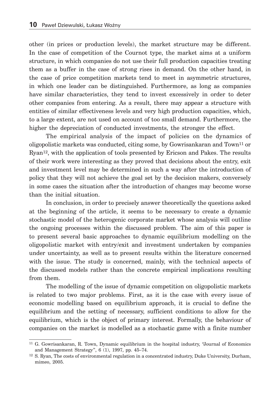other (in prices or production levels), the market structure may be different. In the case of competition of the Cournot type, the market aims at a uniform structure, in which companies do not use their full production capacities treating them as a buffer in the case of strong rises in demand. On the other hand, in the case of price competition markets tend to meet in asymmetric structures, in which one leader can be distinguished. Furthermore, as long as companies have similar characteristics, they tend to invest excessively in order to deter other companies from entering. As a result, there may appear a structure with entities of similar effectiveness levels and very high production capacities, which, to a large extent, are not used on account of too small demand. Furthermore, the higher the depreciation of conducted investments, the stronger the effect.

The empirical analysis of the impact of policies on the dynamics of oligopolistic markets was conducted, citing some, by Gowrisankaran and Town11 or Ryan<sup>12</sup>, with the application of tools presented by Ericson and Pakes. The results of their work were interesting as they proved that decisions about the entry, exit and investment level may be determined in such a way after the introduction of policy that they will not achieve the goal set by the decision makers, conversely in some cases the situation after the introduction of changes may become worse than the initial situation.

In conclusion, in order to precisely answer theoretically the questions asked at the beginning of the article, it seems to be necessary to create a dynamic stochastic model of the heterogenic corporate market whose analysis will outline the ongoing processes within the discussed problem. The aim of this paper is to present several basic approaches to dynamic equilibrium modelling on the oligopolistic market with entry/exit and investment undertaken by companies under uncertainty, as well as to present results within the literature concerned with the issue. The study is concerned, mainly, with the technical aspects of the discussed models rather than the concrete empirical implications resulting from them.

The modelling of the issue of dynamic competition on oligopolistic markets is related to two major problems. First, as it is the case with every issue of economic modelling based on equilibrium approach, it is crucial to define the equilibrium and the setting of necessary, sufficient conditions to allow for the equilibrium, which is the object of primary interest. Formally, the behaviour of companies on the market is modelled as a stochastic game with a finite number

<sup>11</sup> G. Gowrisankaran, R. Town, Dynamic equilibrium in the hospital industry, "Journal of Economics and Management Strategy", 6 (1), 1997, pp. 45–74.

<sup>12</sup> S. Ryan, The costs of environmental regulation in a concentrated industry, Duke University, Durham, mimeo, 2005.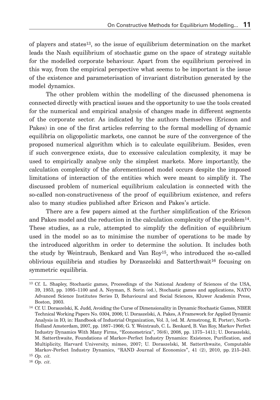of players and states13, so the issue of equilibrium determination on the market leads the Nash equilibrium of stochastic game on the space of strategy suitable for the modelled corporate behaviour. Apart from the equilibrium perceived in this way, from the empirical perspective what seems to be important is the issue of the existence and parameterisation of invariant distribution generated by the model dynamics.

The other problem within the modelling of the discussed phenomena is connected directly with practical issues and the opportunity to use the tools created for the numerical and empirical analysis of changes made in different segments of the corporate sector. As indicated by the authors themselves (Ericson and Pakes) in one of the first articles referring to the formal modelling of dynamic equilibria on oligopolistic markets, one cannot be sure of the convergence of the proposed numerical algorithm which is to calculate equilibrium. Besides, even if such convergence exists, due to excessive calculation complexity, it may be used to empirically analyse only the simplest markets. More importantly, the calculation complexity of the aforementioned model occurs despite the imposed limitations of interaction of the entities which were meant to simplify it. The discussed problem of numerical equilibrium calculation is connected with the so-called non-constructiveness of the proof of equilibrium existence, and refers also to many studies published after Ericson and Pakes's article.

There are a few papers aimed at the further simplification of the Ericson and Pakes model and the reduction in the calculation complexity of the problem14. These studies, as a rule, attempted to simplify the definition of equilibrium used in the model so as to minimise the number of operations to be made by the introduced algorithm in order to determine the solution. It includes both the study by Weintraub, Benkard and Van Roy15, who introduced the so-called oblivious equilibria and studies by Doraszelski and Satterthwait16 focusing on symmetric equilibria.

<sup>13</sup> Cf. L. Shapley, Stochastic games, Proceedings of the National Academy of Sciences of the USA, 39, 1953, pp. 1095–1100 and A. Neyman, S. Sorin (ed.), Stochastic games and applications, NATO Advanced Science Institutes Series D, Behavioural and Social Sciences, Kluwer Academin Press, Boston, 2003.

<sup>14</sup> Cf. U. Doraszelski, K. Judd, Avoiding the Curse of Dimensionality in Dynamic Stochastic Games, NBER Technical Working Papers No. 0304, 2006; U. Doraszelski, A. Pakes, A Framework for Applied Dynamic Analysis in IO, in: Handbook of Industrial Organization, Vol. 3, (ed. M. Armstrong, R. Porter), North-Holland Amsterdam, 2007, pp. 1887–1966; G. Y. Weintraub, C. L. Benkard, B. Van Roy, Markov Perfect Industry Dynamics With Many Firms, "Econometrica", 76(6), 2008, pp. 1375 – 1411; U. Doraszelski, M. Satterthwaite, Foundations of Markov-Perfect Industry Dynamics: Existence, Purification, and Multiplicity, Harvard University, mimeo, 2007; U. Doraszelski, M. Satterthwaite, Computable Markov-Perfect Industry Dynamics, "RAND Journal of Economics", 41 (2), 2010, pp. 215–243.

<sup>15</sup> *Op. cit.*

<sup>16</sup> *Op. cit*.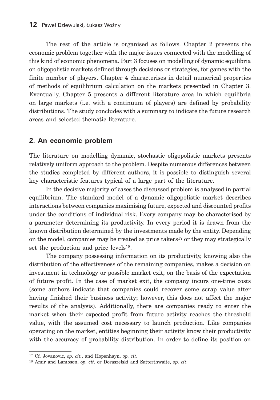The rest of the article is organised as follows. Chapter 2 presents the economic problem together with the major issues connected with the modelling of this kind of economic phenomena. Part 3 focuses on modelling of dynamic equilibria on oligopolistic markets defined through decisions or strategies, for games with the finite number of players. Chapter 4 characterises in detail numerical properties of methods of equilibrium calculation on the markets presented in Chapter 3. Eventually, Chapter 5 presents a different literature area in which equilibria on large markets (i.e. with a continuum of players) are defined by probability distributions. The study concludes with a summary to indicate the future research areas and selected thematic literature.

#### **2. An economic problem**

The literature on modelling dynamic, stochastic oligopolistic markets presents relatively uniform approach to the problem. Despite numerous differences between the studies completed by different authors, it is possible to distinguish several key characteristic features typical of a large part of the literature.

In the decisive majority of cases the discussed problem is analysed in partial equilibrium. The standard model of a dynamic oligopolistic market describes interactions between companies maximising future, expected and discounted profits under the conditions of individual risk. Every company may be characterised by a parameter determining its productivity. In every period it is drawn from the known distribution determined by the investments made by the entity. Depending on the model, companies may be treated as price takers<sup>17</sup> or they may strategically set the production and price levels<sup>18</sup>.

The company possessing information on its productivity, knowing also the distribution of the effectiveness of the remaining companies, makes a decision on investment in technology or possible market exit, on the basis of the expectation of future profit. In the case of market exit, the company incurs one-time costs (some authors indicate that companies could recover some scrap value after having finished their business activity; however, this does not affect the major results of the analysis). Additionally, there are companies ready to enter the market when their expected profit from future activity reaches the threshold value, with the assumed cost necessary to launch production. Like companies operating on the market, entities beginning their activity know their productivity with the accuracy of probability distribution. In order to define its position on

<sup>17</sup> Cf. Jovanovic, *op. cit.*, and Hopenhayn, *op. cit*.

<sup>18</sup> Amir and Lambson, *op. cit*. or Doraszelski and Satterthwaite, *op. cit*.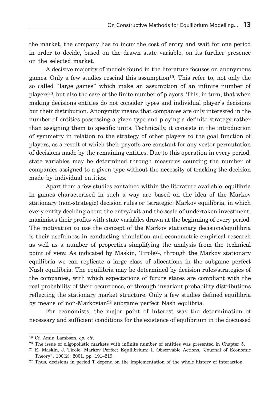the market, the company has to incur the cost of entry and wait for one period in order to decide, based on the drawn state variable, on its further presence on the selected market.

A decisive majority of models found in the literature focuses on anonymous games. Only a few studies rescind this assumption19. This refer to, not only the so called "large games" which make an assumption of an infinite number of players20, but also the case of the finite number of players. This, in turn, that when making decisions entities do not consider types and individual player's decisions but their distribution. Anonymity means that companies are only interested in the number of entities possessing a given type and playing a definite strategy rather than assigning them to specific units. Technically, it consists in the introduction of symmetry in relation to the strategy of other players to the goal function of players, as a result of which their payoffs are constant for any vector permutation of decisions made by the remaining entities. Due to this operation in every period, state variables may be determined through measures counting the number of companies assigned to a given type without the necessity of tracking the decision made by individual entities**.**

Apart from a few studies contained within the literature available, equilibria in games characterised in such a way are based on the idea of the Markov stationary (non-strategic) decision rules or (strategic) Markov equilibria, in which every entity deciding about the entry/exit and the scale of undertaken investment, maximises their profits with state variables drawn at the beginning of every period. The motivation to use the concept of the Markov stationary decisions/equilibria is their usefulness in conducting simulation and econometric empirical research as well as a number of properties simplifying the analysis from the technical point of view. As indicated by Maskin, Tirole<sup>21</sup>, through the Markov stationary equilibria we can replicate a large class of allocations in the subgame perfect Nash equilibria. The equilibria may be determined by decision rules/strategies of the companies, with which expectations of future states are compliant with the real probability of their occurrence, or through invariant probability distributions reflecting the stationary market structure. Only a few studies defined equilibria by means of non-Markovian<sup>22</sup> subgame perfect Nash equlibria.

For economists, the major point of interest was the determination of necessary and sufficient conditions for the existence of equlibrium in the discussed

<sup>19</sup> Cf. Amir, Lambson, *op. cit*.

<sup>&</sup>lt;sup>20</sup> The issue of oligopolistic markets with infinite number of entities was presented in Chapter 5.

<sup>21</sup> E. Maskin, J. Tirole, Markov Perfect Equilibrium: I. Observable Actions, "Journal of Economic Theory", 100(2), 2001, pp. 191–219.

<sup>22</sup> Thus, decisions in period T depend on the implementation of the whole history of interaction.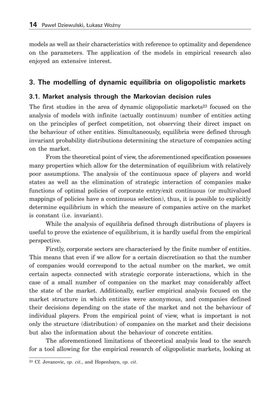models as well as their characteristics with reference to optimality and dependence on the parameters. The application of the models in empirical research also enjoyed an extensive interest.

#### **3. The modelling of dynamic equilibria on oligopolistic markets**

#### **3.1. Market analysis through the Markovian decision rules**

The first studies in the area of dynamic oligopolistic markets<sup>23</sup> focused on the analysis of models with infinite (actually continuum) number of entities acting on the principles of perfect competition, not observing their direct impact on the behaviour of other entities. Simultaneously, equilibria were defined through invariant probability distributions determining the structure of companies acting on the market.

From the theoretical point of view, the aforementioned specification possesses many properties which allow for the determination of equilibrium with relatively poor assumptions. The analysis of the continuous space of players and world states as well as the elimination of strategic interaction of companies make functions of optimal policies of corporate entry/exit continuous (or multivalued mappings of policies have a continuous selection), thus, it is possible to explicitly determine equilibrium in which the measure of companies active on the market is constant (i.e. invariant).

While the analysis of equilibria defined through distributions of players is useful to prove the existence of equilibrium, it is hardly useful from the empirical perspective.

Firstly, corporate sectors are characterised by the finite number of entities. This means that even if we allow for a certain discretisation so that the number of companies would correspond to the actual number on the market, we omit certain aspects connected with strategic corporate interactions, which in the case of a small number of companies on the market may considerably affect the state of the market. Additionally, earlier empirical analysis focused on the market structure in which entities were anonymous, and companies defined their decisions depending on the state of the market and not the behaviour of individual players. From the empirical point of view, what is important is not only the structure (distribution) of companies on the market and their decisions but also the information about the behaviour of concrete entities.

The aforementioned limitations of theoretical analysis lead to the search for a tool allowing for the empirical research of oligopolistic markets, looking at

<sup>23</sup> Cf. Jovanovic, *op. cit.*, and Hopenhayn, *op. cit*.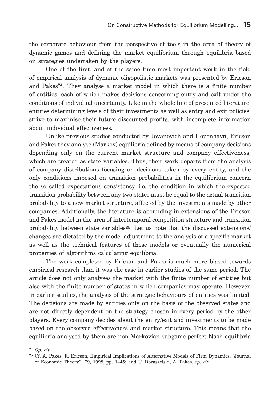the corporate behaviour from the perspective of tools in the area of theory of dynamic games and defining the market equilibrium through equilibria based on strategies undertaken by the players.

One of the first, and at the same time most important work in the field of empirical analysis of dynamic oligopolistic markets was presented by Ericson and Pakes24. They analyse a market model in which there is a finite number of entities, each of which makes decisions concerning entry and exit under the conditions of individual uncertainty. Like in the whole line of presented literature, entities determining levels of their investments as well as entry and exit policies, strive to maximise their future discounted profits, with incomplete information about individual effectiveness.

Unlike previous studies conducted by Jovanovich and Hopenhayn, Ericson and Pakes they analyse (Markov) equilibria defined by means of company decisions depending only on the current market structure and company effectiveness, which are treated as state variables. Thus, their work departs from the analysis of company distributions focusing on decisions taken by every entity, and the only conditions imposed on transition probabilities in the equilibrium concern the so called expectations consistency, i.e. the condition in which the expected transition probability between any two states must be equal to the actual transition probability to a new market structure, affected by the investments made by other companies. Additionally, the literature is abounding in extensions of the Ericson and Pakes model in the area of intertemporal competition structure and transition probability between state variables<sup>25</sup>. Let us note that the discussed extensions/ changes are dictated by the model adjustment to the analysis of a specific market as well as the technical features of these models or eventually the numerical properties of algorithms calculating equilibria.

The work completed by Ericson and Pakes is much more biased towards empirical research than it was the case in earlier studies of the same period. The article does not only analyses the market with the finite number of entities but also with the finite number of states in which companies may operate. However, in earlier studies, the analysis of the strategic behaviours of entities was limited. The decisions are made by entities only on the basis of the observed states and are not directly dependent on the strategy chosen in every period by the other players. Every company decides about the entry/exit and investments to be made based on the observed effectiveness and market structure. This means that the equilibria analysed by them are non-Markovian subgame perfect Nash equilibria

<sup>24</sup> *Op. cit*.

<sup>25</sup> Cf. A. Pakes, R. Ericson, Empirical Implications of Alternative Models of Firm Dynamics, "Journal of Economic Theory", 79, 1998, pp. 1–45; and U. Doraszelski, A. Pakes, *op. cit*.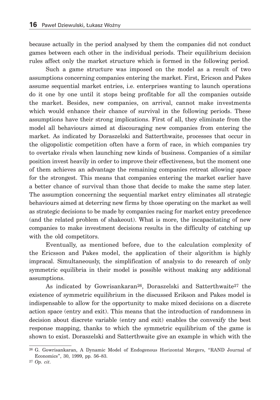because actually in the period analysed by them the companies did not conduct games between each other in the individual periods. Their equilibrium decision rules affect only the market structure which is formed in the following period.

Such a game structure was imposed on the model as a result of two assumptions concerning companies entering the market. First, Ericson and Pakes assume sequential market entries, i.e. enterprises wanting to launch operations do it one by one until it stops being profitable for all the companies outside the market. Besides, new companies, on arrival, cannot make investments which would enhance their chance of survival in the following periods. These assumptions have their strong implications. First of all, they eliminate from the model all behaviours aimed at discouraging new companies from entering the market. As indicated by Doraszelski and Satterthwaite, processes that occur in the oligopolistic competition often have a form of race, in which companies try to overtake rivals when launching new kinds of business. Companies of a similar position invest heavily in order to improve their effectiveness, but the moment one of them achieves an advantage the remaining companies retreat allowing space for the strongest. This means that companies entering the market earlier have a better chance of survival than those that decide to make the same step later. The assumption concerning the sequential market entry eliminates all strategic behaviours aimed at deterring new firms by those operating on the market as well as strategic decisions to be made by companies racing for market entry precedence (and the related problem of shakeout). What is more, the incapacitating of new companies to make investment decisions results in the difficulty of catching up with the old competitors.

Eventually, as mentioned before, due to the calculation complexity of the Ericsson and Pakes model, the application of their algorithm is highly impracal. Simultaneously, the simplification of analysis to do research of only symmetric equilibria in their model is possible without making any additional assumptions.

As indicated by Gowrisankaran<sup>26</sup>, Doraszelski and Satterthwaite<sup>27</sup> the existence of symmetric equilibrium in the discussed Erikson and Pakes model is indispensable to allow for the opportunity to make mixed decisions on a discrete action space (entry and exit). This means that the introduction of randomness in decision about discrete variable (entry and exit) enables the convexify the best response mapping, thanks to which the symmetric equilibrium of the game is shown to exist. Doraszelski and Satterthwaite give an example in which with the

<sup>26</sup> G. Gowrisankaran, A Dynamic Model of Endogenous Horizontal Mergers, "RAND Journal of Economics", 30, 1999, pp. 56–83.

<sup>27</sup> *Op. cit*.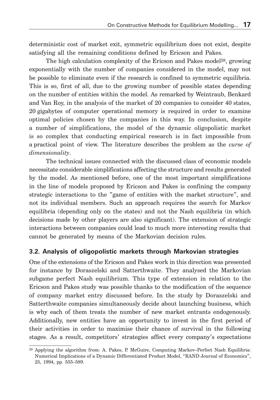deterministic cost of market exit, symmetric equilibrium does not exist, despite satisfying all the remaining conditions defined by Ericson and Pakes.

The high calculation complexity of the Ericson and Pakes model<sup>28</sup>, growing exponentially with the number of companies considered in the model, may not be possible to eliminate even if the research is confined to symmetric equilibria. This is so, first of all, due to the growing number of possible states depending on the number of entities within the model. As remarked by Weintraub, Benkard and Van Roy, in the analysis of the market of 20 companies to consider 40 states, 20 gigabytes of computer operational memory is required in order to examine optimal policies chosen by the companies in this way. In conclusion, despite a number of simplifications, the model of the dynamic oligopolistic market is so complex that conducting empirical research is in fact impossible from a practical point of view. The literature describes the problem as the *curse of dimensionality*.

The technical issues connected with the discussed class of economic models necessitate considerable simplifications affecting the structure and results generated by the model. As mentioned before, one of the most important simplifications in the line of models proposed by Ericson and Pakes is confining the company strategic interactions to the "game of entities with the market structure", and not its individual members. Such an approach requires the search for Markov equilibria (depending only on the states) and not the Nash equilibria (in which decisions made by other players are also significant). The extension of strategic interactions between companies could lead to much more interesting results that cannot be generated by means of the Markovian decision rules.

#### **3.2. Analysis of oligopolistic markets through Markovian strategies**

One of the extensions of the Ericson and Pakes work in this direction was presented for instance by Doraszelski and Satterthwaite. They analysed the Markovian subgame perfect Nash equilibrium. This type of extension in relation to the Ericson and Pakes study was possible thanks to the modification of the sequence of company market entry discussed before. In the study by Doraszelski and Satterthwaite companies simultaneously decide about launching business, which is why each of them treats the number of new market entrants endogenously. Additionally, new entities have an opportunity to invest in the first period of their activities in order to maximise their chance of survival in the following stages. As a result, competitors' strategies affect every company's expectations

<sup>28</sup> Applying the algorithm from: A. Pakes, P. McGuire, Computing Markov–Perfect Nash Equilibria: Numerical Implications of a Dynamic Differentiated Product Model, "RAND Journal of Economics", 25, 1994, pp. 555–589.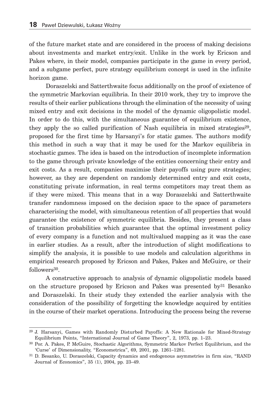of the future market state and are considered in the process of making decisions about investments and market entry/exit. Unlike in the work by Ericson and Pakes where, in their model, companies participate in the game in every period, and a subgame perfect, pure strategy equilibrium concept is used in the infinite horizon game.

Doraszelski and Satterthwaite focus additionally on the proof of existence of the symmetric Markovian equilibria. In their 2010 work, they try to improve the results of their earlier publications through the elimination of the necessity of using mixed entry and exit decisions in the model of the dynamic oligopolistic model. In order to do this, with the simultaneous guarantee of equilibrium existence, they apply the so called purification of Nash equilibria in mixed strategies<sup>29</sup>, proposed for the first time by Harsanyi's for static games. The authors modify this method in such a way that it may be used for the Markov equilibria in stochastic games. The idea is based on the introduction of incomplete information to the game through private knowledge of the entities concerning their entry and exit costs. As a result, companies maximise their payoffs using pure strategies; however, as they are dependent on randomly determined entry and exit costs, constituting private information, in real terms competitors may treat them as if they were mixed. This means that in a way Doraszelski and Satterthwaite transfer randomness imposed on the decision space to the space of parameters characterising the model, with simultaneous retention of all properties that would guarantee the existence of symmetric equilibria. Besides, they present a class of transition probabilities which guarantee that the optimal investment policy of every company is a function and not multivalued mapping as it was the case in earlier studies. As a result, after the introduction of slight modifications to simplify the analysis, it is possible to use models and calculation algorithms in empirical research proposed by Ericson and Pakes, Pakes and McGuire, or their followers<sup>30</sup>.

A constructive approach to analysis of dynamic oligopolistic models based on the structure proposed by Ericson and Pakes was presented  $by<sup>31</sup>$  Besanko and Doraszelski. In their study they extended the earlier analysis with the consideration of the possibility of forgetting the knowledge acquired by entities in the course of their market operations. Introducing the process being the reverse

<sup>29</sup> J. Harsanyi, Games with Randomly Disturbed Payoffs: A New Rationale for Mixed-Strategy Equilibrium Points, "International Journal of Game Theory", 2, 1973, pp. 1–23.

<sup>30</sup> Por. A. Pakes, P. McGuire, Stochastic Algorithms, Symmetric Markov Perfect Equilibrium, and the 'Curse' of Dimensionality, "Econometrica", 69, 2001, pp. 1261–1281.

<sup>31</sup> D. Besanko, U. Doraszelski, Capacity dynamics and endogenous asymmetries in firm size, "RAND Journal of Economics", 35 (1), 2004, pp. 23–49.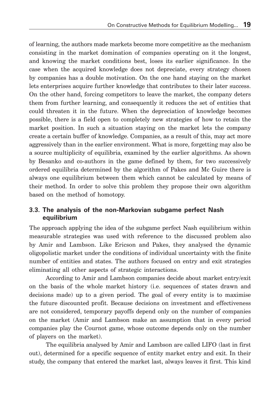of learning, the authors made markets become more competitive as the mechanism consisting in the market domination of companies operating on it the longest, and knowing the market conditions best, loses its earlier significance. In the case when the acquired knowledge does not depreciate, every strategy chosen by companies has a double motivation. On the one hand staying on the market lets enterprises acquire further knowledge that contributes to their later success. On the other hand, forcing competitors to leave the market, the company deters them from further learning, and consequently it reduces the set of entities that could threaten it in the future. When the depreciation of knowledge becomes possible, there is a field open to completely new strategies of how to retain the market position. In such a situation staying on the market lets the company create a certain buffer of knowledge. Companies, as a result of this, may act more aggressively than in the earlier environment. What is more, forgetting may also be a source multiplicity of equilibria, examined by the earlier algorithms. As shown by Besanko and co-authors in the game defined by them, for two successively ordered equilibria determined by the algorithm of Pakes and Mc Guire there is always one equilibrium between them which cannot be calculated by means of their method. In order to solve this problem they propose their own algorithm based on the method of homotopy.

#### **3.3. The analysis of the non-Markovian subgame perfect Nash equilibrium**

The approach applying the idea of the subgame perfect Nash equilibrium within measurable strategies was used with reference to the discussed problem also by Amir and Lambson. Like Ericson and Pakes, they analysed the dynamic oligopolistic market under the conditions of individual uncertainty with the finite number of entities and states. The authors focused on entry and exit strategies eliminating all other aspects of strategic interactions.

According to Amir and Lambson companies decide about market entry/exit on the basis of the whole market history (i.e. sequences of states drawn and decisions made) up to a given period. The goal of every entity is to maximise the future discounted profit. Because decisions on investment and effectiveness are not considered, temporary payoffs depend only on the number of companies on the market (Amir and Lambson make an assumption that in every period companies play the Cournot game, whose outcome depends only on the number of players on the market).

The equilibria analysed by Amir and Lambson are called LIFO (last in first out), determined for a specific sequence of entity market entry and exit. In their study, the company that entered the market last, always leaves it first. This kind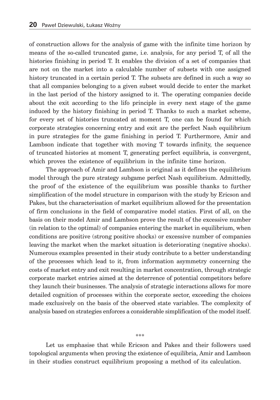of construction allows for the analysis of game with the infinite time horizon by means of the so-called truncated game, i.e. analysis, for any period T, of all the histories finishing in period T. It enables the division of a set of companies that are not on the market into a calculable number of subsets with one assigned history truncated in a certain period T. The subsets are defined in such a way so that all companies belonging to a given subset would decide to enter the market in the last period of the history assigned to it. The operating companies decide about the exit according to the lifo principle in every next stage of the game induced by the history finishing in period T. Thanks to such a market scheme, for every set of histories truncated at moment T, one can be found for which corporate strategies concerning entry and exit are the perfect Nash equilibrium in pure strategies for the game finishing in period T. Furthermore, Amir and Lambson indicate that together with moving T towards infinity, the sequence of truncated histories at moment T, generating perfect equilibria, is convergent, which proves the existence of equilibrium in the infinite time horizon.

The approach of Amir and Lambson is original as it defines the equilibrium model through the pure strategy subgame perfect Nash equilibrium. Admittedly, the proof of the existence of the equilibrium was possible thanks to further simplification of the model structure in comparison with the study by Ericson and Pakes, but the characterisation of market equilibrium allowed for the presentation of firm conclusions in the field of comparative model statics. First of all, on the basis on their model Amir and Lambson prove the result of the excessive number (in relation to the optimal) of companies entering the market in equilibrium, when conditions are positive (strong positive shocks) or excessive number of companies leaving the market when the market situation is deteriorating (negative shocks). Numerous examples presented in their study contribute to a better understanding of the processes which lead to it, from information asymmetry concerning the costs of market entry and exit resulting in market concentration, through strategic corporate market entries aimed at the deterrence of potential competitors before they launch their businesses. The analysis of strategic interactions allows for more detailed cognition of processes within the corporate sector, exceeding the choices made exclusively on the basis of the observed state variables. The complexity of analysis based on strategies enforces a considerable simplification of the model itself.

#### \*\*\*

Let us emphasise that while Ericson and Pakes and their followers used topological arguments when proving the existence of equilibria, Amir and Lambson in their studies construct equilibrium proposing a method of its calculation.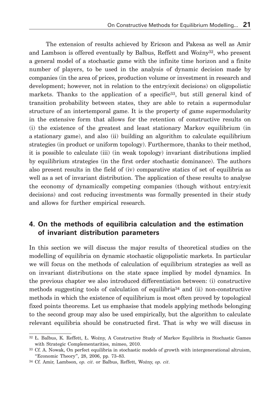The extension of results achieved by Ericson and Pakesa as well as Amir and Lambson is offered eventually by Balbus, Reffett and Woźny32, who present a general model of a stochastic game with the infinite time horizon and a finite number of players, to be used in the analysis of dynamic decision made by companies (in the area of prices, production volume or investment in research and development; however, not in relation to the entry/exit decisions) on oligopolistic markets. Thanks to the application of a specific<sup>33</sup>, but still general kind of transition probability between states, they are able to retain a supermodular structure of an intertemporal game. It is the property of game supermodularity in the extensive form that allows for the retention of constructive results on (i) the existence of the greatest and least stationary Markov equilibrium (in a stationary game), and also (ii) building an algorithm to calculate equilibrium strategies (in product or uniform topology). Furthermore, thanks to their method, it is possible to calculate (iii) (in weak topology) invariant distributions implied by equilibrium strategies (in the first order stochastic dominance). The authors also present results in the field of (iv) comparative statics of set of equilibria as well as a set of invariant distribution. The application of these results to analyse the economy of dynamically competing companies (though without entry/exit decisions) and cost reducing investments was formally presented in their study and allows for further empirical research.

#### **4. On the methods of equilibria calculation and the estimation of invariant distribution parameters**

In this section we will discuss the major results of theoretical studies on the modelling of equilibria on dynamic stochastic oligopolistic markets. In particular we will focus on the methods of calculation of equilibrium strategies as well as on invariant distributions on the state space implied by model dynamics. In the previous chapter we also introduced differentiation between: (i) constructive methods suggesting tools of calculation of equilibria34 and (ii) non-constructive methods in which the existence of equilibrium is most often proved by topological fixed points theorems. Let us emphasise that models applying methods belonging to the second group may also be used empirically, but the algorithm to calculate relevant equilibria should be constructed first. That is why we will discuss in

<sup>32</sup> Ł. Balbus, K. Reffett, Ł. Woźny, A Constructive Study of Markov Equilibria in Stochastic Games with Strategic Complementarities, mimeo, 2010.

<sup>&</sup>lt;sup>33</sup> Cf. A. Nowak, On perfect equilibria in stochastic models of growth with intergenerational altruism, "Economic Theory", 28, 2006, pp. 73–83.

<sup>34</sup> Cf. Amir, Lambson, *op. cit*. or Balbus, Reffett, Woźny, *op. cit*.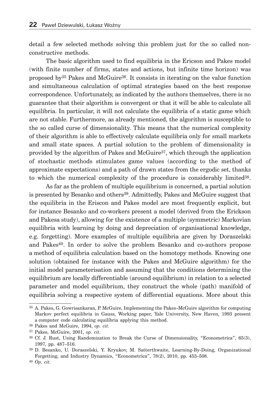detail a few selected methods solving this problem just for the so called nonconstructive methods.

The basic algorithm used to find equilibria in the Ericson and Pakes model (with finite number of firms, states and actions, but infinite time horizon) was proposed by35 Pakes and McGuire36. It consists in iterating on the value function and simultaneous calculation of optimal strategies based on the best response correspondence. Unfortunately, as indicated by the authors themselves, there is no guarantee that their algorithm is convergent or that it will be able to calculate all equilibria. In particular, it will not calculate the equilibria of a static game which are not stable. Furthermore, as already mentioned, the algorithm is susceptible to the so called curse of dimensionality. This means that the numerical complexity of their algorithm is able to effectively calculate equilibria only for small markets and small state spaces. A partial solution to the problem of dimensionality is provided by the algorithm of Pakes and McGuire37, which through the application of stochastic methods stimulates game values (according to the method of approximate expectations) and a path of drawn states from the ergodic set, thanks to which the numerical complexity of the procedure is considerably limited38.

As far as the problem of multiple equilibrium is concerned, a partial solution is presented by Besanko and others<sup>39</sup>. Admittedly, Pakes and McGuire suggest that the equilibria in the Eriscon and Pakes model are most frequently explicit, but for instance Besanko and co-workers present a model (derived from the Erickson and Pakesa study), allowing for the existence of a multiple (symmetric) Markovian equilibria with learning by doing and depreciation of organisational knowledge, e.g. forgetting). More examples of multiple equilibria are given by Doraszelski and Pakes40. In order to solve the problem Besanko and co-authors propose a method of equilibria calculation based on the homotopy methods. Knowing one solution (obtained for instance with the Pakes and McGuire algorithm) for the initial model parameterisation and assuming that the conditions determining the equilibrium are locally differentiable (around equilibrium) in relation to a selected parameter and model equilibrium, they construct the whole (path) manifold of equilibria solving a respective system of differential equations. More about this

<sup>35</sup> A. Pakes, G. Gowrisankaran, P. McGuire, Implementing the Pakes–McGuire algorithm for computing Markov perfect equilibria in Gauss, Working paper, Yale University, New Haven, 1993 present a computer code calculating equilibria applying this method.

<sup>36</sup> Pakes and McGuire, 1994, *op. cit*.

<sup>37</sup> Pakes, McGuire, 2001, *op. cit*.

<sup>38</sup> Cf. J. Rust, Using Randomization to Break the Curse of Dimensionality, "Econometrica", 65(3), 1997, pp. 487–516.

<sup>39</sup> D. Besanko, U. Doraszelski, Y. Kryukov, M. Satterthwaite, Learning-By-Doing, Organizational Forgetting, and Industry Dynamics, "Econometrica", 78(2), 2010, pp. 453–508.

<sup>40</sup> *Op. cit*.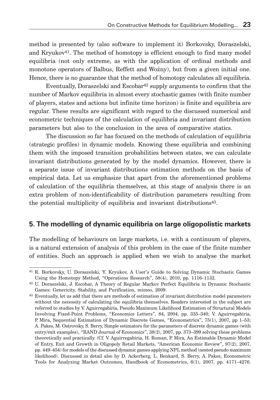method is presented by (also software to implement it) Borkovsky, Doraszelski, and Kryukov<sup>41</sup>. The method of homotopy is efficient enough to find many model equilibria (not only extreme, as with the application of ordinal methods and monotone operators of Balbus, Reffett and Woźny), but from a given initial one. Hence, there is no guarantee that the method of homotopy calculates all equilibria.

Eventually, Doraszelski and Escobar42 supply arguments to confirm that the number of Markov equilibria in almost every stochastic games (with finite number of players, states and actions but infinite time horizon) is finite and equilibria are regular. These results are significant with regard to the discussed numerical and econometric techniques of the calculation of equilibria and invariant distribution parameters but also to the conclusion in the area of comparative statics.

The discussion so far has focused on the methods of calculation of equilibria (strategic profiles) in dynamic models. Knowing these equilibria and combining them with the imposed transition probabilities between states, we can calculate invariant distributions generated by by the model dynamics. However, there is a separate issue of invariant distributions estimation methods on the basis of empirical data. Let us emphasize that apart from the aforementioned problems of calculation of the equilibria themselves, at this stage of analysis there is an extra problem of non-identificability of distribution parameters resulting from the potential multiplicity of equilibria and invariant distributions43.

#### **5. The modelling of dynamic equilibria on large oligopolistic markets**

The modelling of behaviours on large markets, i.e. with a continuum of players, is a natural extension of analysis of this problem in the case of the finite number of entities. Such an approach is applied when we wish to analyse the market

<sup>41</sup> R. Borkovsky, U. Doraszelski, Y. Kryukov, A User's Guide to Solving Dynamic Stochastic Games Using the Homotopy Method, "Operations Research", 58(4), 2010, pp. 1116–1132.

<sup>42</sup> U. Doraszelski, J. Escobar, A Theory of Regular Markov Perfect Equilibria in Dynamic Stochastic Games: Genericity, Stability, and Purification, mimeo, 2009.

<sup>&</sup>lt;sup>43</sup> Eventually, let us add that there are methods of estimation of invariant distribution model parameters without the necessity of calculating the equilibria themselves. Readers interested in the subject are referred to studies by V. Aguirregabiria, Pseudo Maximum Likelihood Estimation of Structural Models Involving Fixed-Point Problems, "Economics Letters", 84, 2004, pp. 335–340; V. Aguirregabiria, P. Mira, Sequential Estimation of Dynamic Discrete Games, "Econometrica", 75(1), 2007, pp 1–53; A. Pakes, M. Ostrovsky, S. Berry, Simple estimators for the parameters of discrete dynamic games (with entry/exit examples), "RAND Journal of Economics", 38(2), 2007, pp. 373–399 solving these problems theoretically and practically. (Cf. V. Aguirregabiria, H. Roman, P. Mira, An Estimable Dynamic Model of Entry, Exit and Growth in Oligopoly Retail Markets, "American Economic Review", 97(2), 2007, pp. 449–454) for models of the discussed dynamic games applying NPL method (nested pseudo maximum likelihood). Discussed in detail also by D. Ackerberg, L. Benkard, S. Berry, A. Pakes, Econometric Tools for Analyzing Market Outcomes, Handbook of Econometrics, 6(1), 2007, pp. 4171–4276.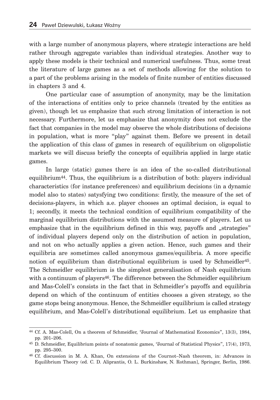with a large number of anonymous players, where strategic interactions are held rather through aggregate variables than individual strategies. Another way to apply these models is their technical and numerical usefulness. Thus, some treat the literature of large games as a set of methods allowing for the solution to a part of the problems arising in the models of finite number of entities discussed in chapters 3 and 4.

One particular case of assumption of anonymity, may be the limitation of the interactions of entities only to price channels (treated by the entities as given), though let us emphasize that such strong limitation of interaction is not necessary. Furthermore, let us emphasize that anonymity does not exclude the fact that companies in the model may observe the whole distributions of decisions in population, what is more "play" against them. Before we present in detail the application of this class of games in research of equilibrium on oligopolistic markets we will discuss briefly the concepts of equilibria applied in large static games.

In large (static) games there is an idea of the so-called distributional equilibrium44. Thus, the equilibrium is a distribution of both: players individual characteristics (for instance preferences) and equilibrium decisions (in a dynamic model also to states) satysfying two conditions: firstly, the measure of the set of decisions-players, in which a.e. player chooses an optimal decision, is equal to 1; secondly, it meets the technical condition of equilibrium compatibility of the marginal equilibrium distributions with the assumed measure of players. Let us emphasize that in the equilibrium defined in this way, payoffs and "strategies" of individual players depend only on the distribution of action in population, and not on who actually applies a given action. Hence, such games and their equilibria are sometimes called anonymous games/equilibria. A more specific notion of equilibrium than distributional equilibrium is used by Schmeidler45. The Schmeidler equilibrium is the simplest generalisation of Nash equilibrium with a continuum of players<sup>46</sup>. The difference between the Schmeidler equilibrium and Mas-Colell's consists in the fact that in Schmeidler's payoffs and equilibria depend on which of the continuum of entities chooses a given strategy, so the game stops being anonymous. Hence, the Schmeidler equilibrium is called strategy equilibrium, and Mas-Colell's distributional equilibrium. Let us emphasize that

<sup>44</sup> Cf. A. Mas-Colell, On a theorem of Schmeidler, "Journal of Mathematical Economics", 13(3), 1984, pp. 201–206.

<sup>45</sup> D. Schmeidler, Equilibrium points of nonatomic games, "Journal of Statistical Physics", 17(4), 1973, pp. 295–300.

<sup>46</sup> Cf. discussion in M. A. Khan, On extensions of the Cournot–Nash theorem, in: Advances in Equilibrium Theory (ed. C. D. Aliprantis, O. L. Burkinshaw, N. Rothman], Springer, Berlin, 1986.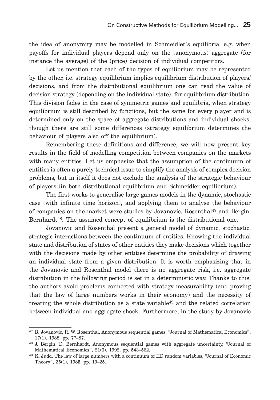the idea of anonymity may be modelled in Schmeidler's equilibria, e.g. when payoffs for individual players depend only on the (anonymous) aggregate (for instance the average) of the (price) decision of individual competitors.

Let us mention that each of the types of equilibrium may be represented by the other, i.e. strategy equilibrium implies equilibrium distribution of players/ decisions, and from the distributional equilibrium one can read the value of decision strategy (depending on the individual state), for equilibrium distribution. This division fades in the case of symmetric games and equilibria, when strategy equilibrium is still described by functions, but the same for every player and is determined only on the space of aggregate distributions and individual shocks; though there are still some differences (strategy equilibrium determines the behaviour of players also off the equilibrium).

Remembering these definitions and difference, we will now present key results in the field of modelling competition between companies on the markets with many entities. Let us emphasize that the assumption of the continuum of entities is often a purely technical issue to simplify the analysis of complex decision problems, but in itself it does not exclude the analysis of the strategic behaviour of players (in both distributional equilibrium and Schmeidler equilibrium).

The first works to generalise large games models in the dynamic, stochastic case (with infinite time horizon), and applying them to analyse the behaviour of companies on the market were studies by Jovanovic, Rosenthal47 and Bergin, Bernhardt48. The assumed concept of equilibrium is the distributional one.

Jovanovic and Rosenthal present a general model of dynamic, stochastic, strategic interactions between the continuum of entities. Knowing the individual state and distribution of states of other entities they make decisions which together with the decisions made by other entities determine the probability of drawing an individual state from a given distribution. It is worth emphasizing that in the Jovanovic and Rosenthal model there is no aggregate risk, i.e. aggregate distribution in the following period is set in a deterministic way. Thanks to this, the authors avoid problems connected with strategy measurability (and proving that the law of large numbers works in their economy) and the necessity of treating the whole distribution as a state variable<sup>49</sup> and the related correlation between individual and aggregate shock. Furthermore, in the study by Jovanovic

<sup>47</sup> B. Jovanovic, R. W. Rosenthal, Anonymous sequential games, "Journal of Mathematical Economics", 17(1), 1988, pp. 77–87.

<sup>48</sup> J. Bergin, D. Bernhardt, Anonymous sequential games with aggregate uncertainty, "Journal of Mathematical Economics", 21(6), 1992, pp. 543–562.

<sup>49</sup> K. Judd, The law of large numbers with a continuum of IID random variables, "Journal of Economic Theory", 35(1), 1985, pp. 19–25.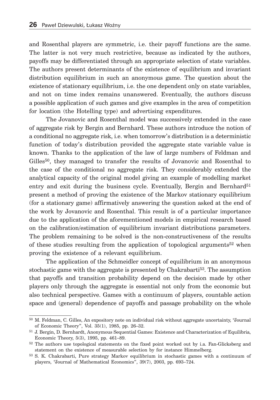and Rosenthal players are symmetric, i.e. their payoff functions are the same. The latter is not very much restrictive, because as indicated by the authors, payoffs may be differentiated through an appropriate selection of state variables. The authors present determinants of the existence of equilibrium and invariant distribution equilibrium in such an anonymous game. The question about the existence of stationary equilibrium, i.e. the one dependent only on state variables, and not on time index remains unanswered. Eventually, the authors discuss a possible application of such games and give examples in the area of competition for location (the Hotelling type) and advertising expenditures.

The Jovanovic and Rosenthal model was successively extended in the case of aggregate risk by Bergin and Bernhard. These authors introduce the notion of a conditional no aggregate risk, i.e. when tomorrow's distribution is a deterministic function of today's distribution provided the aggregate state variable value is known. Thanks to the application of the law of large numbers of Feldman and Gilles<sup>50</sup>, they managed to transfer the results of Jovanovic and Rosenthal to the case of the conditional no aggregate risk. They considerably extended the analytical capacity of the original model giving an example of modelling market entry and exit during the business cycle. Eventually, Bergin and Bernhard<sup>51</sup> present a method of proving the existence of the Markov stationary equilibrium (for a stationary game) affirmatively answering the question asked at the end of the work by Jovanovic and Rosenthal. This result is of a particular importance due to the application of the aforementioned models in empirical research based on the calibration/estimation of equilibrium invariant distributions parameters. The problem remaining to be solved is the non-constructiveness of the results of these studies resulting from the application of topological arguments52 when proving the existence of a relevant equilibrium.

The application of the Schmeidler concept of equilibrium in an anonymous stochastic game with the aggregate is presented by Chakrabarti53. The assumption that payoffs and transition probability depend on the decision made by other players only through the aggregate is essential not only from the economic but also technical perspective. Games with a continuum of players, countable action space and (general) dependence of payoffs and passage probability on the whole

<sup>50</sup> M. Feldman, C. Gilles, An expository note on individual risk without aggregate uncertainty, "Journal of Economic Theory", Vol. 35(1), 1985, pp. 26–32.

<sup>51</sup> J. Bergin, D. Bernhardt, Anonymous Sequential Games: Existence and Characterization of Equilibria, Economic Theory, 5(3), 1995, pp. 461–89.

<sup>&</sup>lt;sup>52</sup> The authors use topological statements on the fixed point worked out by i.a. Fan-Glicksberg and statement on the existence of measurable selection by for instance Himmelberg.

<sup>53</sup> S. K. Chakrabarti, Pure strategy Markov equilibrium in stochastic games with a continuum of players, "Journal of Mathematical Economics", 39(7), 2003, pp. 693–724.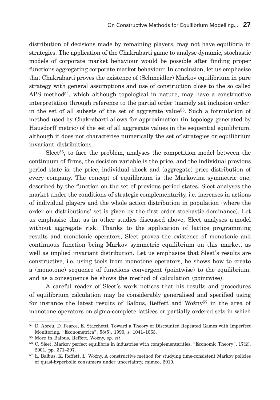distribution of decisions made by remaining players, may not have equilibria in strategies. The application of the Chakrabarti game to analyse dynamic, stochastic models of corporate market behaviour would be possible after finding proper functions aggregating corporate market behaviour. In conclusion, let us emphasise that Chakrabarti proves the existence of (Schmeidler) Markov equilibrium in pure strategy with general assumptions and use of construction close to the so called APS method<sup>54</sup>, which although topological in nature, may have a constructive interpretation through reference to the partial order (namely set inclusion order) in the set of all subsets of the set of aggregate value55. Such a formulation of method used by Chakrabarti allows for approximation (in topology generated by Hausdorff metric) of the set of all aggregate values in the sequential equilibrium, although it does not characterise numerically the set of strategies or equilibrium invariant distributions.

Sleet<sup>56</sup>, to face the problem, analyses the competition model between the continuum of firms, the decision variable is the price, and the individual previous period state is: the price, individual shock and (aggregate) price distribution of every company. The concept of equilibrium is the Markovina symmetric one, described by the function on the set of previous period states. Sleet analyses the market under the conditions of strategic complementarity, i.e. increases in actions of individual players and the whole action distribution in population (where the order on distributions' set is given by the first order stochastic dominance). Let us emphasise that as in other studies discussed above, Sleet analyses a model without aggregate risk. Thanks to the application of lattice programming results and monotonic operators, Sleet proves the existence of monotonic and continuous function being Markov symmetric equilibrium on this market, as well as implied invariant distribution. Let us emphasize that Sleet's results are constructive, i.e. using tools from monotone operators, he shows how to create a (monotone) sequence of functions convergent (pointwise) to the equilibrium, and as a consequence he shows the method of calculation (pointwise).

A careful reader of Sleet's work notices that his results and procedures of equilibrium calculation may be considerably generalised and specified using for instance the latest results of Balbus, Reffett and Wo  $\zeta$ <sup>57</sup> in the area of monotone operators on sigma-complete lattices or partially ordered sets in which

<sup>54</sup> D. Abreu, D. Pearce, E. Stacchetti, Toward a Theory of Discounted Repeated Games with Imperfect Monitoring, "Econometrica", 58(5), 1990, s. 1041–1063.

<sup>55</sup> More in Balbus, Reffett, Woźny, *op. cit*.

<sup>56</sup> C. Sleet, Markov perfect equilibria in industries with complementarities, "Economic Theory", 17(2), 2001, pp. 371–397.

<sup>57</sup> Ł. Balbus, K. Reffett, Ł. Woźny, A constructive method for studying time-consistent Markov policies of quasi-hyperbolic consumers under uncertainty, mimeo, 2010.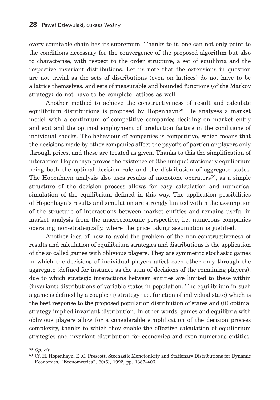every countable chain has its supremum. Thanks to it, one can not only point to the conditions necessary for the convergence of the proposed algorithm but also to characterise, with respect to the order structure, a set of equilibria and the respective invariant distributions. Let us note that the extensions in question are not trivial as the sets of distributions (even on lattices) do not have to be a lattice themselves, and sets of measurable and bounded functions (of the Markov strategy) do not have to be complete lattices as well.

Another method to achieve the constructiveness of result and calculate equilibrium distributions is proposed by Hopenhayn<sup>58</sup>. He analyses a market model with a continuum of competitive companies deciding on market entry and exit and the optimal employment of production factors in the conditions of individual shocks. The behaviour of companies is competitive, which means that the decisions made by other companies affect the payoffs of particular players only through prices, and these are treated as given. Thanks to this the simplification of interaction Hopenhayn proves the existence of (the unique) stationary equilibrium being both the optimal decision rule and the distribution of aggregate states. The Hopenhayn analysis also uses results of monotone operators59, as a simple structure of the decision process allows for easy calculation and numerical simulation of the equilibrium defined in this way. The application possibilities of Hopenhayn's results and simulation are strongly limited within the assumption of the structure of interactions between market entities and remains useful in market analysis from the macroeconomic perspective, i.e. numerous companies operating non-strategically, where the price taking assumption is justified.

Another idea of how to avoid the problem of the non-constructiveness of results and calculation of equilibrium strategies and distributions is the application of the so called games with oblivious players. They are symmetric stochastic games in which the decisions of individual players affect each other only through the aggregate (defined for instance as the sum of decisions of the remaining players), due to which strategic interactions between entities are limited to these within (invariant) distributions of variable states in population. The equilibrium in such a game is defined by a couple: (i) strategy (i.e. function of individual state) which is the best response to the proposed population distribution of states and (ii) optimal strategy implied invariant distribution. In other words, games and equilibria with oblivious players allow for a considerable simplification of the decision process complexity, thanks to which they enable the effective calculation of equilibrium strategies and invariant distribution for economies and even numerous entities.

<sup>58</sup> *Op. cit*.

<sup>59</sup> Cf. H. Hopenhayn, E .C. Prescott, Stochastic Monotonicity and Stationary Distributions for Dynamic Economies, "Econometrica", 60(6), 1992, pp. 1387–406.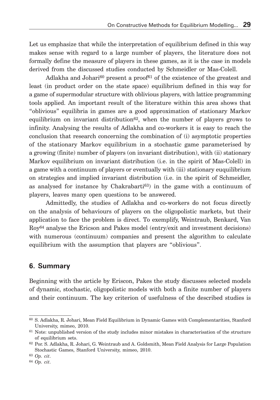Let us emphasize that while the interpretation of equilibrium defined in this way makes sense with regard to a large number of players, the literature does not formally define the measure of players in these games, as it is the case in models derived from the discussed studies conducted by Schmeidler or Mas-Colell.

Adlakha and Johari<sup>60</sup> present a proof<sup>61</sup> of the existence of the greatest and least (in product order on the state space) equilibrium defined in this way for a game of supermodular structure with oblivious players, with lattice programming tools applied. An important result of the literature within this area shows that "oblivious" equilibria in games are a good approximation of stationary Markov equilibrium on invariant distribution $62$ , when the number of players grows to infinity. Analysing the results of Adlakha and co-workers it is easy to reach the conclusion that research concerning the combination of (i) asymptotic properties of the stationary Markov equilibrium in a stochastic game parameterised by a growing (finite) number of players (on invariant distribution), with (ii) stationary Markov equilibrium on invariant distribution (i.e. in the spirit of Mas-Colell) in a game with a continuum of players or eventually with (iii) stationary euquilibrium on strategies and implied invariant distribution (i.e. in the spirit of Schmeidler, as analysed for instance by Chakrabarti<sup>63</sup>) in the game with a continuum of players, leaves many open questions to be answered.

Admittedly, the studies of Adlakha and co-workers do not focus directly on the analysis of behaviours of players on the oligopolistic markets, but their application to face the problem is direct. To exemplify, Weintraub, Benkard, Van Roy64 analyse the Ericson and Pakes model (entry/exit and investment decisions) with numerous (continuum) companies and present the algorithm to calculate equilibrium with the assumption that players are "oblivious".

#### **6. Summary**

Beginning with the article by Eriscon, Pakes the study discusses selected models of dynamic, stochastic, oligopolistic models with both a finite number of players and their continuum. The key criterion of usefulness of the described studies is

<sup>60</sup> S. Adlakha, R. Johari, Mean Field Equilibrium in Dynamic Games with Complementarities, Stanford University, mimeo, 2010.

<sup>61</sup> Note: unpublished version of the study includes minor mistakes in characterisation of the structure of equilibrium sets.

<sup>62</sup> Por. S. Adlakha, R. Johari, G. Weintraub and A. Goldsmith, Mean Field Analysis for Large Population Stochastic Games, Stanford University, mimeo, 2010.

<sup>63</sup> *Op. cit*.

<sup>64</sup> *Op. cit*.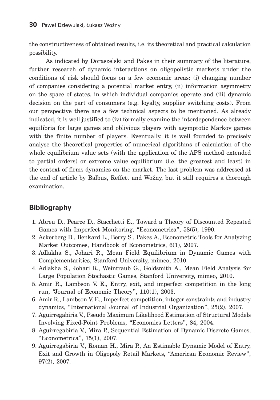the constructiveness of obtained results, i.e. its theoretical and practical calculation possibility.

As indicated by Doraszelski and Pakes in their summary of the literature, further research of dynamic interactions on oligopolistic markets under the conditions of risk should focus on a few economic areas: (i) changing number of companies considering a potential market entry, (ii) information asymmetry on the space of states, in which individual companies operate and (iii) dynamic decision on the part of consumers (e.g. loyalty, supplier switching costs). From our perspective there are a few technical aspects to be mentioned. As already indicated, it is well justified to (iv) formally examine the interdependence between equilibria for large games and oblivious players with asymptotic Markov games with the finite number of players. Eventually, it is well founded to precisely analyse the theoretical properties of numerical algorithms of calculation of the whole equilibrium value sets (with the application of the APS method extended to partial orders) or extreme value equilibrium (i.e. the greatest and least) in the context of firms dynamics on the market. The last problem was addressed at the end of article by Balbus, Reffett and Woźny, but it still requires a thorough examination.

#### **Bibliography**

- 1. Abreu D., Pearce D., Stacchetti E., Toward a Theory of Discounted Repeated Games with Imperfect Monitoring, "Econometrica", 58(5), 1990.
- 2. Ackerberg D., Benkard L., Berry S., Pakes A., Econometric Tools for Analyzing Market Outcomes, Handbook of Econometrics, 6(1), 2007.
- 3. Adlakha S., Johari R., Mean Field Equilibrium in Dynamic Games with Complementarities, Stanford University, mimeo, 2010.
- 4. Adlakha S., Johari R., Weintraub G., Goldsmith A., Mean Field Analysis for Large Population Stochastic Games, Stanford University, mimeo, 2010.
- 5. Amir R., Lambson V. E., Entry, exit, and imperfect competition in the long run, "Journal of Economic Theory", 110(1), 2003.
- 6. Amir R., Lambson V. E., Imperfect competition, integer constraints and industry dynamics, "International Journal of Industrial Organization", 25(2), 2007.
- 7. Aguirregabiria V., Pseudo Maximum Likelihood Estimation of Structural Models Involving Fixed-Point Problems, "Economics Letters", 84, 2004.
- 8. Aguirregabiria V., Mira P., Sequential Estimation of Dynamic Discrete Games, "Econometrica", 75(1), 2007.
- 9. Aguirregabiria V., Roman H., Mira P., An Estimable Dynamic Model of Entry, Exit and Growth in Oligopoly Retail Markets, "American Economic Review", 97(2), 2007.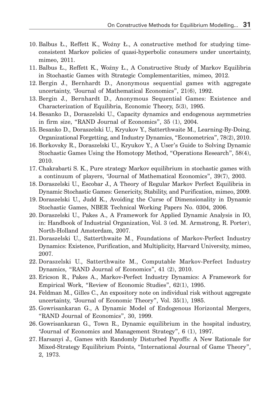- 10. Balbus Ł., Reffett K., Woźny Ł., A constructive method for studying timeconsistent Markov policies of quasi-hyperbolic consumers under uncertainty, mimeo, 2011.
- 11. Balbus Ł., Reffett K., Woźny Ł., A Constructive Study of Markov Equilibria in Stochastic Games with Strategic Complementarities, mimeo, 2012.
- 12. Bergin J., Bernhardt D., Anonymous sequential games with aggregate uncertainty, "Journal of Mathematical Economics", 21(6), 1992.
- 13. Bergin J., Bernhardt D., Anonymous Sequential Games: Existence and Characterization of Equilibria, Economic Theory, 5(3), 1995.
- 14. Besanko D., Doraszelski U., Capacity dynamics and endogenous asymmetries in firm size, "RAND Journal of Economics", 35 (1), 2004.
- 15. Besanko D., Doraszelski U., Kryukov Y., Satterthwaite M., Learning-By-Doing, Organizational Forgetting, and Industry Dynamics, "Econometrica", 78(2), 2010.
- 16. Borkovsky R., Doraszelski U., Kryukov Y., A User's Guide to Solving Dynamic Stochastic Games Using the Homotopy Method, "Operations Research", 58(4), 2010.
- 17. Chakrabarti S. K., Pure strategy Markov equilibrium in stochastic games with a continuum of players, "Journal of Mathematical Economics", 39(7), 2003.
- 18. Doraszelski U., Escobar J., A Theory of Regular Markov Perfect Equilibria in Dynamic Stochastic Games: Genericity, Stability, and Purification, mimeo, 2009.
- 19. Doraszelski U., Judd K., Avoiding the Curse of Dimensionality in Dynamic Stochastic Games, NBER Technical Working Papers No. 0304, 2006.
- 20. Doraszelski U., Pakes A., A Framework for Applied Dynamic Analysis in IO, in: Handbook of Industrial Organization, Vol. 3 (ed. M. Armstrong, R. Porter), North-Holland Amsterdam, 2007.
- 21. Doraszelski U., Satterthwaite M., Foundations of Markov-Perfect Industry Dynamics: Existence, Purification, and Multiplicity, Harvard University, mimeo, 2007.
- 22. Doraszelski U., Satterthwaite M., Computable Markov-Perfect Industry Dynamics, "RAND Journal of Economics", 41 (2), 2010.
- 23. Ericson R., Pakes A., Markov-Perfect Industry Dynamics: A Framework for Empirical Work, "Review of Economic Studies", 62(1), 1995.
- 24. Feldman M., Gilles C., An expository note on individual risk without aggregate uncertainty, "Journal of Economic Theory", Vol. 35(1), 1985.
- 25. Gowrisankaran G., A Dynamic Model of Endogenous Horizontal Mergers, "RAND Journal of Economics", 30, 1999.
- 26. Gowrisankaran G., Town R., Dynamic equilibrium in the hospital industry, "Journal of Economics and Management Strategy", 6 (1), 1997.
- 27. Harsanyi J., Games with Randomly Disturbed Payoffs: A New Rationale for Mixed-Strategy Equilibrium Points, "International Journal of Game Theory", 2, 1973.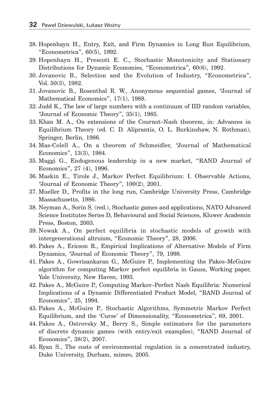- 28. Hopenhayn H., Entry, Exit, and Firm Dynamics in Long Run Equilibrium, "Econometrica", 60(5), 1992.
- 29. Hopenhayn H., Prescott E. C., Stochastic Monotonicity and Stationary Distributions for Dynamic Economies, "Econometrica", 60(6), 1992.
- 30. Jovanovic B., Selection and the Evolution of Industry, "Econometrica", Vol. 50(3), 1982.
- 31. Jovanovic B., Rosenthal R. W., Anonymous sequential games, "Journal of Mathematical Economics", 17(1), 1988.
- 32. Judd K., The law of large numbers with a continuum of IID random variables, "Journal of Economic Theory", 35(1), 1985.
- 33. Khan M. A., On extensions of the Cournot–Nash theorem, in: Advances in Equilibrium Theory (ed. C. D. Aliprantis, O. L. Burkinshaw, N. Rothman), Springer, Berlin, 1986.
- 34. Mas-Colell A., On a theorem of Schmeidler, "Journal of Mathematical Economics", 13(3), 1984.
- 35. Maggi G., Endogenous leadership in a new market, "RAND Journal of Economics", 27 (4), 1996.
- 36. Maskin E., Tirole J., Markov Perfect Equilibrium: I. Observable Actions, "Journal of Economic Theory", 100(2), 2001.
- 37. Mueller D., Profits in the long run, Cambridge University Press, Cambridge Massachusetts, 1986.
- 38. Neyman A., Sorin S. (red.), Stochastic games and applications, NATO Advanced Science Institutes Series D, Behavioural and Social Sciences, Kluwer Academin Press, Boston, 2003.
- 39. Nowak A., On perfect equilibria in stochastic models of growth with intergenerational altruism, "Economic Theory", 28, 2006.
- 40. Pakes A., Ericson R., Empirical Implications of Alternative Models of Firm Dynamics, "Journal of Economic Theory", 79, 1998.
- 41. Pakes A., Gowrisankaran G., McGuire P., Implementing the Pakes–McGuire algorithm for computing Markov perfect equilibria in Gauss, Working paper, Yale University, New Haven, 1993.
- 42. Pakes A., McGuire P., Computing Markov–Perfect Nash Equilibria: Numerical Implications of a Dynamic Differentiated Product Model, "RAND Journal of Economics", 25, 1994.
- 43. Pakes A., McGuire P., Stochastic Algorithms, Symmetric Markov Perfect Equilibrium, and the 'Curse' of Dimensionality, "Econometrica", 69, 2001.
- 44. Pakes A., Ostrovsky M., Berry S., Simple estimators for the parameters of discrete dynamic games (with entry/exit examples), "RAND Journal of Economics", 38(2), 2007.
- 45. Ryan S., The costs of environmental regulation in a concentrated industry, Duke University, Durham, mimeo, 2005.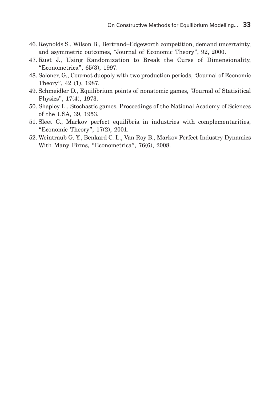- 46. Reynolds S., Wilson B., Bertrand–Edgeworth competition, demand uncertainty, and asymmetric outcomes, "Journal of Economic Theory", 92, 2000.
- 47. Rust J., Using Randomization to Break the Curse of Dimensionality, "Econometrica", 65(3), 1997.
- 48. Saloner, G., Cournot duopoly with two production periods, "Journal of Economic Theory", 42 (1), 1987.
- 49. Schmeidler D., Equilibrium points of nonatomic games, "Journal of Statisitical Physics", 17(4), 1973.
- 50. Shapley L., Stochastic games, Proceedings of the National Academy of Sciences of the USA, 39, 1953.
- 51. Sleet C., Markov perfect equilibria in industries with complementarities, "Economic Theory", 17(2), 2001.
- 52. Weintraub G. Y., Benkard C. L., Van Roy B., Markov Perfect Industry Dynamics With Many Firms, "Econometrica", 76(6), 2008.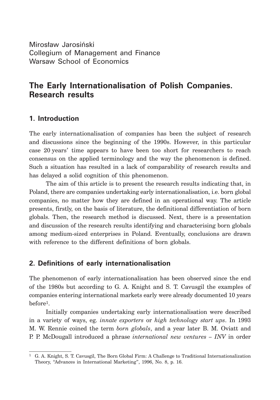Mirosław Jarosiński Collegium of Management and Finance Warsaw School of Economics

### **The Early Internationalisation of Polish Companies. Research results**

#### **1. Introduction**

The early internationalisation of companies has been the subject of research and discussions since the beginning of the 1990s. However, in this particular case 20 years' time appears to have been too short for researchers to reach consensus on the applied terminology and the way the phenomenon is defined. Such a situation has resulted in a lack of comparability of research results and has delayed a solid cognition of this phenomenon.

The aim of this article is to present the research results indicating that, in Poland, there are companies undertaking early internationalisation, i.e. born global companies, no matter how they are defined in an operational way. The article presents, firstly, on the basis of literature, the definitional differentiation of born globals. Then, the research method is discussed. Next, there is a presentation and discussion of the research results identifying and characterising born globals among medium-sized enterprises in Poland. Eventually, conclusions are drawn with reference to the different definitions of born globals.

#### **2. Definitions of early internationalisation**

The phenomenon of early internationalisation has been observed since the end of the 1980s but according to G. A. Knight and S. T. Cavusgil the examples of companies entering international markets early were already documented 10 years before1.

Initially companies undertaking early internationalisation were described in a variety of ways, eg. *innate exporters* or *high technology start ups*. In 1993 M. W. Rennie coined the term *born globals*, and a year later B. M. Oviatt and P. P. McDougall introduced a phrase *international new ventures – INV* in order

<sup>1</sup> G. A. Knight, S. T. Cavusgil, The Born Global Firm: A Challenge to Traditional Internationalization Theory, "Advances in International Marketing", 1996, No. 8, p. 16.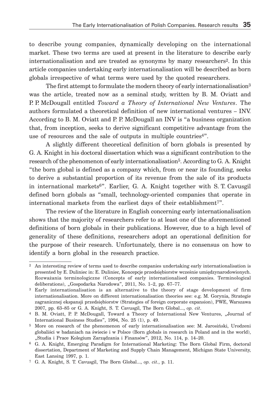to describe young companies, dynamically developing on the international market. These two terms are used at present in the literature to describe early internationalisation and are treated as synonyms by many researchers2. In this article companies undertaking early internationalisation will be described as born globals irrespective of what terms were used by the quoted researchers.

The first attempt to formulate the modern theory of early internationalisation<sup>3</sup> was the article, treated now as a seminal study, written by B. M. Oviatt and P. P. McDougall entitled *Toward a Theory of International New Ventures*. The authors formulated a theoretical definition of new international ventures – INV. According to B. M. Oviatt and P. P. McDougall an INV is "a business organization that, from inception, seeks to derive significant competitive advantage from the use of resources and the sale of outputs in multiple countries4".

A slightly different theoretical definition of born globals is presented by G. A. Knight in his doctoral dissertation which was a significant contribution to the research of the phenomenon of early internationalisation5. According to G. A. Knight "the born global is defined as a company which, from or near its founding, seeks to derive a substantial proportion of its revenue from the sale of its products in international markets6". Earlier, G. A. Knight together with S. T. Cavusgil defined born globals as "small, technology-oriented companies that operate in international markets from the earliest days of their establishment7".

The review of the literature in English concerning early internationalisation shows that the majority of researchers refer to at least one of the aforementioned definitions of born globals in their publications. However, due to a high level of generality of these definitions, researchers adopt an operational definition for the purpose of their research. Unfortunately, there is no consensus on how to identify a born global in the research practice.

<sup>2</sup> An interesting review of terms used to describe companies undertaking early internationalisation is presented by E. Duliniec in: E. Duliniec, Koncepcje przedsiębiorstw wcześnie umiędzynarodowionych. Rozważania terminologiczne (Concepts of early internationalised companies. Terminological deliberations), "Gospodarka Narodowa", 2011, No. 1-2, pp. 67-77.

<sup>3</sup> Early internationalisation is an alternative to the theory of stage development of firm internationalisation. More on different internationalisation theories see: e.g. M. Gorynia, Strategie zagranicznej ekspansji przedsiębiorstw (Strategies of foreign corporate expansion), PWE, Warszawa 2007, pp. 63–85 or G. A. Knight, S. T. Cavusgil, The Born Global..., *op. cit*.

<sup>&</sup>lt;sup>4</sup> B. M. Oviatt, P. P. McDougall, Toward a Theory of International New Ventures, "Journal of International Business Studies", 1994, No. 25 (1), p. 49.

<sup>5</sup> More on research of the phenomenon of early internationalisation see: M. Jarosiński, Urodzeni globaliści w badaniach na świecie i w Polsce (Born globals in research in Poland and in the world), "Studia i Prace Kolegium Zarządzania i Finansów", 2012, No. 114, p. 14-20.

<sup>6</sup> G. A. Knight, Emerging Paradigm for International Marketing: The Born Global Firm, doctoral dissertation, Department of Marketing and Supply Chain Management, Michigan State University, East Lansing 1997, p. 1.

<sup>7</sup> G. A. Knight, S. T. Cavusgil, The Born Global..., *op. cit.*, p. 11.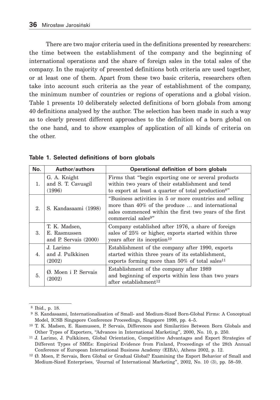There are two major criteria used in the definitions presented by researchers: the time between the establishment of the company and the beginning of international operations and the share of foreign sales in the total sales of the company. In the majority of presented definitions both criteria are used together, or at least one of them. Apart from these two basic criteria, researchers often take into account such criteria as the year of establishment of the company, the minimum number of countries or regions of operations and a global vision. Table 1 presents 10 deliberately selected definitions of born globals from among 40 definitions analysed by the author. The selection has been made in such a way as to clearly present different approaches to the definition of a born global on the one hand, and to show examples of application of all kinds of criteria on the other.

| No. | <b>Author/authors</b>                                    | Operational definition of born globals                                                                                                                                                                   |
|-----|----------------------------------------------------------|----------------------------------------------------------------------------------------------------------------------------------------------------------------------------------------------------------|
| 1.  | G. A. Knight<br>and S. T. Cavusgil<br>(1996)             | Firms that "begin exporting one or several products"<br>within two years of their establishment and tend<br>to export at least a quarter of total production <sup>8"</sup>                               |
| 2.  | S. Kandasaami (1998)                                     | "Business activities in 5 or more countries and selling"<br>more than 40% of the produce  and international<br>sales commenced within the first two years of the first<br>commercial sales <sup>9"</sup> |
| 3.  | T. K. Madsen,<br>E. Rasmussen<br>and P. Servais $(2000)$ | Company established after 1976, a share of foreign<br>sales of 25% or higher, exports started within three<br>years after its inception <sup>10</sup>                                                    |
| 4.  | J. Larimo<br>and J. Pulkkinen<br>(2002)                  | Establishment of the company after 1990, exports<br>started within three years of its establishment,<br>exports forming more than $50\%$ of total sales <sup>11</sup>                                    |
| 5.  | Ø. Moen i P. Servais<br>(2002)                           | Establishment of the company after 1989<br>and beginning of exports within less than two years<br>after establishment <sup>12</sup>                                                                      |

**Table 1. Selected definitions of born globals**

 <sup>8</sup> Ibid., p. 18.

 <sup>9</sup> S. Kandasaami, Internationalisation of Small- and Medium-Sized Born-Global Firms: A Conceptual Model, ICSB Singapore Conference Proceedings, Singapore 1998, pp. 4–5.

<sup>10</sup> T. K. Madsen, E. Rasmussen, P. Servais, Differences and Similarities Between Born Globals and Other Types of Exporters, "Advances in International Marketing", 2000, No. 10, p. 250.

<sup>11</sup> J. Larimo, J. Pulkkinen, Global Orientation, Competitive Advantages and Export Strategies of Different Types of SMEs: Empirical Evidence from Finland, Proceedings of the 28th Annual Conference of European International Business Academy (EIBA), Athens 2002, p. 12.

<sup>12</sup> Ø. Moen, P. Servais, Born Global or Gradual Global? Examining the Export Behavior of Small and Medium-Sized Enterprises, "Journal of International Marketing", 2002, No. 10 (3), pp. 58–59.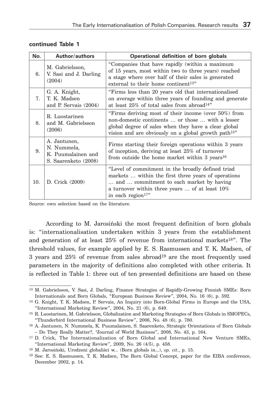| No. | <b>Author/authors</b>                                                     | Operational definition of born globals                                                                                                                                                                                              |  |  |
|-----|---------------------------------------------------------------------------|-------------------------------------------------------------------------------------------------------------------------------------------------------------------------------------------------------------------------------------|--|--|
| 6.  | M. Gabrielsson,<br>V. Sasi and J. Darling<br>(2004)                       | "Companies that have rapidly (within a maximum<br>of 15 years, most within two to three years) reached<br>a stage where over half of their sales is generated<br>external to their home continent <sup>13"</sup>                    |  |  |
| 7.  | G. A. Knight,<br>T. K. Madsen<br>and P. Servais $(2004)$                  | "Firms less than 20 years old that internationalised<br>on average within three years of founding and generate<br>at least $25\%$ of total sales from abroad <sup>14"</sup>                                                         |  |  |
| 8.  | R. Luostarinen<br>and M. Gabrielsson<br>(2006)                            | "Firms deriving most of their income (over 50%) from<br>non-domestic continents  or those  with a lesser<br>global degree of sales when they have a clear global<br>vision and are obviously on a global growth path <sup>15"</sup> |  |  |
| 9.  | A. Jantunen,<br>N. Nummela,<br>K. Puumalainen and<br>S. Saarenketo (2008) | Firms starting their foreign operations within 3 years<br>of inception, deriving at least 25% of turnover<br>from outside the home market within 3 years <sup>16</sup>                                                              |  |  |
| 10. | D. Crick (2009)                                                           | "Level of commitment in the broadly defined triad"<br>markets  within the first three years of operations<br>and  commitment to each market by having<br>a turnover within three years  of at least 10%<br>in each region $17"$     |  |  |

#### **continued Table 1**

Source: own selection based on the literature.

According to M. Jarosiński the most frequent definition of born globals is: "internationalisation undertaken within 3 years from the establishment and generation of at least  $25\%$  of revenue from international markets<sup>18"</sup>. The threshold values, for example applied by E. S. Rasmussen and T. K. Madsen, of 3 years and  $25\%$  of revenue from sales abroad<sup>19</sup> are the most frequently used parameters in the majority of definitions also completed with other criteria. It is reflected in Table 1: three out of ten presented definitions are based on these

<sup>13</sup> M. Gabrielsson, V. Sasi, J. Darling, Finance Strategies of Rapidly-Growing Finnish SMEs: Born Internationals and Born Globals, "European Business Review", 2004, No. 16 (6), p. 592.

<sup>14</sup> G. Knight, T. K. Madsen, P. Servais, An Inquiry into Born-Global Firms in Europe and the USA, "International Marketing Review", 2004, No. 21 (6), p. 649.

<sup>15</sup> R. Luostarinen, M. Gabrielsson, Globalization and Marketing Strategies of Born Globals in SMOPECs, "Thunderbird International Business Review", 2006, No. 48 (6), p. 780.

<sup>16</sup> A. Jantunen, N. Nummela, K. Puumalainen, S. Saarenketo, Strategic Orientations of Born Globals – Do They Really Matter?, "Journal of World Business", 2008, No. 43, p. 164.

<sup>17</sup> D. Crick, The Internationalization of Born Global and International New Venture SMEs, "International Marketing Review", 2009, No. 26 (4/5), p. 458.

<sup>18</sup> M. Jarosiński, Urodzeni globaliści w... (Born globals in...), *op. cit.*, p. 15.

<sup>19</sup> See: E. S. Rasmussen, T. K. Madsen, The Born Global Concept, paper for the EIBA conference, December 2002, p. 14.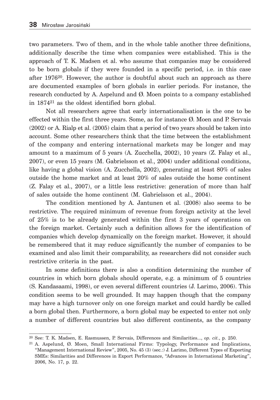two parameters. Two of them, and in the whole table another three definitions, additionally describe the time when companies were established. This is the approach of T. K. Madsen et al. who assume that companies may be considered to be born globals if they were founded in a specific period, i.e. in this case after 197620. However, the author is doubtful about such an approach as there are documented examples of born globals in earlier periods. For instance, the research conducted by A. Aspelund and  $\emptyset$ . Moen points to a company established in 187421 as the oldest identified born global.

Not all researchers agree that early internationalisation is the one to be effected within the first three years. Some, as for instance  $\emptyset$ . Moen and P. Servais (2002) or A. Rialp et al. (2005) claim that a period of two years should be taken into account. Some other researchers think that the time between the establishment of the company and entering international markets may be longer and may amount to a maximum of 5 years (A. Zucchella, 2002), 10 years (Z. Falay et al., 2007), or even 15 years (M. Gabrielsson et al., 2004) under additional conditions, like having a global vision (A. Zucchella, 2002), generating at least 80% of sales outside the home market and at least 20% of sales outside the home continent (Z. Falay et al., 2007), or a little less restrictive: generation of more than half of sales outside the home continent (M. Gabrielsson et al., 2004).

The condition mentioned by A. Jantunen et al. (2008) also seems to be restrictive. The required minimum of revenue from foreign activity at the level of 25% is to be already generated within the first 3 years of operations on the foreign market. Certainly such a definition allows for the identification of companies which develop dynamically on the foreign market. However, it should be remembered that it may reduce significantly the number of companies to be examined and also limit their comparability, as researchers did not consider such restrictive criteria in the past.

In some definitions there is also a condition determining the number of countries in which born globals should operate, e.g. a minimum of 5 countries (S. Kandasaami, 1998), or even several different countries (J. Larimo, 2006). This condition seems to be well grounded. It may happen though that the company may have a high turnover only on one foreign market and could hardly be called a born global then. Furthermore, a born global may be expected to enter not only a number of different countries but also different continents, as the company

<sup>20</sup> See: T. K. Madsen, E. Rasmussen, P. Servais, Differences and Similarities..., *op. cit.*, p. 250.

<sup>21</sup> A. Aspelund, Ø. Moen, Small International Firms: Typology, Performance and Implications, "Management International Review", 2005, No. 45 (3) (sec.:) J. Larimo, Different Types of Exporting SMEs: Similarities and Differences in Export Performance, "Advances in International Marketing", 2006, No. 17, p. 22.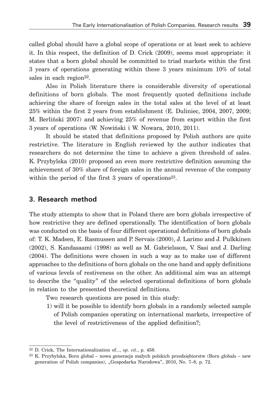called global should have a global scope of operations or at least seek to achieve it. In this respect, the definition of D. Crick (2009), seems most appropriate: it states that a born global should be committed to triad markets within the first 3 years of operations generating within these 3 years minimum 10% of total sales in each region $^{22}$ .

Also in Polish literature there is considerable diversity of operational definitions of born globals. The most frequently quoted definitions include achieving the share of foreign sales in the total sales at the level of at least 25% within the first 2 years from establishment (E. Duliniec, 2004, 2007, 2009; M. Berliński 2007) and achieving 25% of revenue from export within the first 3 years of operations (W. Nowiński i W. Nowara, 2010, 2011).

It should be stated that definitions proposed by Polish authors are quite restrictive. The literature in English reviewed by the author indicates that researchers do not determine the time to achieve a given threshold of sales. K. Przybylska (2010) proposed an even more restrictive definition assuming the achievement of 30% share of foreign sales in the annual revenue of the company within the period of the first 3 years of operations<sup>23</sup>.

### **3. Research method**

The study attempts to show that in Poland there are born globals irrespective of how restrictive they are defined operationally. The identification of born globals was conducted on the basis of four different operational definitions of born globals of: T. K. Madsen, E. Rasmussen and P. Servais (2000), J. Larimo and J. Pulkkinen (2002), S. Kandasaami (1998) as well as M. Gabrielsson, V. Sasi and J. Darling (2004). The definitions were chosen in such a way as to make use of different approaches to the definitions of born globals on the one hand and apply definitions of various levels of restiveness on the other. An additional aim was an attempt to describe the "quality" of the selected operational definitions of born globals in relation to the presented theoretical definitions.

Two research questions are posed in this study:

 1) will it be possible to identify born globals in a randomly selected sample of Polish companies operating on international markets, irrespective of the level of restrictiveness of the applied definition?;

<sup>22</sup> D. Crick, The Internationalization of..., *op. cit.*, p. 458.

<sup>23</sup> K. Przybylska, Born global – nowa generacja małych polskich przedsiębiorstw (Born globals – new generation of Polish companies), "Gospodarka Narodowa", 2010, No. 7–8, p. 72.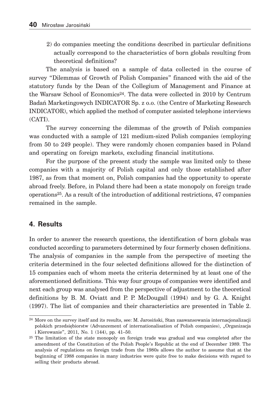2) do companies meeting the conditions described in particular definitions actually correspond to the characteristics of born globals resulting from theoretical definitions?

The analysis is based on a sample of data collected in the course of survey "Dilemmas of Growth of Polish Companies" financed with the aid of the statutory funds by the Dean of the Collegium of Management and Finance at the Warsaw School of Economics24. The data were collected in 2010 by Centrum Badań Marketingowych INDICATOR Sp. z o.o. (the Centre of Marketing Research INDICATOR), which applied the method of computer assisted telephone interviews (CATI).

The survey concerning the dilemmas of the growth of Polish companies was conducted with a sample of 121 medium-sized Polish companies (employing from 50 to 249 people). They were randomly chosen companies based in Poland and operating on foreign markets, excluding financial institutions.

For the purpose of the present study the sample was limited only to these companies with a majority of Polish capital and only those established after 1987, as from that moment on, Polish companies had the opportunity to operate abroad freely. Before, in Poland there had been a state monopoly on foreign trade operations25. As a result of the introduction of additional restrictions, 47 companies remained in the sample.

### **4. Results**

In order to answer the research questions, the identification of born globals was conducted according to parameters determined by four formerly chosen definitions. The analysis of companies in the sample from the perspective of meeting the criteria determined in the four selected definitions allowed for the distinction of 15 companies each of whom meets the criteria determined by at least one of the aforementioned definitions. This way four groups of companies were identified and next each group was analysed from the perspective of adjustment to the theoretical definitions by B. M. Oviatt and P. P. McDougall (1994) and by G. A. Knight (1997). The list of companies and their characteristics are presented in Table 2.

 $^{24}$  More on the survey itself and its results, see: M. Jarosiński, Stan zaawansowania internacionalizacji polskich przedsiębiorstw (Advancement of internationalisation of Polish companies), "Organizacja i Kierowanie", 2011, No. 1 (144), pp. 41–50.

<sup>25</sup> The limitation of the state monopoly on foreign trade was gradual and was completed after the amendment of the Constitution of the Polish People's Republic at the end of December 1989. The analysis of regulations on foreign trade from the 1980s allows the author to assume that at the beginning of 1988 companies in many industries were quite free to make decisions with regard to selling their products abroad.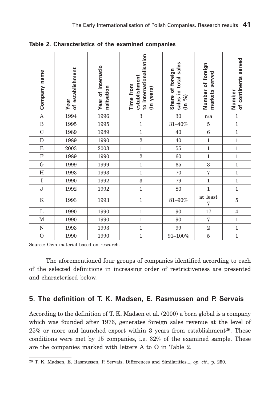| Company name   | of establishment<br>Year | Year of internatio<br>nalisation | to internationalisation<br>establishment<br>Time from<br>(in years) | sales<br>Share of foreign<br>sales in total<br>(in %) | Number of foreign<br>served<br>markets | of continents served<br>Number |
|----------------|--------------------------|----------------------------------|---------------------------------------------------------------------|-------------------------------------------------------|----------------------------------------|--------------------------------|
| $\mathbf A$    | 1994                     | 1996                             | $\boldsymbol{3}$                                                    | 30                                                    | $\mathbf{n}/\mathbf{a}$                | $\mathbf 1$                    |
| $\bf{B}$       | 1995                     | 1995                             | $\mathbf{1}$                                                        | $31 - 40\%$                                           | $\overline{5}$                         | $\mathbf 1$                    |
| $\mathbf C$    | 1989                     | 1989                             | $\mathbf 1$                                                         | 40                                                    | $\,6$                                  | $\mathbf{1}$                   |
| $\mathbf D$    | 1989                     | 1990                             | $\sqrt{2}$                                                          | 40                                                    | $\mathbf{1}$                           | $\mathbf 1$                    |
| ${\bf E}$      | 2003                     | 2003                             | $\mathbf{1}$                                                        | 55                                                    | $\mathbf{1}$                           | $\,1$                          |
| $\mathbf F$    | 1989                     | 1990                             | $\,2$                                                               | 60                                                    | $\mathbf{1}$                           | $\,1$                          |
| ${\bf G}$      | 1999                     | 1999                             | $\overline{1}$                                                      | 65                                                    | $\overline{3}$                         | $\mathbf 1$                    |
| $\rm H$        | 1993                     | 1993                             | $\mathbf{1}$                                                        | 70                                                    | $\overline{7}$                         | $\mathbf{1}$                   |
| $\rm I$        | 1990                     | 1992                             | $\overline{3}$                                                      | 79                                                    | $\mathbf{1}$                           | $\mathbf{1}$                   |
| $\mathbf J$    | 1992                     | 1992                             | $\mathbf{1}$                                                        | 80                                                    | $\mathbf{1}$                           | $\mathbf 1$                    |
| ${\bf K}$      | 1993                     | 1993                             | $\mathbf 1$                                                         | 81-90%                                                | at least<br>$\overline{7}$             | $\bf 5$                        |
| $\mathbf L$    | 1990                     | 1990                             | $\mathbf{1}$                                                        | 90                                                    | 17                                     | $\bf 4$                        |
| $\mathbf M$    | 1990                     | 1990                             | $\mathbf{1}$                                                        | 90                                                    | $\overline{7}$                         | $\,1$                          |
| ${\bf N}$      | 1993                     | 1993                             | $\mathbf{1}$                                                        | 99                                                    | $\overline{2}$                         | $\mathbf{1}$                   |
| $\overline{O}$ | 1990                     | 1990                             | $\mathbf{1}$                                                        | $91 - 100\%$                                          | $\overline{5}$                         | $\,1$                          |

**Table 2. Characteristics of the examined companies**

Source: Own material based on research.

The aforementioned four groups of companies identified according to each of the selected definitions in increasing order of restrictiveness are presented and characterised below.

#### **5. The definition of T. K. Madsen, E. Rasmussen and P. Servais**

According to the definition of T. K. Madsen et al. (2000) a born global is a company which was founded after 1976, generates foreign sales revenue at the level of  $25\%$  or more and launched export within 3 years from establishment<sup>26</sup>. These conditions were met by 15 companies, i.e. 32% of the examined sample. These are the companies marked with letters A to O in Table 2.

<sup>26</sup> T. K. Madsen, E. Rasmussen, P. Servais, Differences and Similarities..., *op. cit.*, p. 250.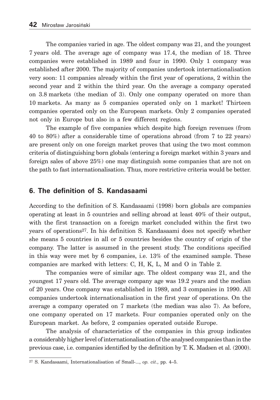The companies varied in age. The oldest company was 21, and the youngest 7 years old. The average age of company was 17.4, the median of 18. Three companies were established in 1989 and four in 1990. Only 1 company was established after 2000. The majority of companies undertook internationalisation very soon: 11 companies already within the first year of operations, 2 within the second year and 2 within the third year. On the average a company operated on 3.8 markets (the median of 3). Only one company operated on more than 10 markets. As many as 5 companies operated only on 1 market! Thirteen companies operated only on the European markets. Only 2 companies operated not only in Europe but also in a few different regions.

The example of five companies which despite high foreign revenues (from 40 to 80%) after a considerable time of operations abroad (from 7 to 22 years) are present only on one foreign market proves that using the two most common criteria of distinguishing born globals (entering a foreign market within 3 years and foreign sales of above 25%) one may distinguish some companies that are not on the path to fast internationalisation. Thus, more restrictive criteria would be better.

### **6. The definition of S. Kandasaami**

According to the definition of S. Kandasaami (1998) born globals are companies operating at least in 5 countries and selling abroad at least 40% of their output, with the first transaction on a foreign market concluded within the first two years of operations27. In his definition S. Kandasaami does not specify whether she means 5 countries in all or 5 countries besides the country of origin of the company. The latter is assumed in the present study. The conditions specified in this way were met by 6 companies, i.e. 13% of the examined sample. These companies are marked with letters: C, H, K, L, M and O in Table 2.

The companies were of similar age. The oldest company was 21, and the youngest 17 years old. The average company age was 19.2 years and the median of 20 years. One company was established in 1989, and 3 companies in 1990. All companies undertook internationalisation in the first year of operations. On the average a company operated on 7 markets (the median was also 7). As before, one company operated on 17 markets. Four companies operated only on the European market. As before, 2 companies operated outside Europe.

The analysis of characteristics of the companies in this group indicates a considerably higher level of internationalisation of the analysed companies than in the previous case, i.e. companies identified by the definition by T. K. Madsen et al. (2000).

<sup>27</sup> S. Kandasaami, Internationalisation of Small-..., *op. cit.*, pp. 4–5.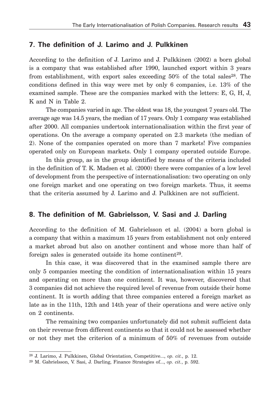#### **7. The definition of J. Larimo and J. Pulkkinen**

According to the definition of J. Larimo and J. Pulkkinen (2002) a born global is a company that was established after 1990, launched export within 3 years from establishment, with export sales exceeding  $50\%$  of the total sales<sup>28</sup>. The conditions defined in this way were met by only 6 companies, i.e. 13% of the examined sample. These are the companies marked with the letters: E, G, H, J, K and N in Table 2.

The companies varied in age. The oldest was 18, the youngest 7 years old. The average age was 14.5 years, the median of 17 years. Only 1 company was established after 2000. All companies undertook internationalisation within the first year of operations. On the average a company operated on 2.3 markets (the median of 2). None of the companies operated on more than 7 markets! Five companies operated only on European markets. Only 1 company operated outside Europe.

In this group, as in the group identified by means of the criteria included in the definition of T. K. Madsen et al. (2000) there were companies of a low level of development from the perspective of internationalisation: two operating on only one foreign market and one operating on two foreign markets. Thus, it seems that the criteria assumed by J. Larimo and J. Pulkkinen are not sufficient.

### **8. The definition of M. Gabrielsson, V. Sasi and J. Darling**

According to the definition of M. Gabrielsson et al. (2004) a born global is a company that within a maximum 15 years from establishment not only entered a market abroad but also on another continent and whose more than half of foreign sales is generated outside its home continent<sup>29</sup>.

In this case, it was discovered that in the examined sample there are only 5 companies meeting the condition of internationalisation within 15 years and operating on more than one continent. It was, however, discovered that 3 companies did not achieve the required level of revenue from outside their home continent. It is worth adding that three companies entered a foreign market as late as in the 11th, 12th and 14th year of their operations and were active only on 2 continents.

The remaining two companies unfortunately did not submit sufficient data on their revenue from different continents so that it could not be assessed whether or not they met the criterion of a minimum of 50% of revenues from outside

<sup>28</sup> J. Larimo, J. Pulkkinen, Global Orientation, Competitive..., *op. cit.*, p. 12.

<sup>29</sup> M. Gabrielsson, V. Sasi, J. Darling, Finance Strategies of..., *op. cit.*, p. 592.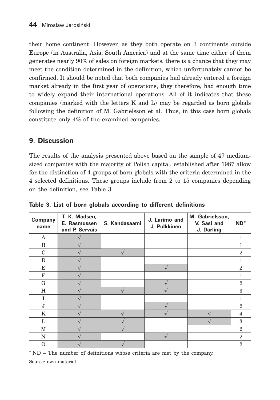their home continent. However, as they both operate on 3 continents outside Europe (in Australia, Asia, South America) and at the same time either of them generates nearly 90% of sales on foreign markets, there is a chance that they may meet the condition determined in the definition, which unfortunately cannot be confirmed. It should be noted that both companies had already entered a foreign market already in the first year of operations, they therefore, had enough time to widely expand their international operations. All of it indicates that these companies (marked with the letters  $K$  and  $L$ ) may be regarded as born globals following the definition of M. Gabrielsson et al. Thus, in this case born globals constitute only 4% of the examined companies.

# **9. Discussion**

The results of the analysis presented above based on the sample of 47 mediumsized companies with the majority of Polish capital, established after 1987 allow for the distinction of 4 groups of born globals with the criteria determined in the 4 selected definitions. These groups include from 2 to 15 companies depending on the definition, see Table 3.

| Company<br>name | T. K. Madsen,<br>E. Rasmussen<br>and P. Servais | S. Kandasaami | J. Larimo and<br>J. Pulkkinen | M. Gabrielsson,<br>V. Sasi and<br>J. Darling | $ND^*$         |
|-----------------|-------------------------------------------------|---------------|-------------------------------|----------------------------------------------|----------------|
| A               |                                                 |               |                               |                                              | 1              |
| B               |                                                 |               |                               |                                              |                |
| $\mathbf C$     |                                                 |               |                               |                                              | $\overline{2}$ |
| D               |                                                 |               |                               |                                              | 1              |
| E               |                                                 |               |                               |                                              | $\mathbf{2}$   |
| $_{\rm F}$      |                                                 |               |                               |                                              |                |
| G               |                                                 |               |                               |                                              | $\overline{2}$ |
| H               |                                                 |               |                               |                                              | 3              |
| I               |                                                 |               |                               |                                              | 1              |
| $J_{\rm s}$     |                                                 |               |                               |                                              | $\mathbf{2}$   |
| K               |                                                 |               |                               |                                              | 4              |
| L               |                                                 |               |                               |                                              | 3              |
| M               |                                                 |               |                               |                                              | $\overline{2}$ |
| N               |                                                 |               |                               |                                              | $\overline{2}$ |
| O               |                                                 |               |                               |                                              | $\overline{2}$ |

**Table 3. List of born globals according to different definitions**

\* ND – The number of definitions whose criteria are met by the company.

Source: own material.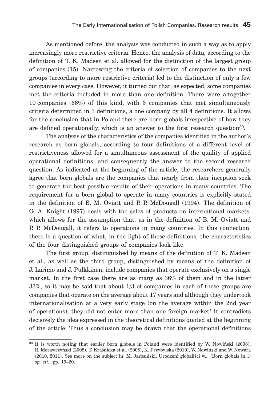As mentioned before, the analysis was conducted in such a way as to apply increasingly more restrictive criteria. Hence, the analysis of data, according to the definition of T. K. Madsen et al. allowed for the distinction of the largest group of companies (15). Narrowing the criteria of selection of companies to the next groups (according to more restrictive criteria) led to the distinction of only a few companies in every case. However, it turned out that, as expected, some companies met the criteria included in more than one definition. There were altogether 10 companies (66%) of this kind, with 3 companies that met simultaneously criteria determined in 3 definitions, a one company by all 4 definitions. It allows for the conclusion that in Poland there are born globals irrespective of how they are defined operationally, which is an answer to the first research question30.

The analysis of the characteristics of the companies identified in the author's research as born globals, according to four definitions of a different level of restrictiveness allowed for a simultaneous assessment of the quality of applied operational definitions, and consequently the answer to the second research question. As indicated at the beginning of the article, the researchers generally agree that born globals are the companies that nearly from their inception seek to generate the best possible results of their operations in many countries. The requirement for a born global to operate in many countries is explicitly stated in the definition of B. M. Oviatt and P. P. McDougall (1994). The definition of G. A. Knight (1997) deals with the sales of products on international markets, which allows for the assumption that, as in the definition of B. M. Oviatt and P. P. McDougall, it refers to operations in many countries. In this connection, there is a question of what, in the light of these definitions, the characteristics of the four distinguished groups of companies look like.

The first group, distinguished by means of the definition of T. K. Madsen et al., as well as the third group, distinguished by means of the definition of J. Larimo and J. Pulkkinen, include companies that operate exclusively on a single market. In the first case there are as many as 36% of them and in the latter 33%, so it may be said that about 1/3 of companies in each of these groups are companies that operate on the average about 17 years and although they undertook internationalisation at a very early stage (on the average within the 2nd year of operations), they did not enter more than one foreign market! It contradicts decisively the idea expressed in the theoretical definitions quoted at the beginning of the article. Thus a conclusion may be drawn that the operational definitions

<sup>30</sup> It is worth noting that earlier born globals in Poland were identified by W. Nowiński (2008), R. Morawczyński (2008), T. Kraśnicka et al. (2008), K. Przybylska (2010), W. Nowiński and W. Nowara (2010, 2011). See more on the subject in: M. Jarosiński, Urodzeni globaliści w... (Born globals in...) *op. cit.*, pp. 19–20.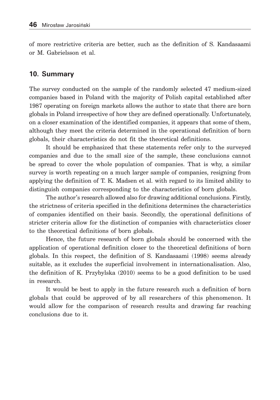of more restrictive criteria are better, such as the definition of S. Kandasaami or M. Gabrielsson et al.

#### **10. Summary**

The survey conducted on the sample of the randomly selected 47 medium-sized companies based in Poland with the majority of Polish capital established after 1987 operating on foreign markets allows the author to state that there are born globals in Poland irrespective of how they are defined operationally. Unfortunately, on a closer examination of the identified companies, it appears that some of them, although they meet the criteria determined in the operational definition of born globals, their characteristics do not fit the theoretical definitions.

It should be emphasized that these statements refer only to the surveyed companies and due to the small size of the sample, these conclusions cannot be spread to cover the whole population of companies. That is why, a similar survey is worth repeating on a much larger sample of companies, resigning from applying the definition of T. K. Madsen et al. with regard to its limited ability to distinguish companies corresponding to the characteristics of born globals.

The author's research allowed also for drawing additional conclusions. Firstly, the strictness of criteria specified in the definitions determines the characteristics of companies identified on their basis. Secondly, the operational definitions of stricter criteria allow for the distinction of companies with characteristics closer to the theoretical definitions of born globals.

Hence, the future research of born globals should be concerned with the application of operational definition closer to the theoretical definitions of born globals. In this respect, the definition of S. Kandasaami (1998) seems already suitable, as it excludes the superficial involvement in internationalisation. Also, the definition of K. Przybylska (2010) seems to be a good definition to be used in research.

It would be best to apply in the future research such a definition of born globals that could be approved of by all researchers of this phenomenon. It would allow for the comparison of research results and drawing far reaching conclusions due to it.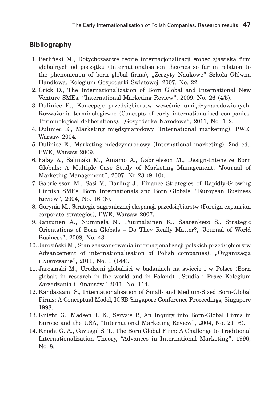### **Bibliography**

- 1. Berliński M., Dotychczasowe teorie internacjonalizacji wobec zjawiska firm globalnych od początku (Internationalisation theories so far in relation to the phenomenon of born global firms), "Zeszyty Naukowe" Szkoła Główna Handlowa, Kolegium Gospodarki Światowej, 2007, No. 22.
- 2. Crick D., The Internationalization of Born Global and International New Venture SMEs, "International Marketing Review", 2009, No. 26 (4/5).
- 3. Duliniec E., Koncepcje przedsiębiorstw wcześnie umiędzynarodowionych. Rozważania terminologiczne (Concepts of early internationalised companies. Terminological deliberations), "Gospodarka Narodowa", 2011, No. 1–2.
- 4. Duliniec E., Marketing międzynarodowy (International marketing), PWE, Warsaw 2004.
- 5. Duliniec E., Marketing międzynarodowy (International marketing), 2nd ed., PWE, Warsaw 2009.
- 6. Falay Z., Salimäki M., Ainamo A., Gabrielsson M., Design-Intensive Born Globals: A Multiple Case Study of Marketing Management, "Journal of Marketing Management", 2007, Nr 23 (9–10).
- 7. Gabrielsson M., Sasi V., Darling J., Finance Strategies of Rapidly-Growing Finnish SMEs: Born Internationals and Born Globals, "European Business Review", 2004, No. 16 (6).
- 8. Gorynia M., Strategie zagranicznej ekspansji przedsiębiorstw (Foreign expansion corporate strategies), PWE, Warsaw 2007.
- 9. Jantunen A., Nummela N., Puumalainen K., Saarenketo S., Strategic Orientations of Born Globals – Do They Really Matter?, "Journal of World Business", 2008, No. 43.
- 10. Jarosiński M., Stan zaawansowania internacjonalizacji polskich przedsiębiorstw Advancement of internationalisation of Polish companies), "Organizacja i Kierowanie", 2011, No. 1 (144).
- 11. Jarosiński M., Urodzeni globaliści w badaniach na świecie i w Polsce (Born globals in research in the world and in Poland), "Studia i Prace Kolegium Zarządzania i Finansów" 2011, No. 114.
- 12. Kandasaami S., Internationalisation of Small- and Medium-Sized Born-Global Firms: A Conceptual Model, ICSB Singapore Conference Proceedings, Singapore 1998.
- 13. Knight G., Madsen T. K., Servais P., An Inquiry into Born-Global Firms in Europe and the USA, "International Marketing Review", 2004, No. 21 (6).
- 14. Knight G. A., Cavusgil S. T., The Born Global Firm: A Challenge to Traditional Internationalization Theory, "Advances in International Marketing", 1996, No. 8.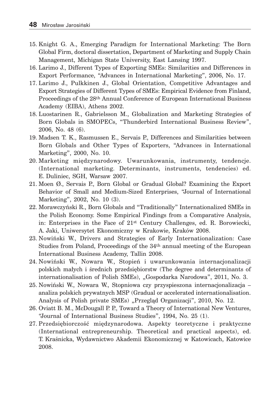- 15. Knight G. A., Emerging Paradigm for International Marketing: The Born Global Firm, doctoral dissertation, Department of Marketing and Supply Chain Management, Michigan State University, East Lansing 1997.
- 16. Larimo J., Different Types of Exporting SMEs: Similarities and Differences in Export Performance, "Advances in International Marketing", 2006, No. 17.
- 17. Larimo J., Pulkkinen J., Global Orientation, Competitive Advantages and Export Strategies of Different Types of SMEs: Empirical Evidence from Finland, Proceedings of the 28th Annual Conference of European International Business Academy (EIBA), Athens 2002.
- 18. Luostarinen R., Gabrielsson M., Globalization and Marketing Strategies of Born Globals in SMOPECs, "Thunderbird International Business Review", 2006, No. 48 (6).
- 19. Madsen T. K., Rasmussen E., Servais P., Differences and Similarities between Born Globals and Other Types of Exporters, "Advances in International Marketing", 2000, No. 10.
- 20. Marketing międzynarodowy. Uwarunkowania, instrumenty, tendencje. (International marketing. Determinants, instruments, tendencies) ed. E. Duliniec, SGH, Warsaw 2007.
- 21. Moen Ø., Servais P., Born Global or Gradual Global? Examining the Export Behavior of Small and Medium-Sized Enterprises, "Journal of International Marketing", 2002, No. 10 (3).
- 22. Morawczyński R., Born Globals and "Traditionally" Internationalized SMEs in the Polish Economy. Some Empirical Findings from a Comparative Analysis, in: Enterprises in the Face of 21st Century Challenges, ed. R. Borowiecki, A. Jaki, Uniwersytet Ekonomiczny w Krakowie, Kraków 2008.
- 23. Nowiński W., Drivers and Strategies of Early Internationalization: Case Studies from Poland, Proceedings of the 34th annual meeting of the European International Business Academy, Tallin 2008.
- 24. Nowiński W., Nowara W., Stopień i uwarunkowania internacjonalizacji polskich małych i średnich przedsiębiorstw (The degree and determinants of internationalisation of Polish SMEs), "Gospodarka Narodowa", 2011, No. 3.
- 25. Nowiński W., Nowara W., Stopniowa czy przyspieszona internacjonalizacja analiza polskich prywatnych MSP (Gradual or accelerated internationalisation. Analysis of Polish private SMEs) "Przegląd Organizacji", 2010, No. 12.
- 26. Oviatt B. M., McDougall P. P., Toward a Theory of International New Ventures, "Journal of International Business Studies", 1994, No. 25 (1).
- 27. Przedsiębiorczość międzynarodowa. Aspekty teoretyczne i praktyczne (International entrepreneurship. Theoretical and practical aspects), ed. T. Kraśnicka, Wydawnictwo Akademii Ekonomicznej w Katowicach, Katowice 2008.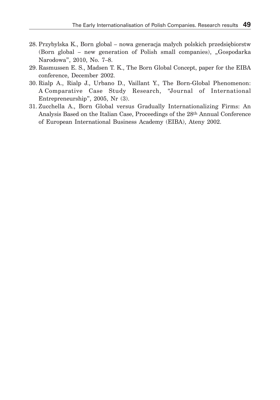- 28. Przybylska K., Born global nowa generacja małych polskich przedsiębiorstw (Born global – new generation of Polish small companies), "Gospodarka Narodowa", 2010, No. 7–8.
- 29. Rasmussen E. S., Madsen T. K., The Born Global Concept, paper for the EIBA conference, December 2002.
- 30. Rialp A., Rialp J., Urbano D., Vaillant Y., The Born-Global Phenomenon: A Comparative Case Study Research, "Journal of International Entrepreneurship", 2005, Nr (3).
- 31. Zucchella A., Born Global versus Gradually Internationalizing Firms: An Analysis Based on the Italian Case, Proceedings of the 28th Annual Conference of European International Business Academy (EIBA), Ateny 2002.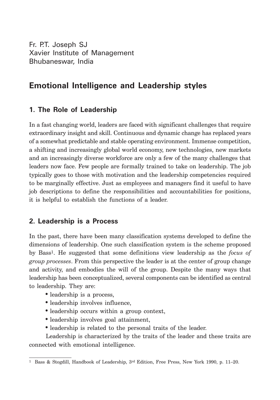Fr. P.T. Joseph SJ Xavier Institute of Management Bhubaneswar, India

# **Emotional Intelligence and Leadership styles**

# **1. The Role of Leadership**

In a fast changing world, leaders are faced with significant challenges that require extraordinary insight and skill. Continuous and dynamic change has replaced years of a somewhat predictable and stable operating environment. Immense competition, a shifting and increasingly global world economy, new technologies, new markets and an increasingly diverse workforce are only a few of the many challenges that leaders now face. Few people are formally trained to take on leadership. The job typically goes to those with motivation and the leadership competencies required to be marginally effective. Just as employees and managers find it useful to have job descriptions to define the responsibilities and accountabilities for positions, it is helpful to establish the functions of a leader.

## **2. Leadership is a Process**

In the past, there have been many classification systems developed to define the dimensions of leadership. One such classification system is the scheme proposed by Bass1. He suggested that some definitions view leadership as the *focus of group processes*. From this perspective the leader is at the center of group change and activity, and embodies the will of the group. Despite the many ways that leadership has been conceptualized, several components can be identified as central to leadership. They are:

- leadership is a process,
- leadership involves influence,
- leadership occurs within a group context,
- leadership involves goal attainment,
- leadership is related to the personal traits of the leader.

Leadership is characterized by the traits of the leader and these traits are connected with emotional intelligence.

<sup>1</sup> Bass & Stogdill, Handbook of Leadership, 3rd Edition, Free Press, New York 1990, p. 11–20.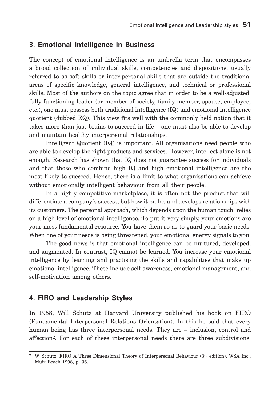#### **3. Emotional Intelligence in Business**

The concept of emotional intelligence is an umbrella term that encompasses a broad collection of individual skills, competencies and dispositions, usually referred to as soft skills or inter-personal skills that are outside the traditional areas of specific knowledge, general intelligence, and technical or professional skills. Most of the authors on the topic agree that in order to be a well-adjusted, fully-functioning leader (or member of society, family member, spouse, employee, etc.), one must possess both traditional intelligence (IQ) and emotional intelligence quotient (dubbed EQ). This view fits well with the commonly held notion that it takes more than just brains to succeed in life – one must also be able to develop and maintain healthy interpersonal relationships.

Intelligent Quotient (IQ) is important. All organisations need people who are able to develop the right products and services. However, intellect alone is not enough. Research has shown that IQ does not guarantee success for individuals and that those who combine high IQ and high emotional intelligence are the most likely to succeed. Hence, there is a limit to what organisations can achieve without emotionally intelligent behaviour from all their people.

In a highly competitive marketplace, it is often not the product that will differentiate a company's success, but how it builds and develops relationships with its customers. The personal approach, which depends upon the human touch, relies on a high level of emotional intelligence. To put it very simply, your emotions are your most fundamental resource*.* You have them so as to guard your basic needs. When one of your needs is being threatened, your emotional energy signals to you.

The good news is that emotional intelligence can be nurtured, developed, and augmented. In contrast, IQ cannot be learned. You increase your emotional intelligence by learning and practising the skills and capabilities that make up emotional intelligence. These include self-awareness, emotional management, and self-motivation among others.

#### **4. FIRO and Leadership Styles**

In 1958, Will Schutz at Harvard University published his book on FIRO (Fundamental Interpersonal Relations Orientation). In this he said that every human being has three interpersonal needs. They are – inclusion, control and affection2. For each of these interpersonal needs there are three subdivisions.

<sup>2</sup> W. Schutz, FIRO A Three Dimensional Theory of Interpersonal Behaviour (3rd edition), WSA Inc., Muir Beach 1998, p. 36.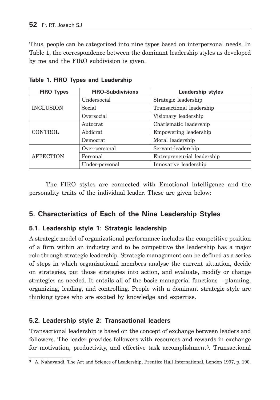Thus, people can be categorized into nine types based on interpersonal needs. In Table 1, the correspondence between the dominant leadership styles as developed by me and the FIRO subdivision is given.

| <b>FIRO-Subdivisions</b><br><b>FIRO Types</b> |                | <b>Leadership styles</b>   |  |  |
|-----------------------------------------------|----------------|----------------------------|--|--|
|                                               | Undersocial    | Strategic leadership       |  |  |
| <b>INCLUSION</b>                              | Social         | Transactional leadership   |  |  |
|                                               | Oversocial     | Visionary leadership       |  |  |
|                                               | Autocrat       | Charismatic leadership     |  |  |
| <b>CONTROL</b>                                | Abdicrat       | Empowering leadership      |  |  |
|                                               | Democrat       | Moral leadership           |  |  |
|                                               | Over-personal  | Servant-leadership         |  |  |
| <b>AFFECTION</b>                              | Personal       | Entrepreneurial leadership |  |  |
|                                               | Under-personal | Innovative leadership      |  |  |

**Table 1. FIRO Types and Leadership**

The FIRO styles are connected with Emotional intelligence and the personality traits of the individual leader. These are given below:

## **5. Characteristics of Each of the Nine Leadership Styles**

### **5.1. Leadership style 1: Strategic leadership**

A strategic model of organizational performance includes the competitive position of a firm within an industry and to be competitive the leadership has a major role through strategic leadership. Strategic management can be defined as a series of steps in which organizational members analyse the current situation, decide on strategies, put those strategies into action, and evaluate, modify or change strategies as needed. It entails all of the basic managerial functions – planning, organizing, leading, and controlling. People with a dominant strategic style are thinking types who are excited by knowledge and expertise.

### **5.2. Leadership style 2: Transactional leaders**

Transactional leadership is based on the concept of exchange between leaders and followers. The leader provides followers with resources and rewards in exchange for motivation, productivity, and effective task accomplishment3. Transactional

<sup>3</sup> A. Nahavandi, The Art and Science of Leadership, Prentice Hall International, London 1997, p. 190.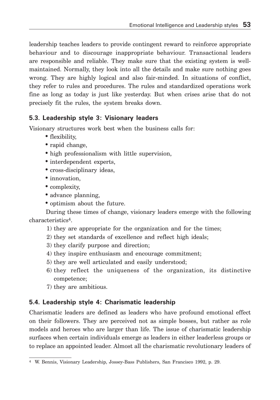leadership teaches leaders to provide contingent reward to reinforce appropriate behaviour and to discourage inappropriate behaviour. Transactional leaders are responsible and reliable. They make sure that the existing system is wellmaintained. Normally, they look into all the details and make sure nothing goes wrong. They are highly logical and also fair-minded. In situations of conflict, they refer to rules and procedures. The rules and standardized operations work fine as long as today is just like yesterday. But when crises arise that do not precisely fit the rules, the system breaks down.

### **5.3. Leadership style 3: Visionary leaders**

Visionary structures work best when the business calls for:

- flexibility,
- rapid change,
- high professionalism with little supervision,
- interdependent experts,
- cross-disciplinary ideas,
- innovation.
- complexity,
- advance planning,
- optimism about the future.

During these times of change, visionary leaders emerge with the following characteristics4.

- 1) they are appropriate for the organization and for the times;
- 2) they set standards of excellence and reflect high ideals;
- 3) they clarify purpose and direction;
- 4) they inspire enthusiasm and encourage commitment;
- 5) they are well articulated and easily understood;
- 6) they reflect the uniqueness of the organization, its distinctive competence;
- 7) they are ambitious.

### **5.4. Leadership style 4: Charismatic leadership**

Charismatic leaders are defined as leaders who have profound emotional effect on their followers. They are perceived not as simple bosses, but rather as role models and heroes who are larger than life. The issue of charismatic leadership surfaces when certain individuals emerge as leaders in either leaderless groups or to replace an appointed leader. Almost all the charismatic revolutionary leaders of

<sup>4</sup> W. Bennis, Visionary Leadership, Jossey-Bass Publishers, San Francisco 1992, p. 29.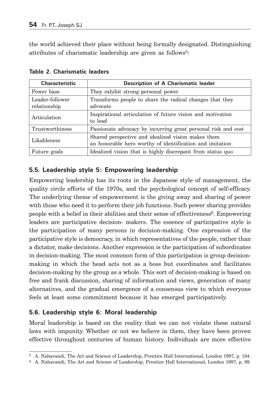the world achieved their place without being formally designated. Distinguishing attributes of charismatic leadership are given as follows5:

| <b>Characteristic</b>                                                                                   | Description of A Charismatic leader                                                                            |  |  |
|---------------------------------------------------------------------------------------------------------|----------------------------------------------------------------------------------------------------------------|--|--|
| They exhibit strong personal power<br>Power base                                                        |                                                                                                                |  |  |
| Leader-follower<br>Transforms people to share the radical changes that they<br>relationship<br>advocate |                                                                                                                |  |  |
| Articulation                                                                                            | Inspirational articulation of future vision and motivation<br>to lead                                          |  |  |
| Trustworthiness                                                                                         | Passionate advocacy by incurring great personal risk and cost                                                  |  |  |
| Likableness                                                                                             | Shared perspective and idealized vision makes them<br>an honorable hero worthy of identification and imitation |  |  |
| Future goals                                                                                            | Idealized vision that is highly discrepant from status quo                                                     |  |  |

**Table 2. Charismatic leaders**

### **5.5. Leadership style 5: Empowering leadership**

Empowering leadership has its roots in the Japanese style of management, the quality circle efforts of the 1970s, and the psychological concept of self-efficacy. The underlying theme of empowerment is the giving away and sharing of power with those who need it to perform their job functions. Such power sharing provides people with a belief in their abilities and their sense of effectiveness<sup>6</sup>. Empowering leaders are participative decision- makers. The essence of participative style is the participation of many persons in decision-making. One expression of the participative style is democracy, in which representatives of the people, rather than a dictator, make decisions. Another expression is the participation of subordinates in decision-making. The most common form of this participation is group decisionmaking in which the head acts not as a boss but coordinates and facilitates decision-making by the group as a whole. This sort of decision-making is based on free and frank discussion, sharing of information and views, generation of many alternatives, and the gradual emergence of a consensus view to which everyone feels at least some commitment because it has emerged participatively.

### **5.6. Leadership style 6: Moral leadership**

Moral leadership is based on the reality that we can not violate these natural laws with impunity. Whether or not we believe in them, they have been proven effective throughout centuries of human history. Individuals are more effective

<sup>5</sup> A. Nahavandi, The Art and Science of Leadership, Prentice Hall International, London 1997, p. 184.

<sup>6</sup> A. Nahavandi, The Art and Science of Leadership, Prentice Hall International, London 1997, p. 89.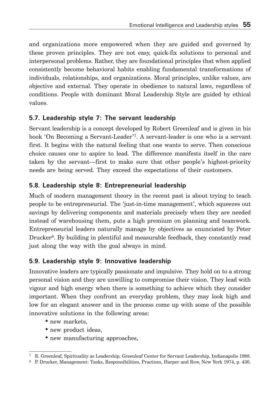and organizations more empowered when they are guided and governed by these proven principles. They are not easy, quick-fix solutions to personal and interpersonal problems. Rather, they are foundational principles that when applied consistently become behavioral habits enabling fundamental transformations of individuals, relationships, and organizations. Moral principles, unlike values, are objective and external. They operate in obedience to natural laws, regardless of conditions. People with dominant Moral Leadership Style are guided by ethical values.

## **5.7. Leadership style 7: The servant leadership**

Servant leadership is a concept developed by Robert Greenleaf and is given in his book 'On Becoming a Servant-Leader'7. A servant-leader is one who is a servant first. It begins with the natural feeling that one wants to serve. Then conscious choice causes one to aspire to lead. The difference manifests itself in the care taken by the servant—first to make sure that other people's highest-priority needs are being served. They exceed the expectations of their customers.

# **5.8. Leadership style 8: Entrepreneurial leadership**

Much of modern management theory in the recent past is about trying to teach people to be entrepreneurial. The 'just-in-time management', which squeezes out savings by delivering components and materials precisely when they are needed instead of warehousing them, puts a high premium on planning and teamwork. Entrepreneurial leaders naturally manage by objectives as enunciated by Peter Drucker<sup>8</sup>. By building in plentiful and measurable feedback, they constantly read just along the way with the goal always in mind.

## **5.9. Leadership style 9: Innovative leadership**

Innovative leaders are typically passionate and impulsive. They hold on to a strong personal vision and they are unwilling to compromise their vision. They lead with vigour and high energy when there is something to achieve which they consider important. When they confront an everyday problem, they may look high and low for an elegant answer and in the process come up with some of the possible innovative solutions in the following areas:

- new markets,
- new product ideas,
- new manufacturing approaches,

<sup>7</sup> R. Greenleaf, Spirituality as Leadership, Greenleaf Center for Servant Leadership, Indianapolis 1988.

<sup>8</sup> P. Drucker, Management: Tasks, Responsibilities, Practices, Harper and Row, New York 1974, p. 430.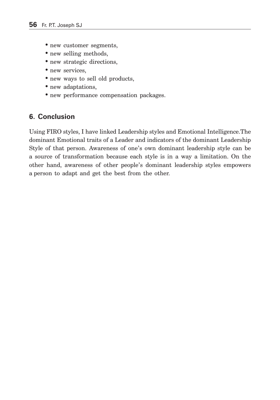- new customer segments,
- new selling methods,
- new strategic directions,
- new services,
- new ways to sell old products,
- new adaptations,
- new performance compensation packages.

## **6. Conclusion**

Using FIRO styles, I have linked Leadership styles and Emotional Intelligence.The dominant Emotional traits of a Leader and indicators of the dominant Leadership Style of that person. Awareness of one's own dominant leadership style can be a source of transformation because each style is in a way a limitation. On the other hand, awareness of other people's dominant leadership styles empowers a person to adapt and get the best from the other.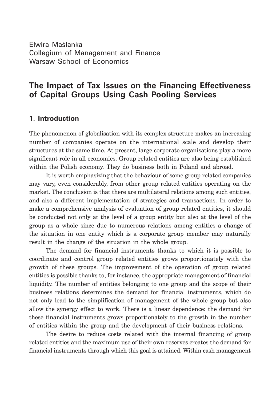Elwira Maślanka Collegium of Management and Finance Warsaw School of Economics

# **The Impact of Tax Issues on the Financing Effectiveness of Capital Groups Using Cash Pooling Services**

#### **1. Introduction**

The phenomenon of globalisation with its complex structure makes an increasing number of companies operate on the international scale and develop their structures at the same time. At present, large corporate organisations play a more significant role in all economies. Group related entities are also being established within the Polish economy. They do business both in Poland and abroad.

It is worth emphasizing that the behaviour of some group related companies may vary, even considerably, from other group related entities operating on the market. The conclusion is that there are multilateral relations among such entities, and also a different implementation of strategies and transactions. In order to make a comprehensive analysis of evaluation of group related entities, it should be conducted not only at the level of a group entity but also at the level of the group as a whole since due to numerous relations among entities a change of the situation in one entity which is a corporate group member may naturally result in the change of the situation in the whole group.

The demand for financial instruments thanks to which it is possible to coordinate and control group related entities grows proportionately with the growth of these groups. The improvement of the operation of group related entities is possible thanks to, for instance, the appropriate management of financial liquidity. The number of entities belonging to one group and the scope of their business relations determines the demand for financial instruments, which do not only lead to the simplification of management of the whole group but also allow the synergy effect to work. There is a linear dependence: the demand for these financial instruments grows proportionately to the growth in the number of entities within the group and the development of their business relations.

The desire to reduce costs related with the internal financing of group related entities and the maximum use of their own reserves creates the demand for financial instruments through which this goal is attained. Within cash management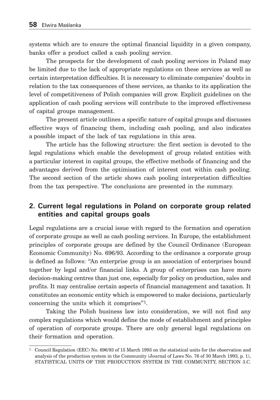systems which are to ensure the optimal financial liquidity in a given company, banks offer a product called a cash pooling service.

The prospects for the development of cash pooling services in Poland may be limited due to the lack of appropriate regulations on these services as well as certain interpretation difficulties. It is necessary to eliminate companies' doubts in relation to the tax consequences of these services, as thanks to its application the level of competitiveness of Polish companies will grow. Explicit guidelines on the application of cash pooling services will contribute to the improved effectiveness of capital groups management.

The present article outlines a specific nature of capital groups and discusses effective ways of financing them, including cash pooling, and also indicates a possible impact of the lack of tax regulations in this area.

The article has the following structure: the first section is devoted to the legal regulations which enable the development of group related entities with a particular interest in capital groups, the effective methods of financing and the advantages derived from the optimisation of interest cost within cash pooling. The second section of the article shows cash pooling interpretation difficulties from the tax perspective. The conclusions are presented in the summary.

### **2. Current legal regulations in Poland on corporate group related entities and capital groups goals**

Legal regulations are a crucial issue with regard to the formation and operation of corporate groups as well as cash pooling services. In Europe, the establishment principles of corporate groups are defined by the Council Ordinance (European Economic Community) No. 696/93. According to the ordinance a corporate group is defined as follows: "An enterprise group is an association of enterprises bound together by legal and/or financial links. A group of enterprises can have more decision-making centres than just one, especially for policy on production, sales and profits. It may centralise certain aspects of financial management and taxation. It constitutes an economic entity which is empowered to make decisions, particularly concerning the units which it comprises"1.

Taking the Polish business law into consideration, we will not find any complex regulations which would define the mode of establishment and principles of operation of corporate groups. There are only general legal regulations on their formation and operation.

<sup>1</sup> Council Regulation (EEC) No. 696/93 of 15 March 1993 on the statistical units for the observation and analysis of the production system in the Community (Journal of Laws No. 76 of 30 March 1993, p. 1), STATISTICAL UNITS OF THE PRODUCTION SYSTEM IN THE COMMUNITY, SECTION 3.C.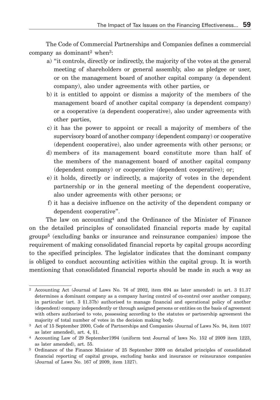The Code of Commercial Partnerships and Companies defines a commercial company as dominant2 when3:

- a) "it controls, directly or indirectly, the majority of the votes at the general meeting of shareholders or general assembly, also as pledgee or user, or on the management board of another capital company (a dependent company), also under agreements with other parties, or
- b) it is entitled to appoint or dismiss a majority of the members of the management board of another capital company (a dependent company) or a cooperative (a dependent cooperative), also under agreements with other parties,
- c) it has the power to appoint or recall a majority of members of the supervisory board of another company (dependent company) or cooperative (dependent cooperative), also under agreements with other persons; or
- d) members of its management board constitute more than half of the members of the management board of another capital company (dependent company) or cooperative (dependent cooperative); or;
- e) it holds, directly or indirectly, a majority of votes in the dependent partnership or in the general meeting of the dependent cooperative, also under agreements with other persons; or
- f) it has a decisive influence on the activity of the dependent company or dependent cooperative".

The law on accounting4 and the Ordinance of the Minister of Finance on the detailed principles of consolidated financial reports made by capital groups5 (excluding banks or insurance and reinsurance companies) impose the requirement of making consolidated financial reports by capital groups according to the specified principles. The legislator indicates that the dominant company is obliged to conduct accounting activities within the capital group. It is worth mentioning that consolidated financial reports should be made in such a way as

<sup>2</sup> Accounting Act (Journal of Laws No. 76 of 2002, item 694 as later amended) in art. 3 §1.37 determines a dominant company as a company having control of co-control over another company, in particular (art. 3 §1.37b) authorised to manage financial and operational policy of another (dependent) company independently or through assigned persons or entities on the basis of agreement with others authorised to vote, possessing according to the statutes or partnership agreement the majority of total number of votes in the decision making body.

<sup>3</sup> Act of 15 September 2000, Code of Partnerships and Companies (Journal of Laws No. 94, item 1037 as later amended), art. 4, §1.

<sup>4</sup> Accounting Law of 29 September1994 (uniform text Journal of laws No. 152 of 2009 item 1223, as later amended), art. 55.

<sup>5</sup> Ordinance of the Finance Minister of 25 September 2009 on detailed principles of consolidated financial reporting of capital groups, excluding banks and insurance or reinsurance companies (Journal of Laws No. 167 of 2009, item 1327).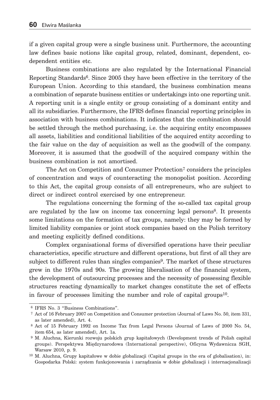if a given capital group were a single business unit. Furthermore, the accounting law defines basic notions like capital group, related, dominant, dependent, codependent entities etc.

Business combinations are also regulated by the International Financial Reporting Standards6. Since 2005 they have been effective in the territory of the European Union. According to this standard, the business combination means a combination of separate business entities or undertakings into one reporting unit. A reporting unit is a single entity or group consisting of a dominant entity and all its subsidiaries. Furthermore, the IFRS defines financial reporting principles in association with business combinations. It indicates that the combination should be settled through the method purchasing, i.e. the acquiring entity encompasses all assets, liabilities and conditional liabilities of the acquired entity according to the fair value on the day of acquisition as well as the goodwill of the company. Moreover, it is assumed that the goodwill of the acquired company within the business combination is not amortised.

The Act on Competition and Consumer Protection<sup>7</sup> considers the principles of concentration and ways of counteracting the monopolist position. According to this Act, the capital group consists of all entrepreneurs, who are subject to direct or indirect control exercised by one entrepreneur.

The regulations concerning the forming of the so-called tax capital group are regulated by the law on income tax concerning legal persons<sup>8</sup>. It presents some limitations on the formation of tax groups, namely: they may be formed by limited liability companies or joint stock companies based on the Polish territory and meeting explicitly defined conditions.

Complex organisational forms of diversified operations have their peculiar characteristics, specific structure and different operations, but first of all they are subject to different rules than singles companies9. The market of these structures grew in the 1970s and 90s. The growing liberalisation of the financial system, the development of outsourcing processes and the necessity of possessing flexible structures reacting dynamically to market changes constitute the set of effects in favour of processes limiting the number and role of capital groups10.

 <sup>6</sup> IFRS No. 3 "Business Combinations".

 <sup>7</sup> Act of 16 February 2007 on Competition and Consumer protection (Journal of Laws No. 50, item 331, as later amended), Art. 4.

 <sup>8</sup> Act of 15 February 1992 on Income Tax from Legal Persons (Journal of Laws of 2000 No. 54, item 654, as later amended), Art. 1a.

 <sup>9</sup> M. Aluchna, Kierunki rozwoju polskich grup kapitałowych (Development trends of Polish capital groups). Perspektywa Międzynarodowa (International perspective), Oficyna Wydawnicza SGH, Warsaw 2010, p. 9.

<sup>10</sup> M. Aluchna, Grupy kapitałowe w dobie globalizacji (Capital groups in the era of globalisation), in: Gospodarka Polski: system funkcjonowania i zarządzania w dobie globalizacji i internacjonalizacji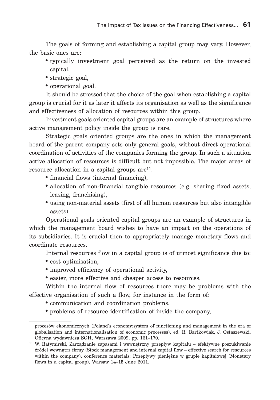The goals of forming and establishing a capital group may vary. However, the basic ones are:

- typically investment goal perceived as the return on the invested capital,
- strategic goal,
- operational goal.

It should be stressed that the choice of the goal when establishing a capital group is crucial for it as later it affects its organisation as well as the significance and effectiveness of allocation of resources within this group.

Investment goals oriented capital groups are an example of structures where active management policy inside the group is rare.

Strategic goals oriented groups are the ones in which the management board of the parent company sets only general goals, without direct operational coordination of activities of the companies forming the group. In such a situation active allocation of resources is difficult but not impossible. The major areas of resource allocation in a capital groups  $are^{11}$ :

- financial flows (internal financing),
- allocation of non-financial tangible resources (e.g. sharing fixed assets, leasing, franchising),
- using non-material assets (first of all human resources but also intangible assets).

Operational goals oriented capital groups are an example of structures in which the management board wishes to have an impact on the operations of its subsidiaries. It is crucial then to appropriately manage monetary flows and coordinate resources.

Internal resources flow in a capital group is of utmost significance due to:

- cost optimisation,
- improved efficiency of operational activity,
- easier, more effective and cheaper access to resources.

Within the internal flow of resources there may be problems with the effective organisation of such a flow, for instance in the form of:

- communication and coordination problems,
- problems of resource identification of inside the company,

procesów ekonomicznych (Poland's economy:system of functioning and management in the era of globalisation and internationalisation of economic processes), ed. R. Bartkowiak, J. Ostaszewski, Oficyna wydawnicza SGH, Warszawa 2009, pp. 161–170.

<sup>11</sup> W. Ratymirski, Zarządzanie zapasami i wewnętrzny przepływ kapitału – efektywne poszukiwanie źródeł wewnątrz firmy (Stock management and internal capital flow – effective search for resources within the company), conference materials: Przepływy pieniężne w grupie kapitałowej (Monetary flows in a capital group), Warsaw 14–15 June 2011.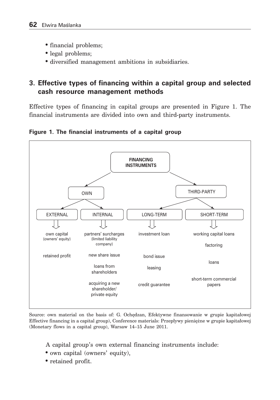- financial problems;
- legal problems;
- diversified management ambitions in subsidiaries.

# **3. Effective types of financing within a capital group and selected cash resource management methods**

Effective types of financing in capital groups are presented in Figure 1. The financial instruments are divided into own and third-party instruments.

**Figure 1. The financial instruments of a capital group**



Source: own material on the basis of: G. Ochędzan, Efektywne finansowanie w grupie kapitałowej Effective financing in a capital group), Conference materials: Przepływy pieniężne w grupie kapitałowej (Monetary flows in a capital group), Warsaw 14–15 June 2011.

A capital group's own external financing instruments include:

- own capital (owners' equity),
- retained profit.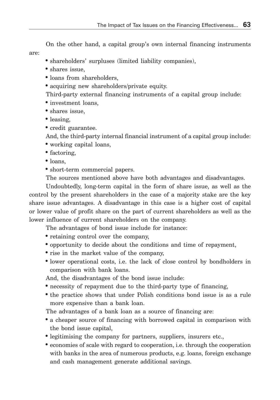On the other hand, a capital group's own internal financing instruments

• shareholders' surpluses (limited liability companies),

• shares issue,

are:

- loans from shareholders,
- acquiring new shareholders/private equity.

Third-party external financing instruments of a capital group include:

- investment loans,
- shares issue,
- leasing,
- credit guarantee.

And, the third-party internal financial instrument of a capital group include:

- working capital loans,
- factoring,
- loans,
- short-term commercial papers.

The sources mentioned above have both advantages and disadvantages.

Undoubtedly, long-term capital in the form of share issue, as well as the control by the present shareholders in the case of a majority stake are the key share issue advantages. A disadvantage in this case is a higher cost of capital or lower value of profit share on the part of current shareholders as well as the lower influence of current shareholders on the company.

The advantages of bond issue include for instance:

- retaining control over the company,
- opportunity to decide about the conditions and time of repayment,
- rise in the market value of the company,
- lower operational costs, i.e. the lack of close control by bondholders in comparison with bank loans.

And, the disadvantages of the bond issue include:

- necessity of repayment due to the third-party type of financing,
- the practice shows that under Polish conditions bond issue is as a rule more expensive than a bank loan.

The advantages of a bank loan as a source of financing are:

- a cheaper source of financing with borrowed capital in comparison with the bond issue capital,
- legitimising the company for partners, suppliers, insurers etc.,
- economies of scale with regard to cooperation, i.e. through the cooperation with banks in the area of numerous products, e.g. loans, foreign exchange and cash management generate additional savings.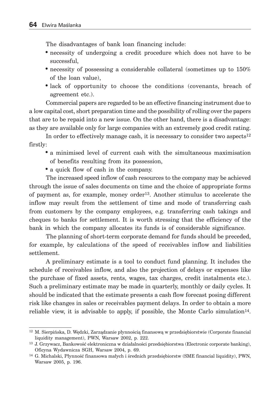The disadvantages of bank loan financing include:

- necessity of undergoing a credit procedure which does not have to be successful,
- necessity of possessing a considerable collateral (sometimes up to 150%) of the loan value),
- lack of opportunity to choose the conditions (covenants, breach of agreement etc.).

Commercial papers are regarded to be an effective financing instrument due to a low capital cost, short preparation time and the possibility of rolling over the papers that are to be repaid into a new issue. On the other hand, there is a disadvantage: as they are available only for large companies with an extremely good credit rating.

In order to effectively manage cash, it is necessary to consider two aspects<sup>12</sup> firstly:

- a minimised level of current cash with the simultaneous maximisation of benefits resulting from its possession,
- a quick flow of cash in the company.

The increased speed inflow of cash resources to the company may be achieved through the issue of sales documents on time and the choice of appropriate forms of payment as, for example, money order13. Another stimulus to accelerate the inflow may result from the settlement of time and mode of transferring cash from customers by the company employees, e.g. transferring cash takings and cheques to banks for settlement. It is worth stressing that the efficiency of the bank in which the company allocates its funds is of considerable significance.

The planning of short-term corporate demand for funds should be preceded, for example, by calculations of the speed of receivables inflow and liabilities settlement.

A preliminary estimate is a tool to conduct fund planning. It includes the schedule of receivables inflow, and also the projection of delays or expenses like the purchase of fixed assets, rents, wages, tax charges, credit instalments etc.). Such a preliminary estimate may be made in quarterly, monthly or daily cycles. It should be indicated that the estimate presents a cash flow forecast posing different risk like changes in sales or receivables payment delays. In order to obtain a more reliable view, it is advisable to apply, if possible, the Monte Carlo simulation14.

<sup>12</sup> M. Sierpińska, D. Wędzki, Zarządzanie płynnością finansową w przedsiębiorstwie (Corporate financial liquidity management), PWN, Warsaw 2002, p. 222.

<sup>13</sup> J. Grzywacz, Bankowość elektroniczna w działalności przedsiębiorstwa (Electronic corporate banking), Oficyna Wydawnicza SGH, Warsaw 2004, p. 69.

<sup>14</sup> G. Michalski, Płynność finansowa małych i średnich przedsiębiorstw (SME financial liquidity), PWN, Warsaw 2005, p. 196.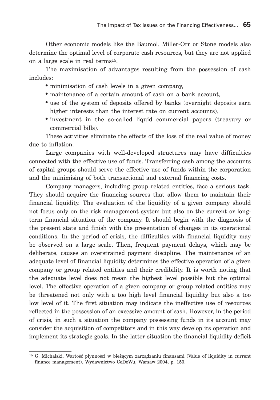Other economic models like the Baumol, Miller-Orr or Stone models also determine the optimal level of corporate cash resources, but they are not applied on a large scale in real terms15.

The maximisation of advantages resulting from the possession of cash includes:

- minimisation of cash levels in a given company,
- maintenance of a certain amount of cash on a bank account,
- use of the system of deposits offered by banks (overnight deposits earn higher interests than the interest rate on current accounts).
- investment in the so-called liquid commercial papers (treasury or commercial bills).

These activities eliminate the effects of the loss of the real value of money due to inflation.

Large companies with well-developed structures may have difficulties connected with the effective use of funds. Transferring cash among the accounts of capital groups should serve the effective use of funds within the corporation and the minimising of both transactional and external financing costs.

Company managers, including group related entities, face a serious task. They should acquire the financing sources that allow them to maintain their financial liquidity. The evaluation of the liquidity of a given company should not focus only on the risk management system but also on the current or longterm financial situation of the company. It should begin with the diagnosis of the present state and finish with the presentation of changes in its operational conditions. In the period of crisis, the difficulties with financial liquidity may be observed on a large scale. Then, frequent payment delays, which may be deliberate, causes an overstrained payment discipline. The maintenance of an adequate level of financial liquidity determines the effective operation of a given company or group related entities and their credibility. It is worth noting that the adequate level does not mean the highest level possible but the optimal level. The effective operation of a given company or group related entities may be threatened not only with a too high level financial liquidity but also a too low level of it. The first situation may indicate the ineffective use of resources reflected in the possession of an excessive amount of cash. However, in the period of crisis, in such a situation the company possessing funds in its account may consider the acquisition of competitors and in this way develop its operation and implement its strategic goals. In the latter situation the financial liquidity deficit

<sup>15</sup> G. Michalski, Wartość płynności w bieżącym zarządzaniu finansami (Value of liquidity in current finance management), Wydawnictwo CeDeWu, Warsaw 2004, p. 150.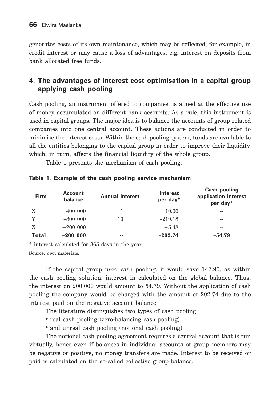generates costs of its own maintenance, which may be reflected, for example, in credit interest or may cause a loss of advantages, e.g. interest on deposits from bank allocated free funds.

## **4. The advantages of interest cost optimisation in a capital group applying cash pooling**

Cash pooling, an instrument offered to companies, is aimed at the effective use of money accumulated on different bank accounts. As a rule, this instrument is used in capital groups. The major idea is to balance the accounts of group related companies into one central account. These actions are conducted in order to minimise the interest costs. Within the cash pooling system, funds are available to all the entities belonging to the capital group in order to improve their liquidity, which, in turn, affects the financial liquidity of the whole group.

Table 1 presents the mechanism of cash pooling.

| <b>Firm</b>  | <b>Account</b><br>balance | <b>Annual interest</b> | <b>Interest</b><br>per day* | Cash pooling<br>application interest<br>per day* |
|--------------|---------------------------|------------------------|-----------------------------|--------------------------------------------------|
| X            | $+400000$                 |                        | $+10.96$                    | --                                               |
| $\mathbf v$  | $-800000$                 | 10                     | $-219.18$                   | --                                               |
|              | $+200000$                 |                        | $+5.48$                     | --                                               |
| <b>Total</b> | $-200000$                 | $- -$                  | $-202.74$                   | $-54.79$                                         |

**Table 1. Example of the cash pooling service mechanism**

\* interest calculated for 365 days in the year.

Source: own materials.

If the capital group used cash pooling, it would save 147.95, as within the cash pooling solution, interest in calculated on the global balance. Thus, the interest on 200,000 would amount to 54.79. Without the application of cash pooling the company would be charged with the amount of 202.74 due to the interest paid on the negative account balance.

The literature distinguishes two types of cash pooling:

- real cash pooling (zero-balancing cash pooling);
- and unreal cash pooling (notional cash pooling).

The notional cash pooling agreement requires a central account that is run virtually, hence even if balances in individual accounts of group members may be negative or positive, no money transfers are made. Interest to be received or paid is calculated on the so-called collective group balance.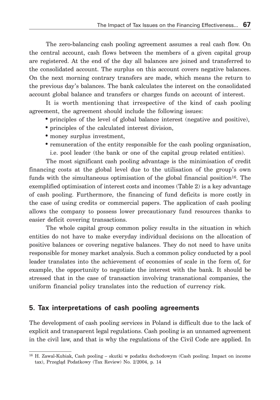The zero-balancing cash pooling agreement assumes a real cash flow. On the central account, cash flows between the members of a given capital group are registered. At the end of the day all balances are joined and transferred to the consolidated account. The surplus on this account covers negative balances. On the next morning contrary transfers are made, which means the return to the previous day's balances. The bank calculates the interest on the consolidated account global balance and transfers or charges funds on account of interest.

It is worth mentioning that irrespective of the kind of cash pooling agreement, the agreement should include the following issues:

- principles of the level of global balance interest (negative and positive),
- principles of the calculated interest division,
- money surplus investment,
- remuneration of the entity responsible for the cash pooling organisation, i.e. pool leader (the bank or one of the capital group related entities).

The most significant cash pooling advantage is the minimisation of credit financing costs at the global level due to the utilisation of the group's own funds with the simultaneous optimisation of the global financial position<sup>16</sup>. The exemplified optimisation of interest costs and incomes (Table 2) is a key advantage of cash pooling. Furthermore, the financing of fund deficits is more costly in the case of using credits or commercial papers. The application of cash pooling allows the company to possess lower precautionary fund resources thanks to easier deficit covering transactions.

The whole capital group common policy results in the situation in which entities do not have to make everyday individual decisions on the allocation of positive balances or covering negative balances. They do not need to have units responsible for money market analysis. Such a common policy conducted by a pool leader translates into the achievement of economies of scale in the form of, for example, the opportunity to negotiate the interest with the bank. It should be stressed that in the case of transaction involving transnational companies, the uniform financial policy translates into the reduction of currency risk.

### **5. Tax interpretations of cash pooling agreements**

The development of cash pooling services in Poland is difficult due to the lack of explicit and transparent legal regulations. Cash pooling is an unnamed agreement in the civil law, and that is why the regulations of the Civil Code are applied. In

<sup>16</sup> H. Zawal-Kubiak, Cash pooling – skutki w podatku dochodowym (Cash pooling. Impact on income tax), Przegląd Podatkowy (Tax Review) No. 2/2004, p. 14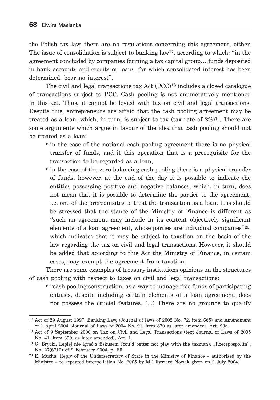the Polish tax law, there are no regulations concerning this agreement, either. The issue of consolidation is subject to banking  $law<sup>17</sup>$ , according to which: "in the agreement concluded by companies forming a tax capital group… funds deposited in bank accounts and credits or loans, for which consolidated interest has been determined, bear no interest".

The civil and legal transactions tax Act (PCC)<sup>18</sup> includes a closed catalogue of transactions subject to PCC. Cash pooling is not enumeratively mentioned in this act. Thus, it cannot be levied with tax on civil and legal transactions. Despite this, entrepreneurs are afraid that the cash pooling agreement may be treated as a loan, which, in turn, is subject to tax (tax rate of  $2\%/19}$ . There are some arguments which argue in favour of the idea that cash pooling should not be treated as a loan:

- in the case of the notional cash pooling agreement there is no physical transfer of funds, and it this operation that is a prerequisite for the transaction to be regarded as a loan,
- in the case of the zero-balancing cash pooling there is a physical transfer of funds, however, at the end of the day it is possible to indicate the entities possessing positive and negative balances, which, in turn, does not mean that it is possible to determine the parties to the agreement, i.e. one of the prerequisites to treat the transaction as a loan. It is should be stressed that the stance of the Ministry of Finance is different as "such an agreement may include in its content objectively significant elements of a loan agreement, whose parties are individual companies"20, which indicates that it may be subject to taxation on the basis of the law regarding the tax on civil and legal transactions. However, it should be added that according to this Act the Ministry of Finance, in certain cases, may exempt the agreement from taxation.

There are some examples of treasury institutions opinions on the structures of cash pooling with respect to taxes on civil and legal transactions:

• "cash pooling construction, as a way to manage free funds of participating entities, despite including certain elements of a loan agreement, does not possess the crucial features. (...) There are no grounds to qualify

<sup>17</sup> Act of 29 August 1997, Banking Law, (Journal of laws of 2002 No. 72, item 665) and Amendment of 1 April 2004 (Journal of Laws of 2004 No. 91, item 870 as later amended), Art. 93a.

<sup>18</sup> Act of 9 September 2000 on Tax on Civil and Legal Transactions (text Journal of Laws of 2005 No. 41, item 399, as later amended), Art. 1.

<sup>&</sup>lt;sup>19</sup> G. Brycki, Lepiej nie igrać z fiskusem (You'd better not play with the taxman), "Rzeczpospolita", No. 27(6710) of 2 February 2004, p. B5.

<sup>20</sup> E. Mucha, Reply of the Undersecretary of State in the Ministry of Finance – authorised by the Minister – to repeated interpellation No. 6005 by MP Ryszard Nowak given on 2 July 2004.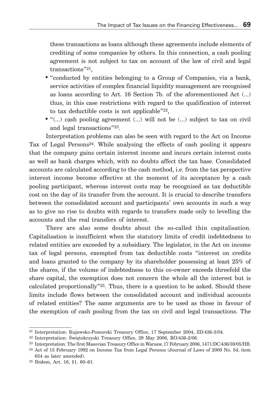these transactions as loans although these agreements include elements of crediting of some companies by others. In this connection, a cash pooling agreement is not subject to tax on account of the law of civil and legal transactions"21,

- "conducted by entities belonging to a Group of Companies, via a bank, service activities of complex financial liquidity management are recognised as loans according to Art. 16 Section 7b. of the aforementioned Act (...) thus, in this case restrictions with regard to the qualification of interest to tax deductible costs is not applicable"22,
- "(...) cash pooling agreement (...) will not be (...) subject to tax on civil and legal transactions"23.

Interpretation problems can also be seen with regard to the Act on Income Tax of Legal Persons<sup>24</sup>. While analysing the effects of cash pooling it appears that the company gains certain interest income and incurs certain interest costs as well as bank charges which, with no doubts affect the tax base. Consolidated accounts are calculated according to the cash method, i.e. from the tax perspective interest income become effective at the moment of its acceptance by a cash pooling participant, whereas interest costs may be recognised as tax deductible cost on the day of its transfer from the account. It is crucial to describe transfers between the consolidated account and participants' own accounts in such a way as to give no rise to doubts with regards to transfers made only to levelling the accounts and the real transfers of interest.

There are also some doubts about the so-called thin capitalisation. Capitalisation is insufficient when the statutory limits of credit indebtedness to related entities are exceeded by a subsidiary. The legislator, in the Act on income tax of legal persons, exempted from tax deductible costs "interest on credits and loans granted to the company by its shareholder possessing at least 25% of the shares, if the volume of indebtedness to this co-owner exceeds threefold the share capital, the exemption does not concern the whole all the interest but is calculated proportionally"25. Thus, there is a question to be asked. Should these limits include flows between the consolidated account and individual accounts of related entities? The same arguments are to be used as those in favour of the exemption of cash pooling from the tax on civil and legal transactions. The

<sup>21</sup> Interpretation: Kujawsko-Pomorski Treasury Office, 17 September 2004, ZD/436-3/04.

<sup>22</sup> Interpretation: Świętokrzyski Treasury Office, 29 May 2006, RO/436-2/06.

<sup>&</sup>lt;sup>23</sup> Interpretation: The first Masovian Treasury Office in Warsaw, 17 February 2006, 1471/DC/436/59/05/HB.

<sup>24</sup> Act of 15 February 1992 on Income Tax from Legal Persons (Journal of Laws of 2000 No. 54, item 654 as later amended).

<sup>25</sup> Ibidem, Art. 16, §1. 60–61.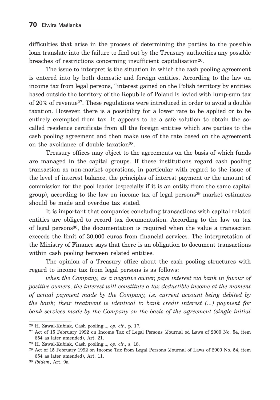difficulties that arise in the process of determining the parties to the possible loan translate into the failure to find out by the Treasury authorities any possible breaches of restrictions concerning insufficient capitalisation<sup>26</sup>.

The issue to interpret is the situation in which the cash pooling agreement is entered into by both domestic and foreign entities. According to the law on income tax from legal persons, "interest gained on the Polish territory by entities based outside the territory of the Republic of Poland is levied with lump-sum tax of 20% of revenue27. These regulations were introduced in order to avoid a double taxation. However, there is a possibility for a lower rate to be applied or to be entirely exempted from tax. It appears to be a safe solution to obtain the socalled residence certificate from all the foreign entities which are parties to the cash pooling agreement and then make use of the rate based on the agreement on the avoidance of double taxation<sup>28</sup>.

Treasury offices may object to the agreements on the basis of which funds are managed in the capital groups. If these institutions regard cash pooling transaction as non-market operations, in particular with regard to the issue of the level of interest balance, the principles of interest payment or the amount of commission for the pool leader (especially if it is an entity from the same capital group), according to the law on income tax of legal persons29 market estimates should be made and overdue tax stated.

It is important that companies concluding transactions with capital related entities are obliged to record tax documentation. According to the law on tax of legal persons30, the documentation is required when the value a transaction exceeds the limit of 30,000 euros from financial services. The interpretation of the Ministry of Finance says that there is an obligation to document transactions within cash pooling between related entities.

The opinion of a Treasury office about the cash pooling structures with regard to income tax from legal persons is as follows:

*when the Company, as a negative owner, pays interest via bank in favour of positive owners, the interest will constitute a tax deductible income at the moment of actual payment made by the Company, i.e. current account being debited by the bank; their treatment is identical to bank credit interest (...) payment for bank services made by the Company on the basis of the agreement (single initial* 

<sup>26</sup> H. Zawal-Kubiak, Cash pooling..., *op. cit.*, p. 17.

<sup>27</sup> Act of 15 February 1992 on Income Tax of Legal Persons (Journal od Laws of 2000 No. 54, item 654 as later amended), Art. 21.

<sup>28</sup> H. Zawal-Kubiak, Cash pooling..., *op. cit.*, s. 18.

<sup>29</sup> Act of 15 February 1992 on Income Tax from Legal Persons (Journal of Laws of 2000 No. 54, item 654 as later amended), Art. 11.

<sup>30</sup> *Ibidem*, Art. 9a.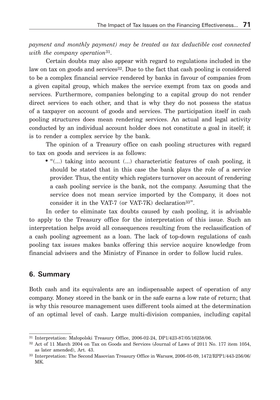*payment and monthly payment) may be treated as tax deductible cost connected with the company operation*31.

Certain doubts may also appear with regard to regulations included in the law on tax on goods and services<sup>32</sup>. Due to the fact that cash pooling is considered to be a complex financial service rendered by banks in favour of companies from a given capital group, which makes the service exempt from tax on goods and services. Furthermore, companies belonging to a capital group do not render direct services to each other, and that is why they do not possess the status of a taxpayer on account of goods and services. The participation itself in cash pooling structures does mean rendering services. An actual and legal activity conducted by an individual account holder does not constitute a goal in itself; it is to render a complex service by the bank.

The opinion of a Treasury office on cash pooling structures with regard to tax on goods and services is as follows:

• "(...) taking into account (...) characteristic features of cash pooling, it should be stated that in this case the bank plays the role of a service provider. Thus, the entity which registers turnover on account of rendering a cash pooling service is the bank, not the company. Assuming that the service does not mean service imported by the Company, it does not consider it in the VAT-7 (or VAT-7K) declaration<sup>33"</sup>.

In order to eliminate tax doubts caused by cash pooling, it is advisable to apply to the Treasury office for the interpretation of this issue. Such an interpretation helps avoid all consequences resulting from the reclassification of a cash pooling agreement as a loan. The lack of top-down regulations of cash pooling tax issues makes banks offering this service acquire knowledge from financial advisers and the Ministry of Finance in order to follow lucid rules.

## **6. Summary**

Both cash and its equivalents are an indispensable aspect of operation of any company. Money stored in the bank or in the safe earns a low rate of return; that is why this resource management uses different tools aimed at the determination of an optimal level of cash. Large multi-division companies, including capital

<sup>31</sup> Interpretation: Małopolski Treasury Office, 2006-02-24, DP1/423-87/05/16258/06.

<sup>32</sup> Act of 11 March 2004 on Tax on Goods and Services (Journal of Laws of 2011 No. 177 item 1054, as later amended), Art. 43.

<sup>33</sup> Interpretation: The Second Masovian Treasury Office in Warsaw, 2006-05-09, 1472/RPP1/443-256/06/ MK.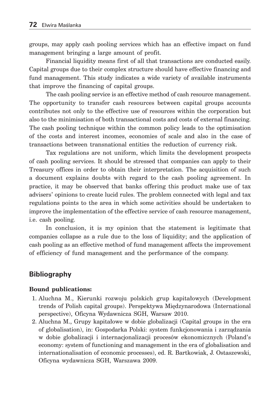groups, may apply cash pooling services which has an effective impact on fund management bringing a large amount of profit.

Financial liquidity means first of all that transactions are conducted easily. Capital groups due to their complex structure should have effective financing and fund management. This study indicates a wide variety of available instruments that improve the financing of capital groups.

The cash pooling service is an effective method of cash resource management. The opportunity to transfer cash resources between capital groups accounts contributes not only to the effective use of resources within the corporation but also to the minimisation of both transactional costs and costs of external financing. The cash pooling technique within the common policy leads to the optimisation of the costs and interest incomes, economies of scale and also in the case of transactions between transnational entities the reduction of currency risk.

Tax regulations are not uniform, which limits the development prospects of cash pooling services. It should be stressed that companies can apply to their Treasury offices in order to obtain their interpretation. The acquisition of such a document explains doubts with regard to the cash pooling agreement. In practice, it may be observed that banks offering this product make use of tax advisers' opinions to create lucid rules. The problem connected with legal and tax regulations points to the area in which some activities should be undertaken to improve the implementation of the effective service of cash resource management, i.e. cash pooling.

In conclusion, it is my opinion that the statement is legitimate that companies collapse as a rule due to the loss of liquidity; and the application of cash pooling as an effective method of fund management affects the improvement of efficiency of fund management and the performance of the company.

# **Bibliography**

#### **Bound publications:**

- 1. Aluchna M., Kierunki rozwoju polskich grup kapitałowych (Development trends of Polish capital groups). Perspektywa Międzynarodowa (International perspective), Oficyna Wydawnicza SGH, Warsaw 2010.
- 2. Aluchna M., Grupy kapitałowe w dobie globalizacji (Capital groups in the era of globalisation), in: Gospodarka Polski: system funkcjonowania i zarządzania w dobie globalizacji i internacjonalizacji procesów ekonomicznych (Poland's economy: system of functioning and management in the era of globalisation and internationalisation of economic processes), ed. R. Bartkowiak, J. Ostaszewski, Oficyna wydawnicza SGH, Warszawa 2009.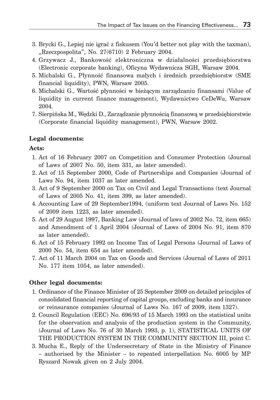- 3. Brycki G., Lepiej nie igrać z fiskusem (You'd better not play with the taxman),  $Rzeczpospolita$ ", No. 27(6710) 2 February 2004.
- 4. Grzywacz J., Bankowość elektroniczna w działalności przedsiębiorstwa (Electronic corporate banking), Oficyna Wydawnicza SGH, Warsaw 2004.
- 5. Michalski G., Płynność finansowa małych i średnich przedsiębiorstw (SME financial liquidity), PWN, Warsaw 2005.
- 6. Michalski G., Wartość płynności w bieżącym zarządzaniu finansami (Value of liquidity in current finance management), Wydawnictwo CeDeWu, Warsaw 2004.
- 7. Sierpińska M., Wędzki D., Zarządzanie płynnością finansową w przedsiębiorstwie (Corporate financial liquidity management), PWN, Warsaw 2002.

### **Legal documents:**

#### **Acts:**

- 1. Act of 16 February 2007 on Competition and Consumer Protection (Journal of Laws of 2007 No. 50, item 331, as later amended).
- 2. Act of 15 September 2000, Code of Partnerships and Companies (Journal of Laws No. 94, item 1037 as later amended.
- 3. Act of 9 September 2000 on Tax on Civil and Legal Transactions (text Journal of Laws of 2005 No. 41, item 399, as later amended).
- 4. Accounting Law of 29 September1994, (uniform text Journal of Laws No. 152 of 2009 item 1223, as later amended).
- 5. Act of 29 August 1997, Banking Law (Journal of laws of 2002 No. 72, item 665) and Amendment of 1 April 2004 (Journal of Laws of 2004 No. 91, item 870 as later amended).
- 6. Act of 15 February 1992 on Income Tax of Legal Persons (Journal of Laws of 2000 No. 54, item 654 as later amended).
- 7. Act of 11 March 2004 on Tax on Goods and Services (Journal of Laws of 2011 No. 177 item 1054, as later amended).

#### **Other legal documents:**

- 1. Ordinance of the Finance Minister of 25 September 2009 on detailed principles of consolidated financial reporting of capital groups, excluding banks and insurance or reinsurance companies (Journal of Laws No. 167 of 2009, item 1327).
- 2. Council Regulation (EEC) No. 696/93 of 15 March 1993 on the statistical units for the observation and analysis of the production system in the Community, (Journal of Laws No. 76 of 30 March 1993, p. 1), STATISTICAL UNITS OF THE PRODUCTION SYSTEM IN THE COMMUNITY SECTION III, point C.
- 3. Mucha E., Reply of the Undersecretary of State in the Ministry of Finance – authorised by the Minister – to repeated interpellation No. 6005 by MP Ryszard Nowak given on 2 July 2004.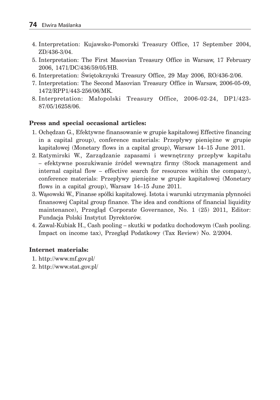- 4. Interpretation: Kujawsko-Pomorski Treasury Office, 17 September 2004, ZD/436-3/04.
- 5. Interpretation: The First Masovian Treasury Office in Warsaw, 17 February 2006, 1471/DC/436/59/05/HB.
- 6. Interpretation: Świętokrzyski Treasury Office, 29 May 2006, RO/436-2/06.
- 7. Interpretation: The Second Masovian Treasury Office in Warsaw, 2006-05-09, 1472/RPP1/443-256/06/MK.
- 8. Interpretation: Małopolski Treasury Office, 2006-02-24, DP1/423- 87/05/16258/06.

### **Press and special occasional articles:**

- 1. Ochędzan G., Efektywne finansowanie w grupie kapitałowej Effective financing in a capital group), conference materials: Przepływy pieniężne w grupie kapitałowej (Monetary flows in a capital group), Warsaw 14–15 June 2011.
- 2. Ratymirski W., Zarządzanie zapasami i wewnętrzny przepływ kapitału – efektywne poszukiwanie źródeł wewnątrz firmy (Stock management and internal capital flow – effective search for resources within the company), conference materials: Przepływy pieniężne w grupie kapitałowej (Monetary flows in a capital group), Warsaw 14–15 June 2011.
- 3. Wąsowski W., Finanse spółki kapitałowej. Istota i warunki utrzymania płynności finansowej Capital group finance. The idea and condtions of financial liquidity maintenance), Przegląd Corporate Governance, No. 1 (25) 2011, Editor: Fundacja Polski Instytut Dyrektorów.
- 4. Zawal-Kubiak H., Cash pooling skutki w podatku dochodowym (Cash pooling. Impact on income tax), Przegląd Podatkowy (Tax Review) No. 2/2004.

### **Internet materials:**

- 1. http://www.mf.gov.pl/
- 2. http://www.stat.gov.pl/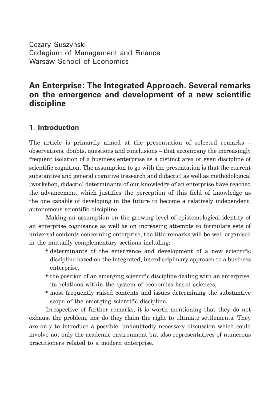Cezary Suszyński Collegium of Management and Finance Warsaw School of Economics

# **An Enterprise: The Integrated Approach. Several remarks on the emergence and development of a new scientific discipline**

## **1. Introduction**

The article is primarily aimed at the presentation of selected remarks – observations, doubts, questions and conclusions – that accompany the increasingly frequent isolation of a business enterprise as a distinct area or even discipline of scientific cognition. The assumption to go with the presentation is that the current substantive and general cognitive (research and didactic) as well as methodological (workshop, didactic) determinants of our knowledge of an enterprise have reached the advancement which justifies the perception of this field of knowledge as the one capable of developing in the future to become a relatively independent, autonomous scientific discipline.

Making an assumption on the growing level of epistemological identity of an enterprise cognisance as well as on increasing attempts to formulate sets of universal contents concerning enterprise, the title remarks will be well organised in the mutually complementary sections including:

- determinants of the emergence and development of a new scientific discipline based on the integrated, interdisciplinary approach to a business enterprise,
- the position of an emerging scientific discipline dealing with an enterprise, its relations within the system of economics based sciences,
- most frequently raised contents and issues determining the substantive scope of the emerging scientific discipline.

Irrespective of further remarks, it is worth mentioning that they do not exhaust the problem, nor do they claim the right to ultimate settlements. They are only to introduce a possible, undoubtedly necessary discussion which could involve not only the academic environment but also representatives of numerous practitioners related to a modern enterprise.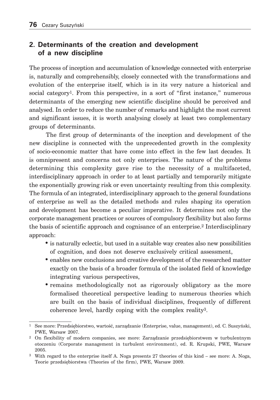## **2. Determinants of the creation and development of a new discipline**

The process of inception and accumulation of knowledge connected with enterprise is, naturally and comprehensibly, closely connected with the transformations and evolution of the enterprise itself, which is in its very nature a historical and social category<sup>1</sup>. From this perspective, in a sort of "first instance," numerous determinants of the emerging new scientific discipline should be perceived and analysed. In order to reduce the number of remarks and highlight the most current and significant issues, it is worth analysing closely at least two complementary groups of determinants.

The first group of determinants of the inception and development of the new discipline is connected with the unprecedented growth in the complexity of socio-economic matter that have come into effect in the few last decades. It is omnipresent and concerns not only enterprises. The nature of the problems determining this complexity gave rise to the necessity of a multifaceted, interdisciplinary approach in order to at least partially and temporarily mitigate the exponentially growing risk or even uncertainty resulting from this complexity. The formula of an integrated, interdisciplinary approach to the general foundations of enterprise as well as the detailed methods and rules shaping its operation and development has become a peculiar imperative. It determines not only the corporate management practices or sources of compulsory flexibility but also forms the basis of scientific approach and cognisance of an enterprise.<sup>2</sup> Interdisciplinary approach:

- is naturally eclectic, but used in a suitable way creates also new possibilities of cognition, and does not deserve exclusively critical assessment,
- enables new conclusions and creative development of the researched matter exactly on the basis of a broader formula of the isolated field of knowledge integrating various perspectives,
- remains methodologically not as rigorously obligatory as the more formalised theoretical perspective leading to numerous theories which are built on the basis of individual disciplines, frequently of different coherence level, hardly coping with the complex reality3.

<sup>1</sup> See more: Przedsiębiorstwo, wartość, zarządzanie (Enterprise, value, management), ed. C. Suszyński, PWE, Warsaw 2007.

<sup>2</sup> On flexibility of modern companies, see more: Zarządzanie przedsiębiorstwem w turbulentnym otoczeniu (Corporate management in turbulent environment), ed. R. Krupski, PWE, Warsaw 2005.

<sup>3</sup> With regard to the enterprise itself A. Noga presents 27 theories of this kind – see more: A. Noga, Teorie przedsiębiorstwa (Theories of the firm), PWE, Warsaw 2009.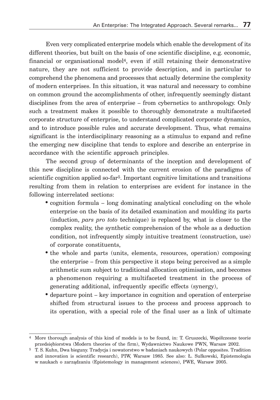Even very complicated enterprise models which enable the development of its different theories, but built on the basis of one scientific discipline, e.g. economic, financial or organisational model4, even if still retaining their demonstrative nature, they are not sufficient to provide description, and in particular to comprehend the phenomena and processes that actually determine the complexity of modern enterprises. In this situation, it was natural and necessary to combine on common ground the accomplishments of other, infrequently seemingly distant disciplines from the area of enterprise – from cybernetics to anthropology. Only such a treatment makes it possible to thoroughly demonstrate a multifaceted corporate structure of enterprise, to understand complicated corporate dynamics, and to introduce possible rules and accurate development. Thus, what remains significant is the interdisciplinary reasoning as a stimulus to expand and refine the emerging new discipline that tends to explore and describe an enterprise in accordance with the scientific approach principles.

The second group of determinants of the inception and development of this new discipline is connected with the current erosion of the paradigms of scientific cognition applied so-far5. Important cognitive limitations and transitions resulting from them in relation to enterprises are evident for instance in the following interrelated sections:

- cognition formula long dominating analytical concluding on the whole enterprise on the basis of its detailed examination and moulding its parts (induction, *pars pro toto* technique) is replaced by, what is closer to the complex reality, the synthetic comprehension of the whole as a deduction condition, not infrequently simply intuitive treatment (construction, use) of corporate constituents,
- the whole and parts (units, elements, resources, operation) composing the enterprise – from this perspective it stops being perceived as a simple arithmetic sum subject to traditional allocation optimisation, and becomes a phenomenon requiring a multifaceted treatment in the process of generating additional, infrequently specific effects (synergy),
- departure point key importance in cognition and operation of enterprise shifted from structural issues to the process and process approach to its operation, with a special role of the final user as a link of ultimate

<sup>4</sup> More thorough analysis of this kind of models is to be found, in: T. Gruszecki, Współczesne teorie przedsiębiorstwa (Modern theories of the firm), Wydawnictwo Naukowe PWN, Warsaw 2002.

<sup>5</sup> T. S. Kuhn, Dwa bieguny. Tradycja i nowatorstwo w badaniach naukowych (Polar opposites. Tradition and innovation is scientific research), PIW, Warsaw 1985. See also: Ł. Sułkowski, Epistemologia w naukach o zarządzaniu (Epistemology in management sciences), PWE, Warsaw 2005.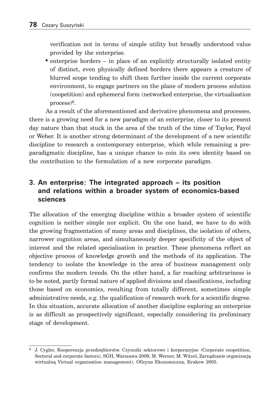verification not in terms of simple utility but broadly understood value provided by the enterprise.

• enterprise borders – in place of an explicitly structurally isolated entity of distinct, even physically defined borders there appears a creature of blurred scope tending to shift them further inside the current corporate environment, to engage partners on the plane of modern process solution (coopetition) and ephemeral form (networked enterprise, the virtualisation process)6.

As a result of the aforementioned and derivative phenomena and processes, there is a growing need for a new paradigm of an enterprise, closer to its present day nature than that stuck in the area of the truth of the time of Taylor, Fayol or Weber. It is another strong determinant of the development of a new scientific discipline to research a contemporary enterprise, which while remaining a preparadigmatic discipline, has a unique chance to coin its own identity based on the contribution to the formulation of a new corporate paradigm.

## **3. An enterprise: The integrated approach – its position and relations within a broader system of economics-based sciences**

The allocation of the emerging discipline within a broader system of scientific cognition is neither simple nor explicit. On the one hand, we have to do with the growing fragmentation of many areas and disciplines, the isolation of others, narrower cognition areas, and simultaneously deeper specificity of the object of interest and the related specialisation in practice. These phenomena reflect an objective process of knowledge growth and the methods of its application. The tendency to isolate the knowledge in the area of business management only confirms the modern trends. On the other hand, a far reaching arbitrariness is to be noted, partly formal nature of applied divisions and classifications, including those based on economics, resulting from totally different, sometimes simple administrative needs, e.g. the qualification of research work for a scientific degree. In this situation, accurate allocation of another discipline exploring an enterprise is as difficult as prospectively significant, especially considering its preliminary stage of development.

<sup>6</sup> J. Cygler, Kooperencja przedsiębiorstw. Czynniki sektorowe i korporacyjne (Corporate coopetition, Sectoral and corporate factors), SGH, Warszawa 2009; M. Werner, M. Witzel, Zarządzanie organizacją wirtualną Virtual organisation management), Oficyna Ekonomiczna, Krakow 2005.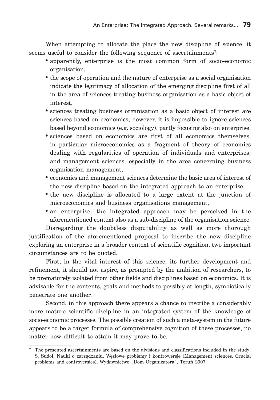When attempting to allocate the place the new discipline of science, it seems useful to consider the following sequence of ascertainments<sup>7</sup>:

- apparently, enterprise is the most common form of socio-economic organisation,
- the scope of operation and the nature of enterprise as a social organisation indicate the legitimacy of allocation of the emerging discipline first of all in the area of sciences treating business organisation as a basic object of interest,
- sciences treating business organisation as a basic object of interest are sciences based on economics; however, it is impossible to ignore sciences based beyond economics (e.g. sociology), partly focusing also on enterprise,
- sciences based on economics are first of all economics themselves, in particular microeconomics as a fragment of theory of economics dealing with regularities of operation of individuals and enterprises; and management sciences, especially in the area concerning business organisation management,
- economics and management sciences determine the basic area of interest of the new discipline based on the integrated approach to an enterprise,
- the new discipline is allocated to a large extent at the junction of microeconomics and business organisations management,
- an enterprise: the integrated approach may be perceived in the aforementioned context also as a sub-discipline of the organisation science.

Disregarding the doubtless disputability as well as more thorough justification of the aforementioned proposal to inscribe the new discipline exploring an enterprise in a broader context of scientific cognition, two important circumstances are to be quoted.

First, in the vital interest of this science, its further development and refinement, it should not aspire, as prompted by the ambition of researchers, to be prematurely isolated from other fields and disciplines based on economics. It is advisable for the contents, goals and methods to possibly at length, symbiotically penetrate one another.

Second, in this approach there appears a chance to inscribe a considerably more mature scientific discipline in an integrated system of the knowledge of socio-economic processes. The possible creation of such a meta-system in the future appears to be a target formula of comprehensive cognition of these processes, no matter how difficult to attain it may prove to be.

<sup>7</sup> The presented ascertainments are based on the divisions and classifications included in the study: S. Sudoł, Nauki o zarządzaniu. Węzłowe problemy i kontrowersje (Management sciences. Crucial problems and controversies), Wydawnictwo "Dom Organizatora", Toruń 2007.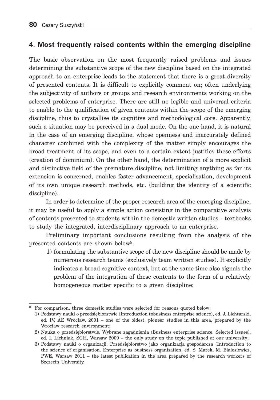## **4. Most frequently raised contents within the emerging discipline**

The basic observation on the most frequently raised problems and issues determining the substantive scope of the new discipline based on the integrated approach to an enterprise leads to the statement that there is a great diversity of presented contents. It is difficult to explicitly comment on; often underlying the subjectivity of authors or groups and research environments working on the selected problems of enterprise. There are still no legible and universal criteria to enable to the qualification of given contents within the scope of the emerging discipline, thus to crystallise its cognitive and methodological core. Apparently, such a situation may be perceived in a dual mode. On the one hand, it is natural in the case of an emerging discipline, whose openness and inaccurately defined character combined with the complexity of the matter simply encourages the broad treatment of its scope, and even to a certain extent justifies these efforts (creation of dominium). On the other hand, the determination of a more explicit and distinctive field of the premature discipline, not limiting anything as far its extension is concerned, enables faster advancement, specialisation, development of its own unique research methods, etc. (building the identity of a scientific discipline).

In order to determine of the proper research area of the emerging discipline, it may be useful to apply a simple action consisting in the comparative analysis of contents presented to students within the domestic written studies – textbooks to study the integrated, interdisciplinary approach to an enterprise.

Preliminary important conclusions resulting from the analysis of the presented contents are shown below8.

 1) formulating the substantive scope of the new discipline should be made by numerous research teams (exclusively team written studies). It explicitly indicates a broad cognitive context, but at the same time also signals the problem of the integration of these contents to the form of a relatively homogeneous matter specific to a given discipline;

<sup>8</sup> For comparison, three domestic studies were selected for reasons quoted below:

 <sup>1)</sup> Podstawy nauki o przedsiębiorstwie (Introduction tobusiness enterprise science), ed. J. Lichtarski, ed. IV, AE Wrocław, 2001 – one of the oldest, pioneer studies in this area, prepared by the Wrocław research environment;

 <sup>2)</sup> Nauka o przedsiębiorstwie. Wybrane zagadnienia (Business enterprise science. Selected issues), ed. I. Lichniak, SGH, Warsaw 2009 – the only study on the topic published at our university;

 <sup>3)</sup> Podstawy nauki o organizacji. Przedsiębiorstwo jako organizacja gospodarcza (Introduction to the science of organisation. Enterprise as business organisation, ed. S. Marek, M. Białosiewicz, PWE, Warsaw 2011 – the latest publication in the area prepared by the research workers of Szczecin University.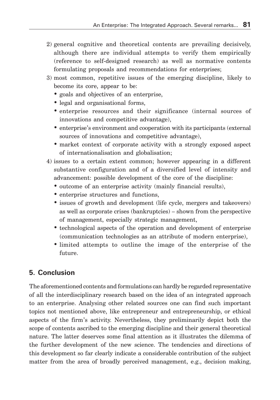- 2) general cognitive and theoretical contents are prevailing decisively, although there are individual attempts to verify them empirically (reference to self-designed research) as well as normative contents formulating proposals and recommendations for enterprises;
- 3) most common, repetitive issues of the emerging discipline, likely to become its core, appear to be:
	- goals and objectives of an enterprise,
	- legal and organisational forms,
	- enterprise resources and their significance (internal sources of innovations and competitive advantage),
	- enterprise's environment and cooperation with its participants (external sources of innovations and competitive advantage),
	- market context of corporate activity with a strongly exposed aspect of internationalisation and globalisation;
- 4) issues to a certain extent common; however appearing in a different substantive configuration and of a diversified level of intensity and advancement: possible development of the core of the discipline:
	- outcome of an enterprise activity (mainly financial results),
	- enterprise structures and functions,
	- issues of growth and development (life cycle, mergers and takeovers) as well as corporate crises (bankruptcies) – shown from the perspective of management, especially strategic management,
	- technological aspects of the operation and development of enterprise (communication technologies as an attribute of modern enterprise),
	- limited attempts to outline the image of the enterprise of the future.

# **5. Conclusion**

The aforementioned contents and formulations can hardly be regarded representative of all the interdisciplinary research based on the idea of an integrated approach to an enterprise. Analysing other related sources one can find such important topics not mentioned above, like entrepreneur and entrepreneurship, or ethical aspects of the firm's activity. Nevertheless, they preliminarily depict both the scope of contents ascribed to the emerging discipline and their general theoretical nature. The latter deserves some final attention as it illustrates the dilemma of the further development of the new science. The tendencies and directions of this development so far clearly indicate a considerable contribution of the subject matter from the area of broadly perceived management, e.g., decision making,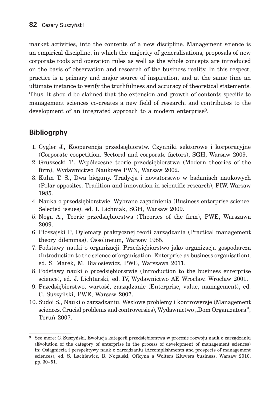market activities, into the contents of a new discipline. Management science is an empirical discipline, in which the majority of generalisations, proposals of new corporate tools and operation rules as well as the whole concepts are introduced on the basis of observation and research of the business reality. In this respect, practice is a primary and major source of inspiration, and at the same time an ultimate instance to verify the truthfulness and accuracy of theoretical statements. Thus, it should be claimed that the extension and growth of contents specific to management sciences co-creates a new field of research, and contributes to the development of an integrated approach to a modern enterprise<sup>9</sup>.

# **Bibliogrphy**

- 1. Cygler J., Kooperencja przedsiębiorstw. Czynniki sektorowe i korporacyjne (Corporate coopetition. Sectoral and corporate factors), SGH, Warsaw 2009.
- 2. Gruszecki T., Współczesne teorie przedsiębiorstwa (Modern theories of the firm), Wydawnictwo Naukowe PWN, Warsaw 2002.
- 3. Kuhn T. S., Dwa bieguny. Tradycja i nowatorstwo w badaniach naukowych (Polar opposites. Tradition and innovation in scientific research), PIW, Warsaw 1985.
- 4. Nauka o przedsiębiorstwie. Wybrane zagadnienia (Business enterprise science. Selected issues), ed. I. Lichniak, SGH, Warsaw 2009.
- 5. Noga A., Teorie przedsiębiorstwa (Theories of the firm), PWE, Warszawa 2009.
- 6. Płoszajski P., Dylematy praktycznej teorii zarządzania (Practical management theory dilemmas), Ossolineum, Warsaw 1985.
- 7. Podstawy nauki o organizacji. Przedsiębiorstwo jako organizacja gospodarcza (Introduction to the science of organisation. Enterprise as business organisation), ed. S. Marek, M. Białosiewicz, PWE, Warszawa 2011.
- 8. Podstawy nauki o przedsiębiorstwie (Introduction to the business enterprise science), ed. J. Lichtarski, ed. IV, Wydawnictwo AE Wrocław, Wrocław 2001.
- 9. Przedsiębiorstwo, wartość, zarządzanie (Enterprise, value, management), ed. C. Suszyński, PWE, Warsaw 2007.
- 10. Sudoł S., Nauki o zarządzaniu. Węzłowe problemy i kontrowersje (Management sciences. Crucial problems and controversies), Wydawnictwo "Dom Organizatora", Toruń 2007.

<sup>9</sup> See more: C. Suszyński, Ewolucja kategorii przedsiębiorstwa w procesie rozwoju nauk o zarządzaniu (Evolution of the category of enterprise in the process of development of management sciences) in: Osiągnięcia i perspektywy nauk o zarządzaniu (Accomplishments and prospects of management sciences), ed. S. Lachiewicz, B. Nogalski, Oficyna a Wolters Kluwers business, Warsaw 2010, pp. 30-51.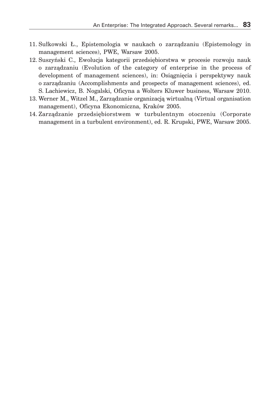- 11. Sułkowski Ł., Epistemologia w naukach o zarządzaniu (Epistemology in management sciences), PWE, Warsaw 2005.
- 12. Suszyński C., Ewolucja kategorii przedsiębiorstwa w procesie rozwoju nauk o zarządzaniu (Evolution of the category of enterprise in the process of development of management sciences), in: Osiągnięcia i perspektywy nauk o zarządzaniu (Accomplishments and prospects of management sciences), ed. S. Lachiewicz, B. Nogalski, Oficyna a Wolters Kluwer business, Warsaw 2010.
- 13. Werner M., Witzel M., Zarządzanie organizacją wirtualną (Virtual organisation management), Oficyna Ekonomiczna, Kraków 2005.
- 14. Zarządzanie przedsiębiorstwem w turbulentnym otoczeniu (Corporate management in a turbulent environment), ed. R. Krupski, PWE, Warsaw 2005.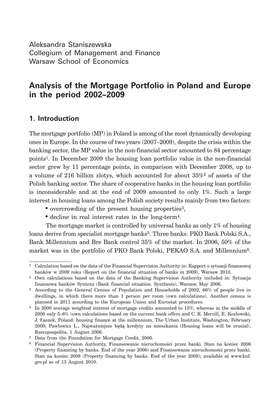Aleksandra Staniszewska Collegium of Management and Finance Warsaw School of Economics

# **Analysis of the Mortgage Portfolio in Poland and Europe in the period 2002–2009**

## **1. Introduction**

The mortgage portfolio (MP) in Poland is among of the most dynamically developing ones in Europe. In the course of two years (2007–2009), despite the crisis within the banking sector, the MP value in the non-financial sector amounted to 84 percentage points1. In December 2009 the housing loan portfolio value in the non-financial sector grew by 11 percentage points, in comparison with December 2008, up to a volume of 216 billion zlotys, which accounted for about  $35\%^2$  of assets of the Polish banking sector. The share of cooperative banks in the housing loan portfolio is inconsiderable and at the end of 2009 amounted to only 1%. Such a large interest in housing loans among the Polish society results mainly from two factors:

- overcrowding of the present housing properties<sup>3</sup>,
- decline in real interest rates in the long-term4.

The mortgage market is controlled by universal banks as only 1% of housing loans derive from specialist mortgage banks<sup>5</sup>. Three banks: PKO Bank Polski S.A., Bank Millennium and Bre Bank control 35% of the market. In 2006, 50% of the market was in the portfolio of PKO Bank Polski, PEKAO S.A. and Millennium6.

<sup>&</sup>lt;sup>1</sup> Calculation based on the data of the Financial Supervision Authority in: Rapport o sytuacji finansowej banków w 2009 roku (Report on the financial situation of banks in 2009), Warsaw 2010.

<sup>2</sup> Own calculations based on the data of the Banking Supervision Authority included in: Sytuacja finansowa banków Synteza (Bank financial situation. Synthesis), Warsaw, May 2006.

<sup>3</sup> According to the General Census of Population and Households of 2002, 66% of people live in dwellings, in which there more than 1 person per room (own calculations). Another census is planned in 2011 according to the European Union and Eurostat procedures.

<sup>4</sup> In 2000 average weighted interest of mortgage credits amounted to 15%, whereas in the middle of 2006 only 5–6% (own calculations based on the current bank offers and C. R. Merrill, E. Kozłowski, J. Łaszek, Poland: housing finance at the millennium, The Urban Institute, Washington, February 2000; Pawłowicz L., Najważniejsze będą kredyty na mieszkania (Housing loans will be crucial), Rzeczpospolita, 1 August 2006.

<sup>5</sup> Data from the Foundation for Mortgage Credit, 2006.

<sup>6</sup> Financial Supervision Authority, Finansowanie nieruchomości przez banki. Stan na koniec 2006 (Property financing by banks. End of the year 2006) and Finansowanie nieruchomości przez banki. Stan na koniec 2008 (Property financing by banks. End of the year 2008); available at www.knf. gov.pl as of 13 August 2010.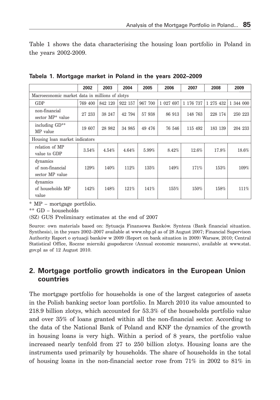Table 1 shows the data characterising the housing loan portfolio in Poland in the years 2002-2009.

|                                                 | 2002    | 2003    | 2004    | 2005    | 2006      | 2007      | 2008      | 2009      |
|-------------------------------------------------|---------|---------|---------|---------|-----------|-----------|-----------|-----------|
| Macroeconomic market data in millions of zlotys |         |         |         |         |           |           |           |           |
| GDP                                             | 769 400 | 842 120 | 922 157 | 967 700 | 1 027 697 | 1 176 737 | 1 275 432 | 1 344 000 |
| non-financial<br>sector MP <sup>*</sup> value   | 27 233  | 38 247  | 42 794  | 57 938  | 86 913    | 148 763   | 228 174   | 250 223   |
| including GD**<br>MP value                      | 19 607  | 28 982  | 34 985  | 49 476  | 76 546    | 115 492   | 183 139   | 204 233   |
| Housing loan market indicators                  |         |         |         |         |           |           |           |           |
| relation of MP<br>value to GDP                  | 3.54%   | 4.54%   | 4.64%   | 5.99%   | 8.42%     | 12.6%     | 17.8%     | 18.6%     |
| dynamics<br>of non-financial<br>sector MP value | 129%    | 140%    | 112%    | 135%    | 149%      | 171%      | 153%      | 109%      |
| dynamics<br>of households MP<br>value           | 142%    | 148%    | 121%    | 141%    | 155%      | 150%      | 158%      | 111%      |

|  |  |  |  |  |  | Tabela 1. Mortgage market in Poland in the years 2002–2009 |
|--|--|--|--|--|--|------------------------------------------------------------|
|--|--|--|--|--|--|------------------------------------------------------------|

\* MP – mortgage portfolio.

\*\* GD – households

(SZ) GUS Preliminary estimates at the end of 2007

Source: own materials based on: Sytuacja Finansowa Banków. Synteza (Bank financial situation. Synthesis), in the years 2002–2007 available at www.nbp.pl as of 28 August 2007; Financial Supervison Authority Raport o sytuacji banków w 2009 (Report on bank situation in 2009) Warsaw, 2010; Central Statistical Office, Roczne mierniki gospodarcze (Annual economic measures), available at www.stat. gov.pl as of 12 August 2010.

## **2. Mortgage portfolio growth indicators in the European Union countries**

The mortgage portfolio for households is one of the largest categories of assets in the Polish banking sector loan portfolio. In March 2010 its value amounted to 218.9 billion zlotys, which accounted for 53.3% of the households portfolio value and over 35% of loans granted within all the non-financial sector. According to the data of the National Bank of Poland and KNF the dynamics of the growth in housing loans is very high. Within a period of 8 years, the portfolio value increased nearly tenfold from 27 to 250 billion zlotys. Housing loans are the instruments used primarily by households. The share of households in the total of housing loans in the non-financial sector rose from 71% in 2002 to 81% in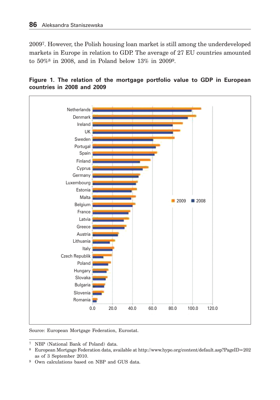20097. However, the Polish housing loan market is still among the underdeveloped markets in Europe in relation to GDP. The average of 27 EU countries amounted to 50%8 in 2008, and in Poland below 13% in 20099.





Source: European Mortgage Federation, Eurostat.

7 NBP (National Bank of Poland) data.

9 Own calculations based on NBP and GUS data.

<sup>8</sup> European Mortgage Federation data, available at http://www.hypo.org/content/default.asp?PageID=202 as of 3 September 2010.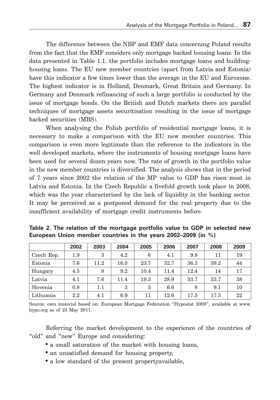The difference between the NBP and EMF data concerning Poland results from the fact that the EMF considers only mortgage backed housing loans. In the data presented in Table 1.1. the portfolio includes mortgage loans and buildinghousing loans. The EU new member countries (apart from Latvia and Estonia) have this indicator a few times lower than the average in the EU and Eurozone. The highest indicator is in Holland, Denmark, Great Britain and Germany. In Germany and Denmark refinancing of such a large portfolio is conducted by the issue of mortgage bonds. On the British and Dutch markets there are parallel techniques of mortgage assets securitisation resulting in the issue of mortgage backed securities (MBS).

When analysing the Polish portfolio of residential mortgage loans, it is necessary to make a comparison with the EU new member countries. This comparison is even more legitimate than the reference to the indicators in the well developed markets, where the instruments of housing mortgage loans have been used for several dozen years now. The rate of growth in the portfolio value in the new member countries is diversified. The analysis shows that in the period of 7 years since 2002 the relation of the MP value to GDP has risen most in Latvia and Estonia. In the Czech Republic a fivefold growth took place in 2008, which was the year characterised by the lack of liquidity in the banking sector. It may be perceived as a postponed demand for the real property due to the insufficient availability of mortgage credit instruments before.

|            | 2002    | 2003 | 2004 | 2005 | 2006     | 2007 | 2008 | 2009 |
|------------|---------|------|------|------|----------|------|------|------|
| Czech Rep. | 1.9     | 3    | 4.2  | 6    | 4.1      | 9.8  | 11   | 19   |
| Estonia    | 7.6     | 11.2 | 16.0 | 23.7 | 32.7     | 36.3 | 39.2 | 44   |
| Hungary    | 4.5     | 8    | 9.2  | 10.4 | 11.4     | 12.4 | 14   | 17   |
| Latvia     | 4.1     | 7.6  | 11.4 | 19.3 | 28.9     | 33.7 | 33.7 | 38   |
| Slovenia   | 0.8     | 1.1  | 3    | 5    | 6.6      | 8    | 9.1  | 10   |
| Lithuania  | $2.2\,$ | 4.1  | 6.9  | 11   | $12.6\,$ | 17.5 | 17.3 | 22   |

**Table 2. The relation of the mortgage portfolio value to GDP in selected new European Union member countries in the years 2002–2009 (in %)**

Source: own material based on: European Mortgage Federation "Hypostat 2009", available at www. hypo.org as of 23 May 2011.

Referring the market development to the experience of the countries of "old" and "new" Europe and considering:

- a small saturation of the market with housing loans,
- an unsatisfied demand for housing property,
- a low standard of the present propertyavailable,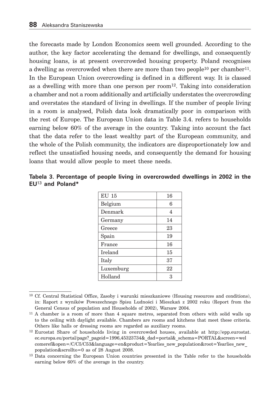the forecasts made by London Economics seem well grounded. According to the author, the key factor accelerating the demand for dwellings, and consequently housing loans, is at present overcrowded housing property. Poland recognises a dwelling as overcrowded when there are more than two people<sup>10</sup> per chamber<sup>11</sup>. In the European Union overcrowding is defined in a different way. It is classed as a dwelling with more than one person per room $^{12}$ . Taking into consideration a chamber and not a room additionally and artificially understates the overcrowding and overstates the standard of living in dwellings. If the number of people living in a room is analysed, Polish data look dramatically poor in comparison with the rest of Europe. The European Union data in Table 3.4. refers to households earning below 60% of the average in the country. Taking into account the fact that the data refer to the least wealthy part of the European community, and the whole of the Polish community, the indicators are disproportionately low and reflect the unsatisfied housing needs, and consequently the demand for housing loans that would allow people to meet these needs.

|                    |  | Tabela 3. Percentage of people living in overcrowded dwellings in 2002 in the |  |  |
|--------------------|--|-------------------------------------------------------------------------------|--|--|
| $EU13$ and Poland* |  |                                                                               |  |  |

| <b>EU 15</b> | 16 |
|--------------|----|
| Belgium      | 6  |
| Denmark      | 4  |
| Germany      | 14 |
| Greece       | 23 |
| Spain        | 19 |
| France       | 16 |
| Ireland      | 15 |
| Italy        | 37 |
| Luxemburg    | 22 |
| Holland      | 3  |

<sup>10</sup> Cf. Central Statistical Office, Zasoby i warunki mieszkaniowe (Housing resources and conditions), in: Raport z wyników Powszechnego Spisu Ludności i Mieszkań z 2002 roku (Report from the General Census of population and Households of 2002), Warsaw 2004.

<sup>11</sup> A chamber is a room of more than 4 square metres, separated from others with solid walls up to the ceiling with daylight available. Chambers are rooms and kitchens that meet these criteria. Others like halls or dressing rooms are regarded as auxiliary rooms.

<sup>12</sup> Eurostat Share of households living in overcrowded houses, available at http://epp.eurostat. ec.europa.eu/portal/page?\_pageid=1996,45323734&\_dad=portal&\_schema=PORTAL&screen=wel comeref&open=/C/C5/C53&language=en&product=Yearlies new population&root=Yearlies new population&scrollto=0 as of 28 August 2008.

<sup>&</sup>lt;sup>13</sup> Data concerning the European Union countries presented in the Table refer to the households earning below 60% of the average in the country.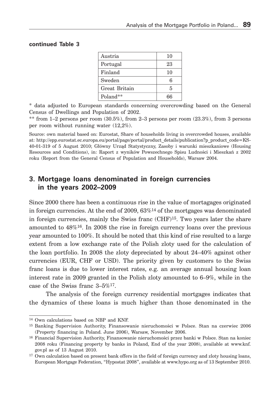#### **continued Table 3**

| Austria       | 10 |
|---------------|----|
| Portugal      | 23 |
| Finland       | 10 |
| Sweden        | 6  |
| Great Britain | 5  |
| Poland**      | ፍፍ |

\* data adjusted to European standards concerning overcrowding based on the General Census of Dwellings and Population of 2002.

\*\* from  $1-2$  persons per room  $(30.5\%)$ , from  $2-3$  persons per room  $(23.3\%)$ , from 3 persons per room without running water (12,2%).

Source: own material based on: Eurostat, Share of households living in overcrowded houses, available at: http://epp.eurostat.ec.europa.eu/portal/page/portal/product\_details/publication?p\_product\_code=KS-40-01-319 of 5 August 2010; Główny Urząd Statystyczny, Zasoby i warunki mieszkaniowe (Housing Resources and Conditions), in: Raport z wyników Powszechnego Spisu Ludności i Mieszkań z 2002 roku (Report from the General Census of Population and Households), Warsaw 2004.

## **3. Mortgage loans denominated in foreign currencies in the years 2002–2009**

Since 2000 there has been a continuous rise in the value of mortagages originated in foreign currencies. At the end of 2009,  $63\%$ <sup>14</sup> of the mortgages was denominated in foreign currencies, mainly the Swiss franc  $(CHF)^{15}$ . Two years later the share amounted to 48%16. In 2008 the rise in foreign currency loans over the previous year amounted to 100%. It should be noted that this kind of rise resulted to a large extent from a low exchange rate of the Polish zloty used for the calculation of the loan portfolio. In 2008 the zloty depreciated by about 24–40% against other currencies (EUR, CHF or USD). The priority given by customers to the Swiss franc loans is due to lower interest rates, e.g. an average annual housing loan interest rate in 2009 granted in the Polish zloty amounted to 6–9%, while in the case of the Swiss franc 3–5%17.

The analysis of the foreign currency residential mortgages indicates that the dynamics of these loans is much higher than those denominated in the

<sup>14</sup> Own calculations based on NBP and KNF.

<sup>15</sup> Banking Supervision Authority, Finansowanie nieruchomości w Polsce. Stan na czerwiec 2006 (Property financing in Poland. June 2006), Warsaw, November 2006.

<sup>16</sup> Financial Supervision Authority, Finansowanie nieruchomości przez banki w Polsce. Stan na koniec 2008 roku (Financing property by banks in Poland, End of the year 2008), available at www.knf. gov.pl as of 13 August 2010.

<sup>&</sup>lt;sup>17</sup> Own calculation based on present bank offers in the field of foreign currency and zloty housing loans, European Mortgage Federation, "Hypostat 2008", available at www.hypo.org as of 13 September 2010.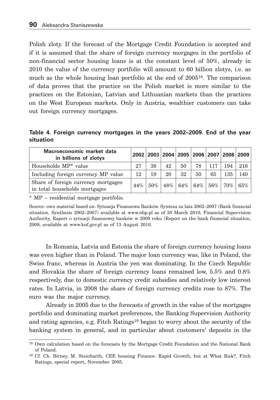Polish zloty. If the forecast of the Mortgage Credit Foundation is accepted and if it is assumed that the share of foreign currency morgages in the portfolio of non-financial sector housing loans is at the constant level of 50%, already in 2010 the value of the currency portfolio will amount to 60 billion zlotys, i.e. as much as the whole housing loan portfolio at the end of 200518. The comparison of data proves that the practice on the Polish market is more similar to the practices on the Estonian, Latvian and Lithuanian markets than the practices on the West European markets. Only in Austria, wealthier customers can take out foreign currency mortgages.

**Table 4. Foreign currency mortgages in the years 2002–2009. End of the year situation**

| Macroeconomic market data<br>in billions of zlotys                   |     |        |     |     |     |        | 2002 2003 2004 2005 2006 2007 2008 2009 |     |
|----------------------------------------------------------------------|-----|--------|-----|-----|-----|--------|-----------------------------------------|-----|
| Households MP <sup>*</sup> value                                     | 27  | 38     | 42  | 50  | 78  | 117    | 194                                     | 216 |
| Including foreign currency MP value                                  | 12  | 19     | 20  | 32  | 50  | 65     | 135                                     | 140 |
| Share of foreign currency mortgages<br>in total households mortgages | 44% | $50\%$ | 48% | 64% | 64% | $56\%$ | 70%                                     | 65% |

\* MP – residential mortgage portfolio.

Source: own material based on: Sytuacja Finansowa Banków. Synteza za lata 2002–2007 (Bank financial situation. Synthesis 2002–2007) available at www.nbp.pl as of 30 March 2010; Financial Supervision Authority, Raport o sytuacji finansowej banków w 2009 roku (Report on the bank financial situation, 2009, available at www.knf.gov.pl as of 13 August 2010.

In Romania, Latvia and Estonia the share of foreign currency housing loans was even higher than in Poland. The major loan currency was, like in Poland, the Swiss franc, whereas in Austria the yen was dominating. In the Czech Republic and Slovakia the share of foreign currency loans remained low, 5.5% and 0.8% respectively, due to domestic currency credit subsidies and relatively low interest rates. In Latvia, in 2008 the share of foreign currency credits rose to 87%. The euro was the major currency.

Already in 2005 due to the forecasts of growth in the value of the mortgages portfolio and dominating market preferences, the Banking Supervision Authority and rating agencies, e.g. Fitch Ratings19 began to worry about the security of the banking system in general, and in particular about customers' deposits in the

<sup>18</sup> Own calculation based on the forecasts by the Mortgage Credit Foundation and the National Bank of Poland.

<sup>19</sup> Cf. Ch. Birney, M. Steinbarth, CEE housing Finance: Rapid Growth, but at What Risk?, Fitch Ratings, special report, November 2005.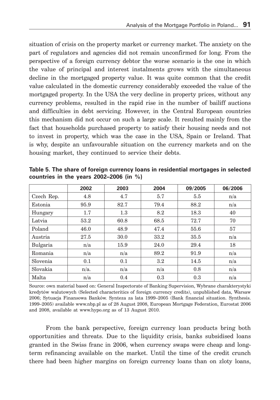situation of crisis on the property market or currency market. The anxiety on the part of regulators and agencies did not remain unconfirmed for long. From the perspective of a foreign currency debtor the worse scenario is the one in which the value of principal and interest instalments grows with the simultaneous decline in the mortgaged property value. It was quite common that the credit value calculated in the domestic currency considerably exceeded the value of the mortgaged property. In the USA the very decline in property prices, without any currency problems, resulted in the rapid rise in the number of bailiff auctions and difficulties in debt servicing. However, in the Central European countries this mechanism did not occur on such a large scale. It resulted mainly from the fact that households purchased property to satisfy their housing needs and not to invest in property, which was the case in the USA, Spain or Ireland. That is why, despite an unfavourable situation on the currency markets and on the housing market, they continued to service their debts.

|            | 2002 | 2003 | 2004    | 09/2005 | 06/2006 |
|------------|------|------|---------|---------|---------|
| Czech Rep. | 4.8  | 4.7  | 5.7     | 5.5     | n/a     |
| Estonia    | 95.9 | 82.7 | 79.4    | 88.2    | n/a     |
| Hungary    | 1.7  | 1.3  | 8.2     | 18.3    | 40      |
| Latvia     | 53.2 | 60.8 | 68.5    | 72.7    | 70      |
| Poland     | 46.0 | 48.9 | 47.4    | 55.6    | 57      |
| Austria    | 27.5 | 30.0 | 33.2    | 35.5    | n/a     |
| Bulgaria   | n/a  | 15.9 | 24.0    | 29.4    | 18      |
| Romania    | n/a  | n/a  | 89.2    | 91.9    | n/a     |
| Slovenia   | 0.1  | 0.1  | $3.2\,$ | 14.5    | n/a     |
| Slovakia   | n/a. | n/a  | n/a     | 0.8     | n/a     |
| Malta      | n/a  | 0.4  | 0.3     | 0.3     | n/a     |

**Table 5. The share of foreign currency loans in residential mortgages in selected countries in the years 2002–2006 (in %)**

Source: own material based on: General Inspectorate of Banking Supervision, Wybrane charakterystyki kredytów walutowych (Selected characteritics of foreign currency credits), unpublished data, Warsaw 2006; Sytuacja Finansowa Banków. Synteza za lata 1999–2005 (Bank financial situation. Synthesis. 1999–2005) available www.nbp.pl as of 28 August 2008, European Mortgage Federation, Eurostat 2006 and 2008, available at www.hypo.org as of 13 August 2010.

From the bank perspective, foreign currency loan products bring both opportunities and threats. Due to the liquidity crisis, banks subsidised loans granted in the Swiss franc in 2006, when currency swaps were cheap and longterm refinancing available on the market. Until the time of the credit crunch there had been higher margins on foreign currency loans than on zloty loans,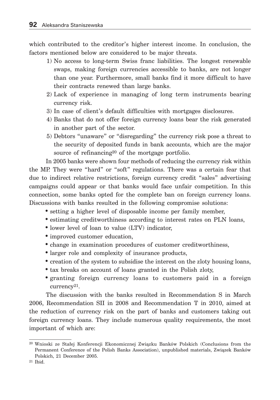which contributed to the creditor's higher interest income. In conclusion, the factors mentioned below are considered to be major threats.

- 1) No access to long-term Swiss franc liabilities. The longest renewable swaps, making foreign currencies accessible to banks, are not longer than one year. Furthermore, small banks find it more difficult to have their contracts renewed than large banks.
- 2) Lack of experience in managing of long term instruments bearing currency risk.
- 3) In case of client's default difficulties with mortgages disclosures.
- 4) Banks that do not offer foreign currency loans bear the risk generated in another part of the sector.
- 5) Debtors "unaware" or "disregarding" the currency risk pose a threat to the security of deposited funds in bank accounts, which are the major source of refinancing<sup>20</sup> of the mortgage portfolio.

In 2005 banks were shown four methods of reducing the currency risk within the MP. They were "hard" or "soft" regulations. There was a certain fear that due to indirect relative restrictions, foreign currency credit "sales" advertising campaigns could appear or that banks would face unfair competition. In this connection, some banks opted for the complete ban on foreign currency loans. Discussions with banks resulted in the following compromise solutions:

- setting a higher level of disposable income per family member,
- estimating creditworthiness according to interest rates on PLN loans,
- lower level of loan to value (LTV) indicator,
- improved customer education,
- change in examination procedures of customer creditworthiness,
- larger role and complexity of insurance products,
- creation of the system to subsidise the interest on the zloty housing loans,
- tax breaks on account of loans granted in the Polish zloty,
- granting foreign currency loans to customers paid in a foreign currency21.

The discussion with the banks resulted in Recommendation S in March 2006, Recommendation SII in 2008 and Recommendation T in 2010, aimed at the reduction of currency risk on the part of banks and customers taking out foreign currency loans. They include numerous quality requirements, the most important of which are:

<sup>20</sup> Wnioski ze Stałej Konferencji Ekonomicznej Związku Banków Polskich (Conclusions from the Permanent Conference of the Polish Banks Association), unpublished materials, Związek Banków Polskich, 21 December 2005.

<sup>21</sup> Ibid.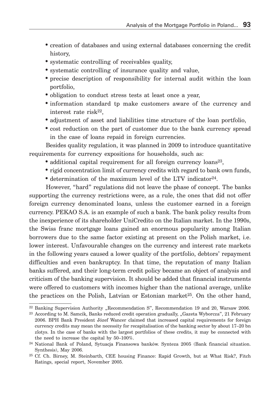- creation of databases and using external databases concerning the credit history,
- systematic controlling of receivables quality,
- systematic controlling of insurance quality and value,
- precise description of responsibility for internal audit within the loan portfolio,
- obligation to conduct stress tests at least once a year,
- information standard tp make customers aware of the currency and interest rate risk22,
- adjustment of asset and liabilities time structure of the loan portfolio,
- cost reduction on the part of customer due to the bank currency spread in the case of loans repaid in foreign currencies.

Besides quality regulation, it was planned in 2009 to introduce quantitative requirements for currency expositions for households, such as:

- additional capital requirement for all foreign currency loans<sup>23</sup>,
- rigid concentration limit of currency credits with regard to bank own funds,
- determination of the maximum level of the LTV indicator<sup>24</sup>.

However, "hard" regulations did not leave the phase of concept. The banks supporting the currency restrictions were, as a rule, the ones that did not offer foreign currency denominated loans, unless the customer earned in a foreign currency. PEKAO S.A. is an example of such a bank. The bank policy results from the inexperience of its shareholder UniCredito on the Italian market. In the 1990s, the Swiss franc mortgage loans gained an enormous popularity among Italian borrowers due to the same factor existing at present on the Polish market, i.e. lower interest. Unfavourable changes on the currency and interest rate markets in the following years caused a lower quality of the portfolio, debtors' repayment difficulties and even bankruptcy. In that time, the reputation of many Italian banks suffered, and their long-term credit policy became an object of analysis and criticism of the banking supervision. It should be added that financial instruments were offered to customers with incomes higher than the national average, unlike the practices on the Polish, Latvian or Estonian market<sup>25</sup>. On the other hand,

<sup>&</sup>lt;sup>22</sup> Banking Supervision Authority "Recommendation S", Recommendation 19 and 20, Warsaw 2006.

<sup>&</sup>lt;sup>23</sup> According to M. Samcik, Banks reduced credit operation gradually, "Gazeta Wyborcza", 21 February 2006. BPH Bank President Józef Wancer claimed that increased capital requirements for foreign currency credits may mean the necessity for recapitalisation of the banking sector by about 17–20 bn zlotys. In the case of banks with the largest portfolios of these credits, it may be connected with the need to increase the capital by 50–100%.

<sup>24</sup> National Bank of Poland, Sytuacja Finansowa banków. Synteza 2005 (Bank financial situation. Synthesis), May 2006.

<sup>25</sup> Cf. Ch. Birney, M. Steinbarth, CEE housing Finance: Rapid Growth, but at What Risk?, Fitch Ratings, special report, November 2005.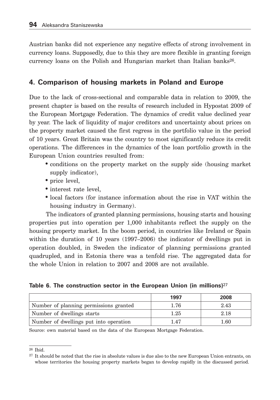Austrian banks did not experience any negative effects of strong involvement in currency loans. Supposedly, due to this they are more flexible in granting foreign currency loans on the Polish and Hungarian market than Italian banks26.

## **4. Comparison of housing markets in Poland and Europe**

Due to the lack of cross-sectional and comparable data in relation to 2009, the present chapter is based on the results of research included in Hypostat 2009 of the European Mortgage Federation. The dynamics of credit value declined year by year. The lack of liquidity of major creditors and uncertainty about prices on the property market caused the first regress in the portfolio value in the period of 10 years. Great Britain was the country to most significantly reduce its credit operations. The differences in the dynamics of the loan portfolio growth in the European Union countries resulted from:

- conditions on the property market on the supply side (housing market supply indicator).
- price level,
- interest rate level,
- local factors (for instance information about the rise in VAT within the housing industry in Germany).

The indicators of granted planning permissions, housing starts and housing properties put into operation per 1,000 inhabitants reflect the supply on the housing property market. In the boom period, in countries like Ireland or Spain within the duration of 10 years (1997–2006) the indicator of dwellings put in operation doubled, in Sweden the indicator of planning permissions granted quadrupled, and in Estonia there was a tenfold rise. The aggregated data for the whole Union in relation to 2007 and 2008 are not available.

**Table 6. The construction sector in the European Union (in millions)**<sup>27</sup>

|                                        | 1997 | 2008 |
|----------------------------------------|------|------|
| Number of planning permissions granted | 1.76 | 2.43 |
| Number of dwellings starts             | 1.25 | 2.18 |
| Number of dwellings put into operation | 1.47 | 1.60 |

Source: own material based on the data of the European Mortgage Federation.

 $26$  Ihid.

<sup>27</sup> It should be noted that the rise in absolute values is due also to the new European Union entrants, on whose territories the housing property markets began to develop rapidly in the discussed period.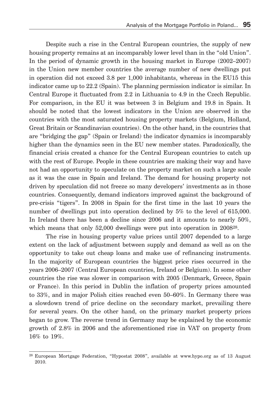Despite such a rise in the Central European countries, the supply of new housing property remains at an incomparably lower level than in the "old Union". In the period of dynamic growth in the housing market in Europe (2002–2007) in the Union new member countries the average number of new dwellings put in operation did not exceed 3.8 per 1,000 inhabitants, whereas in the EU15 this indicator came up to 22.2 (Spain). The planning permission indicator is similar. In Central Europe it fluctuated from 2.2 in Lithuania to 4.9 in the Czech Republic. For comparison, in the EU it was between 3 in Belgium and 19.8 in Spain. It should be noted that the lowest indicators in the Union are observed in the countries with the most saturated housing property markets (Belgium, Holland, Great Britain or Scandinavian countries). On the other hand, in the countries that are "bridging the gap" (Spain or Ireland) the indicator dynamics is incomparably higher than the dynamics seen in the EU new member states. Paradoxically, the financial crisis created a chance for the Central European countries to catch up with the rest of Europe. People in these countries are making their way and have not had an opportunity to speculate on the property market on such a large scale as it was the case in Spain and Ireland. The demand for housing property not driven by speculation did not freeze so many developers' investments as in those countries. Consequently, demand indicators improved against the background of pre-crisis "tigers". In 2008 in Spain for the first time in the last 10 years the number of dwellings put into operation declined by 5% to the level of 615,000. In Ireland there has been a decline since 2006 and it amounts to nearly 50%, which means that only 52,000 dwellings were put into operation in 2008<sup>28</sup>.

The rise in housing property value prices until 2007 depended to a large extent on the lack of adjustment between supply and demand as well as on the opportunity to take out cheap loans and make use of refinancing instruments. In the majority of European countries the biggest price rises occurred in the years 2006–2007 (Central European countries, Ireland or Belgium). In some other countries the rise was slower in comparison with 2005 (Denmark, Greece, Spain or France). In this period in Dublin the inflation of property prices amounted to 33%, and in major Polish cities reached even 50–60%. In Germany there was a slowdown trend of price decline on the secondary market, prevailing there for several years. On the other hand, on the primary market property prices began to grow. The reverse trend in Germany may be explained by the economic growth of 2.8% in 2006 and the aforementioned rise in VAT on property from 16% to 19%.

<sup>28</sup> European Mortgage Federation, "Hypostat 2008", available at www.hypo.org as of 13 August 2010.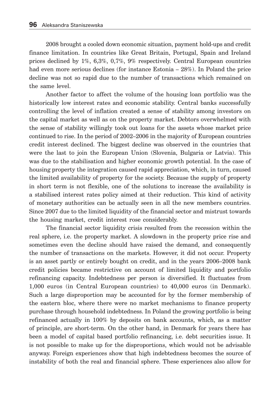2008 brought a cooled down economic situation, payment hold-ups and credit finance limitation. In countries like Great Britain, Portugal, Spain and Ireland prices declined by 1%, 6,3%, 0,7%, 9% respectively. Central European countries had even more serious declines (for instance Estonia – 28%). In Poland the price decline was not so rapid due to the number of transactions which remained on the same level.

Another factor to affect the volume of the housing loan portfolio was the historically low interest rates and economic stability. Central banks successfully controlling the level of inflation created a sense of stability among investors on the capital market as well as on the property market. Debtors overwhelmed with the sense of stability willingly took out loans for the assets whose market price continued to rise. In the period of 2002–2006 in the majority of European countries credit interest declined. The biggest decline was observed in the countries that were the last to join the European Union (Slovenia, Bulgaria or Latvia). This was due to the stabilisation and higher economic growth potential. In the case of housing property the integration caused rapid appreciation, which, in turn, caused the limited availability of property for the society. Because the supply of property in short term is not flexible, one of the solutions to increase the availability is a stabilised interest rates policy aimed at their reduction. This kind of activity of monetary authorities can be actually seen in all the new members countries. Since 2007 due to the limited liquidity of the financial sector and mistrust towards the housing market, credit interest rose considerably.

The financial sector liquidity crisis resulted from the recession within the real sphere, i.e. the property market. A slowdown in the property price rise and sometimes even the decline should have raised the demand, and consequently the number of transactions on the markets. However, it did not occur. Property is an asset partly or entirely bought on credit, and in the years 2006–2008 bank credit policies became restrictive on account of limited liquidity and portfolio refinancing capacity. Indebtedness per person is diversified. It fluctuates from 1,000 euros (in Central European countries) to 40,000 euros (in Denmark). Such a large disproportion may be accounted for by the former membership of the eastern bloc, where there were no market mechanisms to finance property purchase through household indebtedness. In Poland the growing portfolio is being refinanced actually in 100% by deposits on bank accounts, which, as a matter of principle, are short-term. On the other hand, in Denmark for years there has been a model of capital based portfolio refinancing, i.e. debt securities issue. It is not possible to make up for the disproportions, which would not be advisable anyway. Foreign experiences show that high indebtedness becomes the source of instability of both the real and financial sphere. These experiences also allow for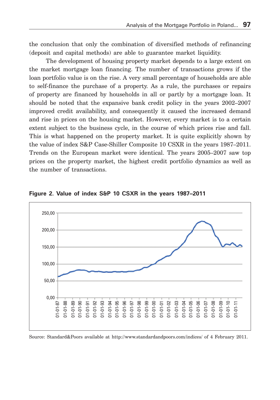the conclusion that only the combination of diversified methods of refinancing (deposit and capital methods) are able to guarantee market liquidity.

The development of housing property market depends to a large extent on the market mortgage loan financing. The number of transactions grows if the loan portfolio value is on the rise. A very small percentage of households are able to self-finance the purchase of a property. As a rule, the purchases or repairs of property are financed by households in all or partly by a mortgage loan. It should be noted that the expansive bank credit policy in the years 2002–2007 improved credit availability, and consequently it caused the increased demand and rise in prices on the housing market. However, every market is to a certain extent subject to the business cycle, in the course of which prices rise and fall. This is what happened on the property market. It is quite explicitly shown by the value of index S&P Case-Shiller Composite 10 CSXR in the years 1987–2011. Trends on the European market were identical. The years 2005–2007 saw top prices on the property market, the highest credit portfolio dynamics as well as the number of transactions.



**Figure 2. Value of index S&P 10 CSXR in the years 1987–2011**

Source: Standard&Poors available at http://www.standardandpoors.com/indices/ of 4 February 2011.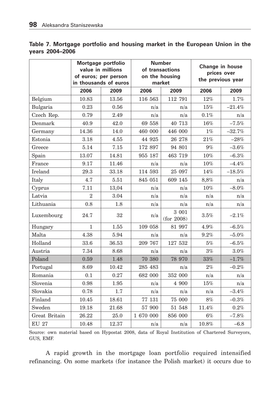|  | Table 7. Mortgage portfolio and housing market in the European Union in the |  |  |  |  |  |
|--|-----------------------------------------------------------------------------|--|--|--|--|--|
|  | vears 2004-2006                                                             |  |  |  |  |  |

|               | Mortgage portfolio<br>value in millions<br>of euros; per person<br>in thousands of euros |              |           | <b>Number</b><br>of transactions<br>on the housing<br>market | Change in house<br>prices over<br>the previous year |          |  |  |
|---------------|------------------------------------------------------------------------------------------|--------------|-----------|--------------------------------------------------------------|-----------------------------------------------------|----------|--|--|
|               | 2006                                                                                     | 2009         | 2006      | 2009                                                         | 2006                                                | 2009     |  |  |
| Belgium       | 10.83                                                                                    | 13.56        | 116 563   | 112 791                                                      | 12%                                                 | 1.7%     |  |  |
| Bulgaria      | 0.23                                                                                     | 0.56         | n/a       | n/a                                                          | $15\%$                                              | $-21.4%$ |  |  |
| Czech Rep.    | 0.79                                                                                     | 2.49         | n/a       | n/a                                                          | 0.1%                                                | n/a      |  |  |
| Denmark       | 40.9                                                                                     | 42.0         | 69 558    | 40 713                                                       | 16%                                                 | $-7.5%$  |  |  |
| Germany       | 14.36                                                                                    | 14.0         | 460 000   | 446 000                                                      | $1\%$                                               | $-32.7%$ |  |  |
| Estonia       | 3.18                                                                                     | 4.55         | 44 925    | 26 278                                                       | $21\%$                                              | $-28%$   |  |  |
| Greece        | 5.14                                                                                     | 7.15         | 172 897   | 94 801                                                       | $9\%$                                               | $-3.6%$  |  |  |
| Spain         | 13.07                                                                                    | 14.81        | 955 187   | 463 719                                                      | $10\%$                                              | $-6.3\%$ |  |  |
| France        | 9.17                                                                                     | 11.46        | n/a       | n/a                                                          | 10%                                                 | $-4.4%$  |  |  |
| Ireland       | 29.3                                                                                     | 33.18        | 114 593   | 25 097                                                       | 14%                                                 | $-18.5%$ |  |  |
| Italy         | 4.7                                                                                      | 5.51         | 845 051   | 609 145                                                      | 8,8%                                                | n/a      |  |  |
| Cyprus        | 7.11                                                                                     | 13,04<br>n/a |           | n/a                                                          | 10%                                                 | $-8.0\%$ |  |  |
| Latvia        | $\overline{2}$                                                                           | 3.04         | n/a       | n/a                                                          | n/a                                                 | n/a      |  |  |
| Lithuania     | 0.8                                                                                      | 1.8          | n/a       | n/a                                                          | n/a                                                 | n/a      |  |  |
| Luxembourg    | 24.7                                                                                     | 32           | n/a       | 3 001<br>(for 2008)                                          | $3.5\%$                                             | $-2.1%$  |  |  |
| Hungary       | $\mathbf{1}$                                                                             | 1.55         | 109 058   | 81 997                                                       | 4.9%                                                | $-6.5%$  |  |  |
| Malta         | 4.38                                                                                     | 5.94         | n/a       | n/a                                                          | $9.2\%$                                             | $-5.0\%$ |  |  |
| Holland       | 33.6                                                                                     | 36.53        | 209 767   | 127 532                                                      | 5%                                                  | $-6.5\%$ |  |  |
| Austria       | 7.34                                                                                     | 8.68         | n/a       | n/a                                                          | 3%                                                  | $3.0\%$  |  |  |
| Poland        | 0.59                                                                                     | 1.48         | 70 380    | 78 970                                                       | $33\%$                                              | $-1.7%$  |  |  |
| Portugal      | 8.69                                                                                     | 10.42        | 285 483   | n/a                                                          | $2\%$                                               | $-0.2%$  |  |  |
| Romania       | 0.1                                                                                      | 0.27         | 682 000   | 352 000                                                      | n/a                                                 | n/a      |  |  |
| Slovenia      | 0.98                                                                                     | 1.95         | n/a       | 4 900                                                        | $15\%$                                              | n/a      |  |  |
| Slovakia      | 0.78                                                                                     | 1.7          | n/a       | n/a                                                          | n/a                                                 | $-3.4\%$ |  |  |
| Finland       | 10.45                                                                                    | 18.61        | 77 131    | 75 000                                                       | $8\%$                                               | $-0.3\%$ |  |  |
| Sweden        | 19.18                                                                                    | 21.68        | 57 900    | 51 548                                                       | 11.4%                                               | $0.2\%$  |  |  |
| Great Britain | 26.22                                                                                    | 25.0         | 1 670 000 | 856 000                                                      | 6%                                                  | $-7.8%$  |  |  |
| <b>EU 27</b>  | 10.48                                                                                    | 12.37        | n/a       | n/a                                                          | 10.8%                                               | $-6.8$   |  |  |

Source: own material based on Hypostat 2008, data of Royal Institution of Chartered Surveyors, GUS, EMF.

A rapid growth in the mortgage loan portfolio required intensified refinancing. On some markets (for instance the Polish market) it occurs due to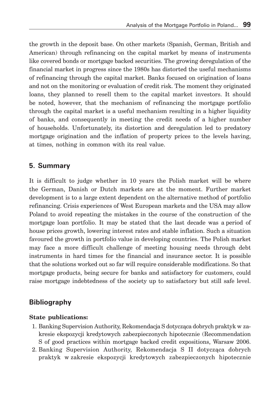the growth in the deposit base. On other markets (Spanish, German, British and American) through refinancing on the capital market by means of instruments like covered bonds or mortgage backed securities. The growing deregulation of the financial market in progress since the 1980s has distorted the useful mechanisms of refinancing through the capital market. Banks focused on origination of loans and not on the monitoring or evaluation of credit risk. The moment they originated loans, they planned to resell them to the capital market investors. It should be noted, however, that the mechanism of refinancing the mortgage portfolio through the capital market is a useful mechanism resulting in a higher liquidity of banks, and consequently in meeting the credit needs of a higher number of households. Unfortunately, its distortion and deregulation led to predatory mortgage origination and the inflation of property prices to the levels having, at times, nothing in common with its real value.

## **5. Summary**

It is difficult to judge whether in 10 years the Polish market will be where the German, Danish or Dutch markets are at the moment. Further market development is to a large extent dependent on the alternative method of portfolio refinancing. Crisis experiences of West European markets and the USA may allow Poland to avoid repeating the mistakes in the course of the construction of the mortgage loan portfolio. It may be stated that the last decade was a period of house prices growth, lowering interest rates and stable inflation. Such a situation favoured the growth in portfolio value in developing countries. The Polish market may face a more difficult challenge of meeting housing needs through debt instruments in hard times for the financial and insurance sector. It is possible that the solutions worked out so far will require considerable modifications. So that mortgage products, being secure for banks and satisfactory for customers, could raise mortgage indebtedness of the society up to satisfactory but still safe level.

## **Bibliography**

### **State publications:**

- 1. Banking Supervision Authority, Rekomendacja S dotycząca dobrych praktyk w zakresie ekspozycji kredytowych zabezpieczonych hipotecznie (Recommendation S of good practices within mortgage backed credit expositions, Warsaw 2006.
- 2. Banking Supervision Authority, Rekomendacja S II dotycząca dobrych praktyk w zakresie ekspozycji kredytowych zabezpieczonych hipotecznie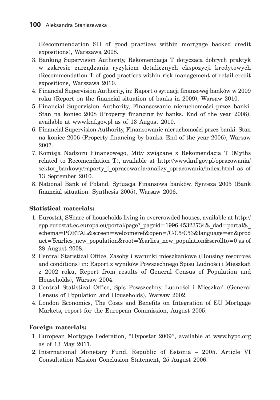(Recommendation SII of good practices within mortgage backed credit expositions), Warszawa 2008.

- 3. Banking Supervision Authority, Rekomendacja T dotycząca dobrych praktyk w zakresie zarządzania ryzykiem detalicznych ekspozycji kredytowych (Recommendation T of good practices within risk management of retail credit expositions, Warszawa 2010.
- 4. Financial Supervision Authority, in: Raport o sytuacji finansowej banków w 2009 roku (Report on the financial situation of banks in 2009), Warsaw 2010.
- 5. Financial Supervision Authority, Finansowanie nieruchomości przez banki. Stan na koniec 2008 (Property financing by banks. End of the year 2008), available at www.knf.gov.pl as of 13 August 2010.
- 6. Financial Supervision Authority, Finansowanie nieruchomości przez banki. Stan na koniec 2006 (Property financing by banks. End of the year 2006), Warsaw 2007.
- 7. Komisja Nadzoru Finansowego, Mity związane z Rekomendacją T (Myths related to Recomendation T), available at http://www.knf.gov.pl/opracowania/ sektor bankowy/raporty i opracowania/analizy opracowania/index.html as of 13 September 2010.
- 8. National Bank of Poland, Sytuacja Finansowa banków. Synteza 2005 (Bank financial situation. Synthesis 2005), Warsaw 2006.

### **Statistical materials:**

- 1. Eurostat, SShare of households living in overcrowded houses, available at http:// epp.eurostat.ec.europa.eu/portal/page?\_pageid=1996,45323734&\_dad=portal&\_ schema=PORTAL&screen=welcomeref&open=/C/C5/C53&language=en&prod uct=Yearlies new population&root=Yearlies new population&scrollto=0 as of 28 August 2008.
- 2. Central Statistical Office, Zasoby i warunki mieszkaniowe (Housing resources and conditions) in: Raport z wyników Powszechnego Spisu Ludności i Mieszkań z 2002 roku, Report from results of General Census of Population and Households), Warsaw 2004.
- 3. Central Statistical Office, Spis Powszechny Ludności i Mieszkań (General Census of Population and Households), Warsaw 2002.
- 4. London Economics, The Costs and Benefits on Integration of EU Mortgage Markets, report for the European Commission, August 2005.

### **Foreign materials:**

- 1. European Mortgage Federation, "Hypostat 2009", available at www.hypo.org as of 13 May 2011.
- 2. International Monetary Fund, Republic of Estonia 2005. Article VI Consultation Mission Conclusion Statement, 25 August 2006.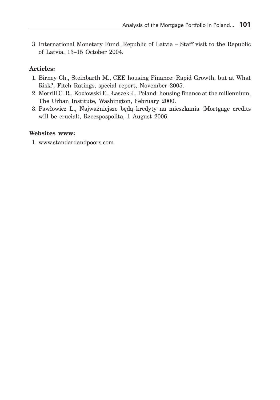3. International Monetary Fund, Republic of Latvia – Staff visit to the Republic of Latvia, 13–15 October 2004.

### **Articles:**

- 1. Birney Ch., Steinbarth M., CEE housing Finance: Rapid Growth, but at What Risk?, Fitch Ratings, special report, November 2005.
- 2. Merrill C. R., Kozłowski E., Łaszek J., Poland: housing finance at the millennium, The Urban Institute, Washington, February 2000.
- 3. Pawłowicz L., Najważniejsze będą kredyty na mieszkania (Mortgage credits will be crucial), Rzeczpospolita, 1 August 2006.

#### **Websites www:**

1. www.standardandpoors.com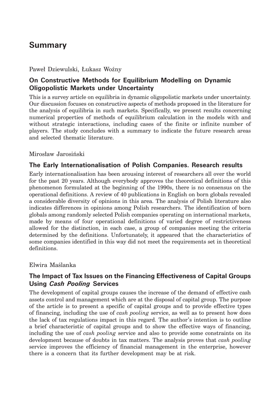# **Summary**

#### Paweł Dziewulski, Łukasz Woźny

## **On Constructive Methods for Equilibrium Modelling on Dynamic Oligopolistic Markets under Uncertainty**

This is a survey article on equilibria in dynamic oligopolistic markets under uncertainty. Our discussion focuses on constructive aspects of methods proposed in the literature for the analysis of equilibria in such markets. Specifically, we present results concerning numerical properties of methods of equilibrium calculation in the models with and without strategic interactions, including cases of the finite or infinite number of players. The study concludes with a summary to indicate the future research areas and selected thematic literature.

#### Mirosław Jarosiński

### **The Early Internationalisation of Polish Companies. Research results**

Early internationalisation has been arousing interest of researchers all over the world for the past 20 years. Although everybody approves the theoretical definitions of this phenomenon formulated at the beginning of the 1990s, there is no consensus on the operational definitions. A review of 40 publications in English on born globals revealed a considerable diversity of opinions in this area. The analysis of Polish literature also indicates differences in opinions among Polish researchers. The identification of born globals among randomly selected Polish companies operating on international markets, made by means of four operational definitions of varied degree of restrictiveness allowed for the distinction, in each case, a group of companies meeting the criteria determined by the definitions. Unfortunately, it appeared that the characteristics of some companies identified in this way did not meet the requirements set in theoretical definitions.

#### Elwira Maślanka

## **The Impact of Tax Issues on the Financing Effectiveness of Capital Groups Using** *Cash Pooling* **Services**

The development of capital groups causes the increase of the demand of effective cash assets control and management which are at the disposal of capital group. The purpose of the article is to present a specific of capital groups and to provide effective types of financing, including the use of *cash pooling* service, as well as to present how does the lack of tax regulations impact in this regard. The author's intention is to outline a brief characteristic of capital groups and to show the effective ways of financing, including the use of *cash pooling* service and also to provide some constraints on its development because of doubts in tax matters. The analysis proves that *cash pooling*  service improves the efficiency of financial management in the enterprise, however there is a concern that its further development may be at risk.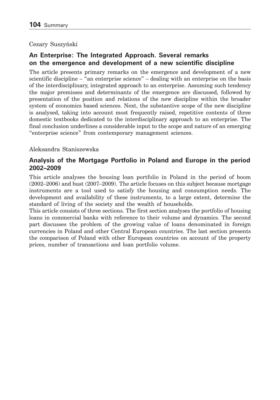### Cezary Suszyński

## **An Enterprise: The Integrated Approach. Several remarks on the emergence and development of a new scientific discipline**

The article presents primary remarks on the emergence and development of a new scientific discipline – "an enterprise science" – dealing with an enterprise on the basis of the interdisciplinary, integrated approach to an enterprise. Assuming such tendency the major premisses and determinants of the emergence are discussed, followed by presentation of the position and relations of the new discipline within the broader system of economics based sciences. Next, the substantive scope of the new discipline is analysed, taking into account most frequently raised, repetitive contents of three domestic textbooks dedicated to the interdisciplinary approach to an enterprise. The final conclusion underlines a considerable input to the scope and nature of an emerging "enterprise science" from contemporary management sciences.

### Aleksandra Staniszewska

## **Analysis of the Mortgage Portfolio in Poland and Europe in the period 2002–2009**

This article analyses the housing loan portfolio in Poland in the period of boom (2002–2006) and bust (2007–2009). The article focuses on this subject because mortgage instruments are a tool used to satisfy the housing and consumption needs. The development and availability of these instruments, to a large extent, determine the standard of living of the society and the wealth of households.

This article consists of three sections. The first section analyses the portfolio of housing loans in commercial banks with reference to their volume and dynamics. The second part discusses the problem of the growing value of loans denominated in foreign currencies in Poland and other Central European countries. The last section presents the comparison of Poland with other European countries on account of the property prices, number of transactions and loan portfolio volume.